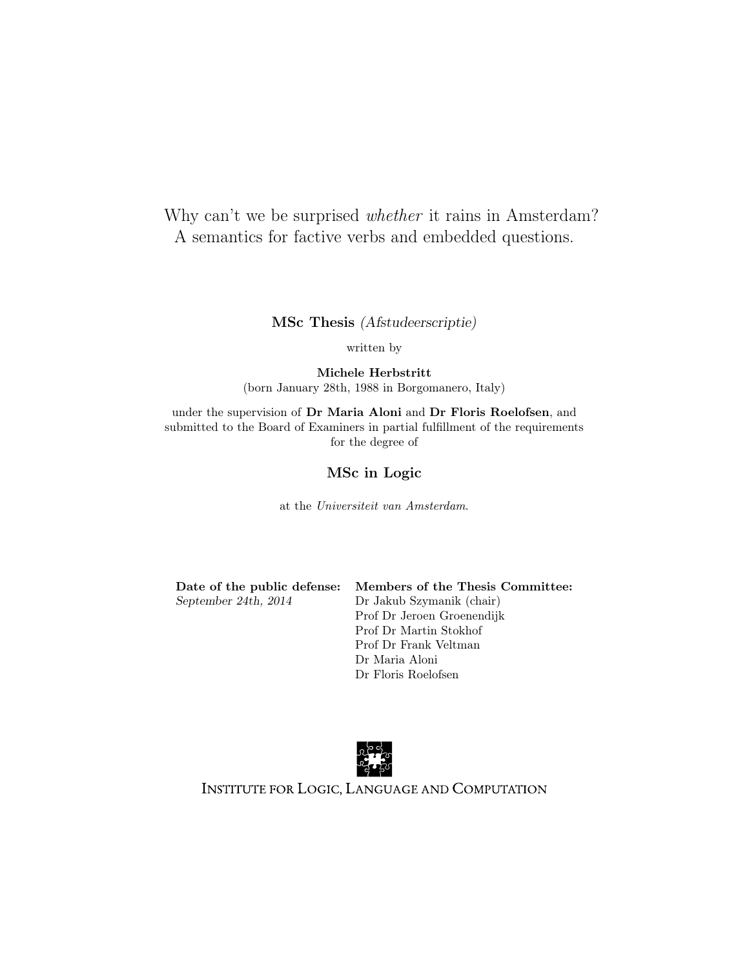# Why can't we be surprised *whether* it rains in Amsterdam? A semantics for factive verbs and embedded questions.

MSc Thesis (Afstudeerscriptie)

written by

Michele Herbstritt (born January 28th, 1988 in Borgomanero, Italy)

under the supervision of Dr Maria Aloni and Dr Floris Roelofsen, and submitted to the Board of Examiners in partial fulfillment of the requirements for the degree of

#### MSc in Logic

at the Universiteit van Amsterdam.

September 24th, 2014 Dr Jakub Szymanik (chair)

Date of the public defense: Members of the Thesis Committee: Prof Dr Jeroen Groenendijk Prof Dr Martin Stokhof Prof Dr Frank Veltman Dr Maria Aloni Dr Floris Roelofsen



INSTITUTE FOR LOGIC, LANGUAGE AND COMPUTATION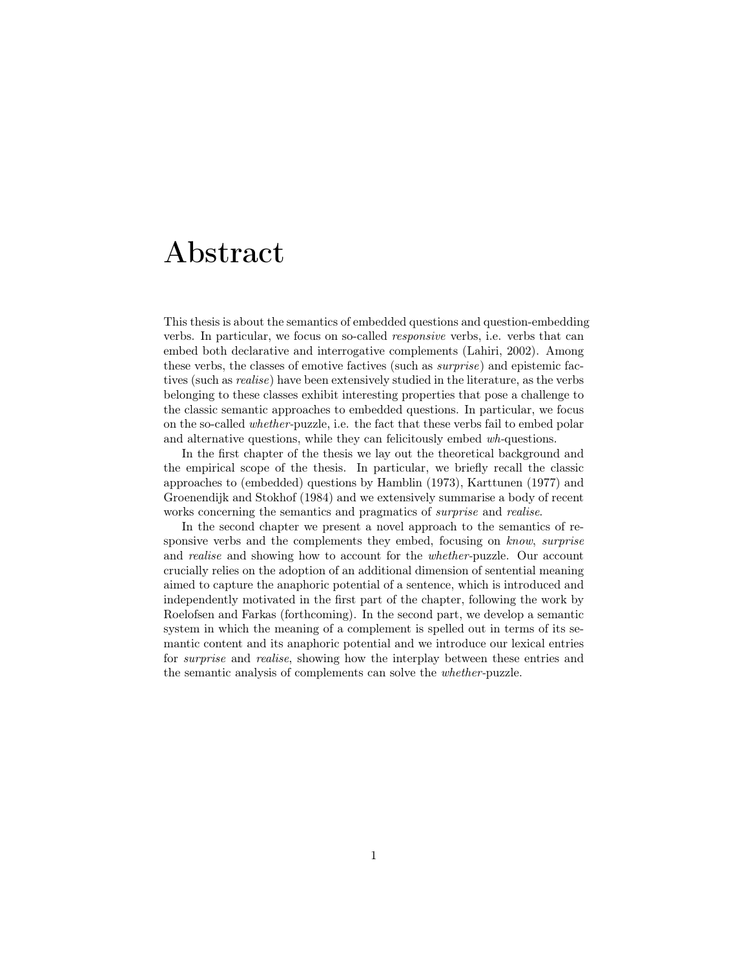# Abstract

This thesis is about the semantics of embedded questions and question-embedding verbs. In particular, we focus on so-called responsive verbs, i.e. verbs that can embed both declarative and interrogative complements (Lahiri, 2002). Among these verbs, the classes of emotive factives (such as surprise) and epistemic factives (such as realise) have been extensively studied in the literature, as the verbs belonging to these classes exhibit interesting properties that pose a challenge to the classic semantic approaches to embedded questions. In particular, we focus on the so-called whether-puzzle, i.e. the fact that these verbs fail to embed polar and alternative questions, while they can felicitously embed wh-questions.

In the first chapter of the thesis we lay out the theoretical background and the empirical scope of the thesis. In particular, we briefly recall the classic approaches to (embedded) questions by Hamblin (1973), Karttunen (1977) and Groenendijk and Stokhof (1984) and we extensively summarise a body of recent works concerning the semantics and pragmatics of surprise and realise.

In the second chapter we present a novel approach to the semantics of responsive verbs and the complements they embed, focusing on know, surprise and *realise* and showing how to account for the *whether-puzzle*. Our account crucially relies on the adoption of an additional dimension of sentential meaning aimed to capture the anaphoric potential of a sentence, which is introduced and independently motivated in the first part of the chapter, following the work by Roelofsen and Farkas (forthcoming). In the second part, we develop a semantic system in which the meaning of a complement is spelled out in terms of its semantic content and its anaphoric potential and we introduce our lexical entries for surprise and realise, showing how the interplay between these entries and the semantic analysis of complements can solve the whether-puzzle.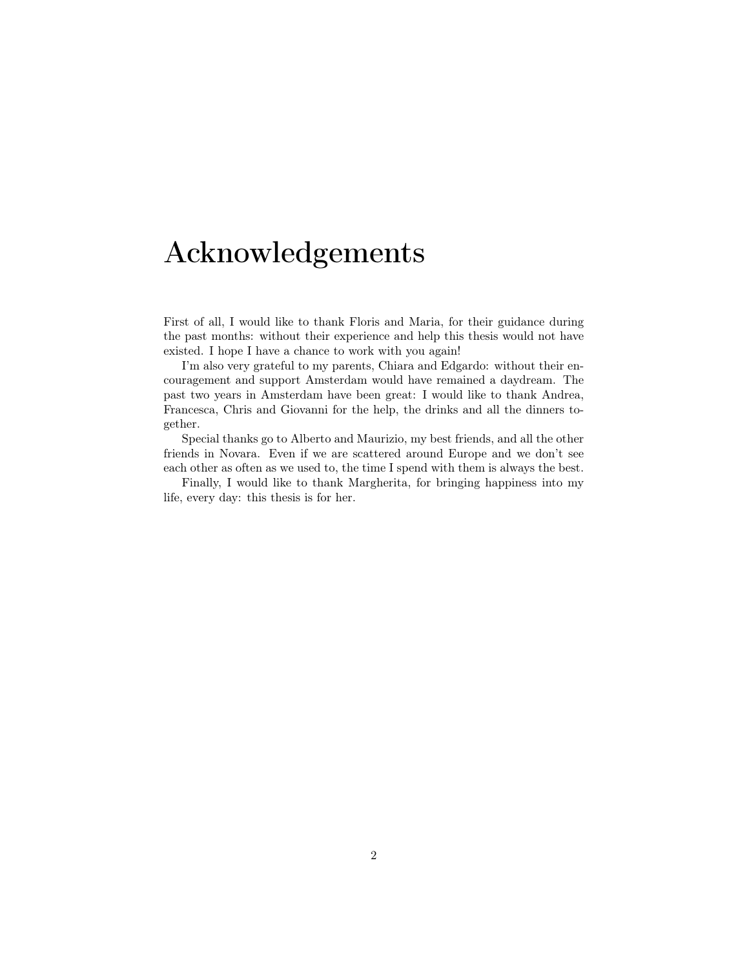# Acknowledgements

First of all, I would like to thank Floris and Maria, for their guidance during the past months: without their experience and help this thesis would not have existed. I hope I have a chance to work with you again!

I'm also very grateful to my parents, Chiara and Edgardo: without their encouragement and support Amsterdam would have remained a daydream. The past two years in Amsterdam have been great: I would like to thank Andrea, Francesca, Chris and Giovanni for the help, the drinks and all the dinners together.

Special thanks go to Alberto and Maurizio, my best friends, and all the other friends in Novara. Even if we are scattered around Europe and we don't see each other as often as we used to, the time I spend with them is always the best.

Finally, I would like to thank Margherita, for bringing happiness into my life, every day: this thesis is for her.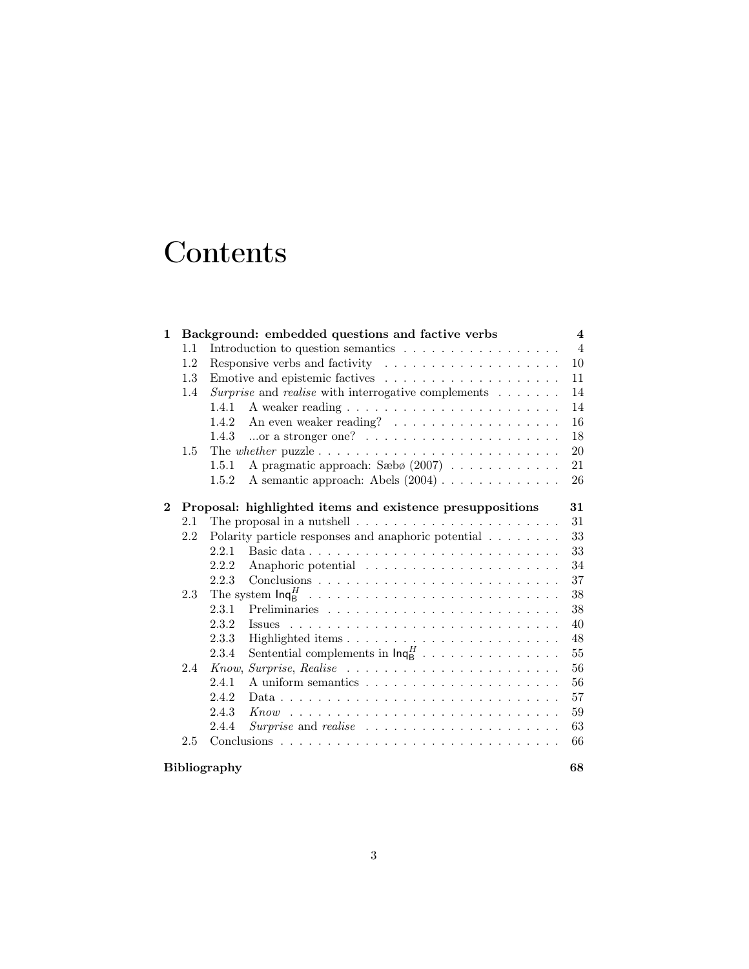# **Contents**

| $\mathbf 1$ |     | Background: embedded questions and factive verbs                                           | $\overline{4}$ |
|-------------|-----|--------------------------------------------------------------------------------------------|----------------|
|             | 1.1 |                                                                                            | $\overline{4}$ |
|             | 1.2 | Responsive verbs and factivity $\ldots \ldots \ldots \ldots \ldots \ldots$                 | 10             |
|             | 1.3 | Emotive and epistemic factives $\dots \dots \dots \dots \dots \dots \dots$                 | 11             |
|             | 1.4 | Surprise and realise with interrogative complements                                        | 14             |
|             |     | 1.4.1                                                                                      | 14             |
|             |     | 1.4.2                                                                                      | 16             |
|             |     | or a stronger one? $\ldots \ldots \ldots \ldots \ldots \ldots \ldots$<br>1.4.3             | 18             |
|             | 1.5 |                                                                                            | <b>20</b>      |
|             |     | A pragmatic approach: Sæbø $(2007)$<br>1.5.1                                               | 21             |
|             |     | A semantic approach: Abels $(2004) \ldots \ldots \ldots \ldots$<br>1.5.2                   | 26             |
|             |     |                                                                                            |                |
| $\bf{2}^-$  |     | Proposal: highlighted items and existence presuppositions                                  | 31             |
|             | 2.1 | The proposal in a nutshell $\ldots$ , $\ldots$ , $\ldots$ , $\ldots$ , $\ldots$ , $\ldots$ | 31             |
|             | 2.2 | Polarity particle responses and anaphoric potential                                        | 33             |
|             |     | 2.2.1                                                                                      | 33             |
|             |     | 2.2.2                                                                                      | 34             |
|             |     | 2.2.3                                                                                      | 37             |
|             | 2.3 |                                                                                            | 38             |
|             |     | 2.3.1                                                                                      | 38             |
|             |     | 2.3.2                                                                                      | 40             |
|             |     | 2.3.3                                                                                      | 48             |
|             |     | Sentential complements in $\mathsf{Inq}_B^H$<br>2.3.4                                      | $55\,$         |
|             | 2.4 |                                                                                            | 56             |
|             |     | 2.4.1                                                                                      | 56             |
|             |     | 2.4.2                                                                                      | 57             |
|             |     | 2.4.3                                                                                      | 59             |
|             |     | Surprise and realise $\ldots \ldots \ldots \ldots \ldots \ldots \ldots$<br>2.4.4           | 63             |
|             | 2.5 |                                                                                            | 66             |
|             |     | <b>Bibliography</b>                                                                        | 68             |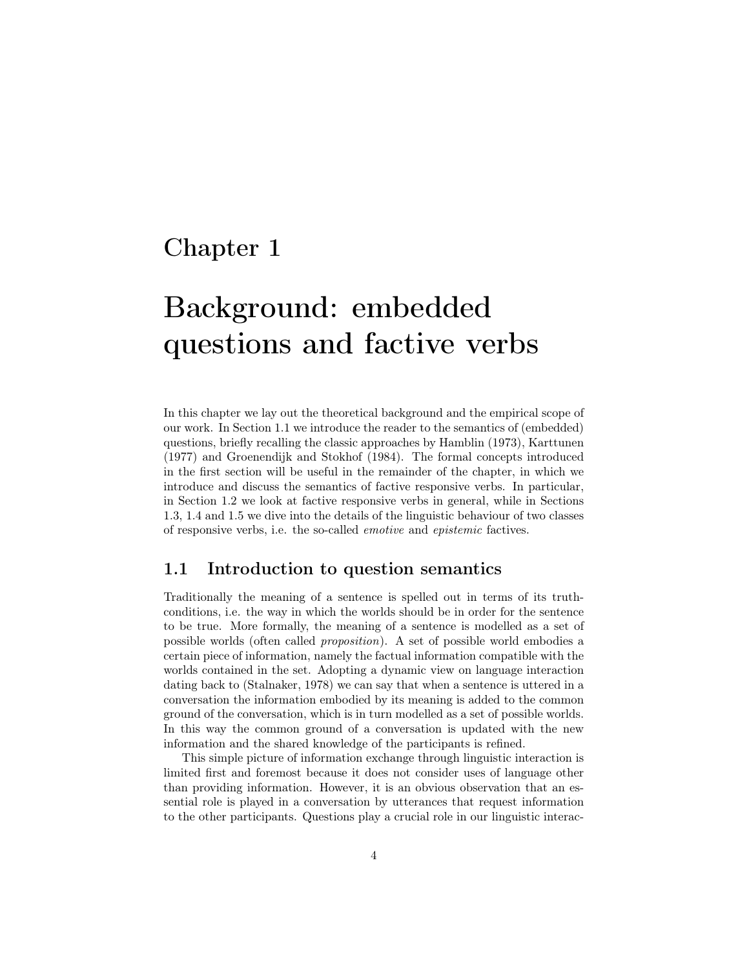# Chapter 1

# Background: embedded questions and factive verbs

In this chapter we lay out the theoretical background and the empirical scope of our work. In Section 1.1 we introduce the reader to the semantics of (embedded) questions, briefly recalling the classic approaches by Hamblin (1973), Karttunen (1977) and Groenendijk and Stokhof (1984). The formal concepts introduced in the first section will be useful in the remainder of the chapter, in which we introduce and discuss the semantics of factive responsive verbs. In particular, in Section 1.2 we look at factive responsive verbs in general, while in Sections 1.3, 1.4 and 1.5 we dive into the details of the linguistic behaviour of two classes of responsive verbs, i.e. the so-called emotive and epistemic factives.

### 1.1 Introduction to question semantics

Traditionally the meaning of a sentence is spelled out in terms of its truthconditions, i.e. the way in which the worlds should be in order for the sentence to be true. More formally, the meaning of a sentence is modelled as a set of possible worlds (often called proposition). A set of possible world embodies a certain piece of information, namely the factual information compatible with the worlds contained in the set. Adopting a dynamic view on language interaction dating back to (Stalnaker, 1978) we can say that when a sentence is uttered in a conversation the information embodied by its meaning is added to the common ground of the conversation, which is in turn modelled as a set of possible worlds. In this way the common ground of a conversation is updated with the new information and the shared knowledge of the participants is refined.

This simple picture of information exchange through linguistic interaction is limited first and foremost because it does not consider uses of language other than providing information. However, it is an obvious observation that an essential role is played in a conversation by utterances that request information to the other participants. Questions play a crucial role in our linguistic interac-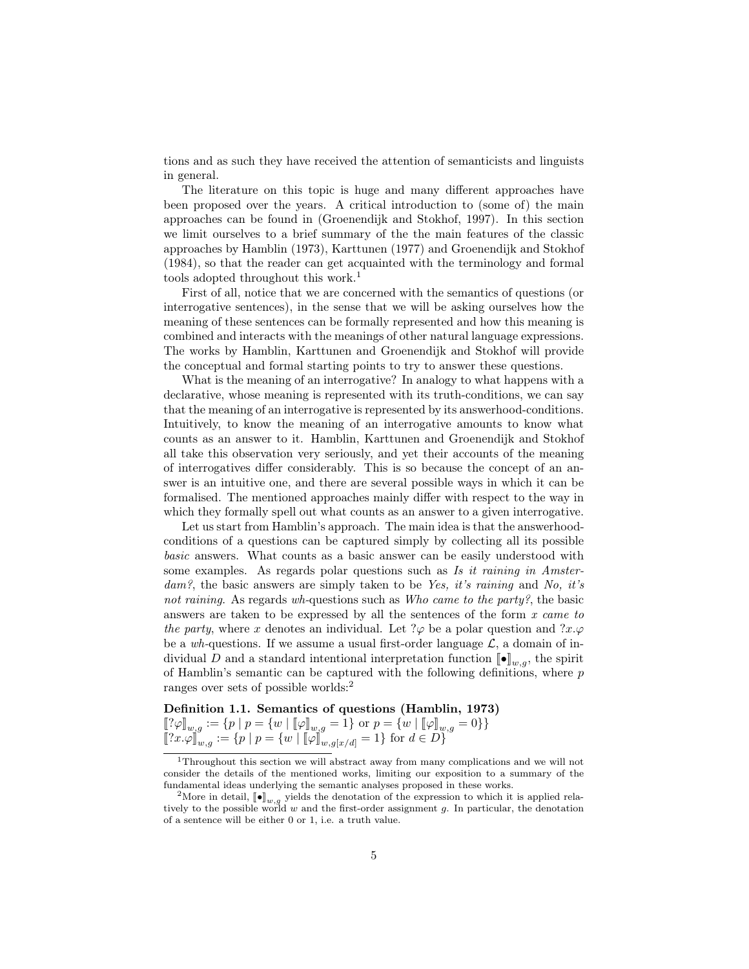tions and as such they have received the attention of semanticists and linguists in general.

The literature on this topic is huge and many different approaches have been proposed over the years. A critical introduction to (some of) the main approaches can be found in (Groenendijk and Stokhof, 1997). In this section we limit ourselves to a brief summary of the the main features of the classic approaches by Hamblin (1973), Karttunen (1977) and Groenendijk and Stokhof (1984), so that the reader can get acquainted with the terminology and formal tools adopted throughout this work.<sup>1</sup>

First of all, notice that we are concerned with the semantics of questions (or interrogative sentences), in the sense that we will be asking ourselves how the meaning of these sentences can be formally represented and how this meaning is combined and interacts with the meanings of other natural language expressions. The works by Hamblin, Karttunen and Groenendijk and Stokhof will provide the conceptual and formal starting points to try to answer these questions.

What is the meaning of an interrogative? In analogy to what happens with a declarative, whose meaning is represented with its truth-conditions, we can say that the meaning of an interrogative is represented by its answerhood-conditions. Intuitively, to know the meaning of an interrogative amounts to know what counts as an answer to it. Hamblin, Karttunen and Groenendijk and Stokhof all take this observation very seriously, and yet their accounts of the meaning of interrogatives differ considerably. This is so because the concept of an answer is an intuitive one, and there are several possible ways in which it can be formalised. The mentioned approaches mainly differ with respect to the way in which they formally spell out what counts as an answer to a given interrogative.

Let us start from Hamblin's approach. The main idea is that the answerhoodconditions of a questions can be captured simply by collecting all its possible basic answers. What counts as a basic answer can be easily understood with some examples. As regards polar questions such as Is it raining in Amster $dam$ ?, the basic answers are simply taken to be Yes, it's raining and No, it's not raining. As regards wh-questions such as Who came to the party?, the basic answers are taken to be expressed by all the sentences of the form  $x$  came to the party, where x denotes an individual. Let  $\varphi$  be a polar question and  $\varphi x.\varphi$ be a wh-questions. If we assume a usual first-order language  $\mathcal{L}$ , a domain of individual D and a standard intentional interpretation function  $[\![\bullet]\!]_{w,q}$ , the spirit of Hamblin's semantic can be captured with the following definitions, where  $p$ ranges over sets of possible worlds:<sup>2</sup>

Definition 1.1. Semantics of questions (Hamblin, 1973)

$$
\begin{aligned} [\![? \varphi]\!]_{w,g} &:= \{ p \mid p = \{ w \mid [\![\varphi]\!]_{w,g} = 1 \} \text{ or } p = \{ w \mid [\![\varphi]\!]_{w,g} = 0 \} \} \\ [\![?x.\varphi]\!]_{w,g} &:= \{ p \mid p = \{ w \mid [\![\varphi]\!]_{w,g[x/d]} = 1 \} \text{ for } d \in D \} \end{aligned}
$$

<sup>1</sup>Throughout this section we will abstract away from many complications and we will not consider the details of the mentioned works, limiting our exposition to a summary of the fundamental ideas underlying the semantic analyses proposed in these works.

<sup>&</sup>lt;sup>2</sup>More in detail,  $[\bullet]_{w,g}$  yields the denotation of the expression to which it is applied rela-<br>tively to the possible world w and the first-order assignment g. In particular, the denotation of a sentence will be either 0 or 1, i.e. a truth value.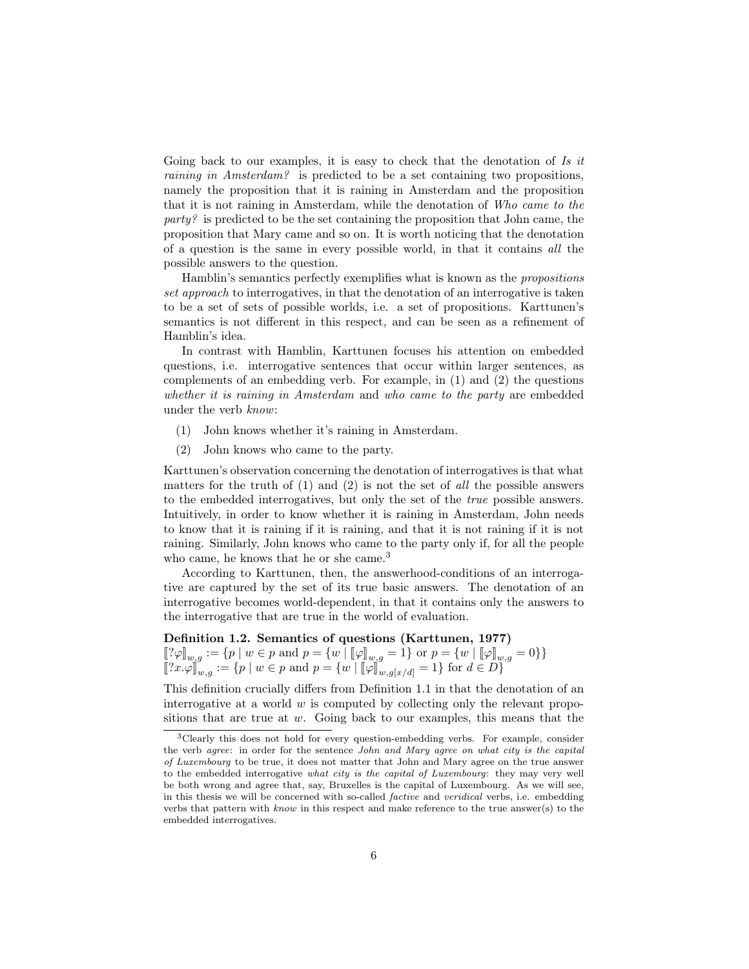Going back to our examples, it is easy to check that the denotation of Is it raining in Amsterdam? is predicted to be a set containing two propositions, namely the proposition that it is raining in Amsterdam and the proposition that it is not raining in Amsterdam, while the denotation of Who came to the  $party$ ? is predicted to be the set containing the proposition that John came, the proposition that Mary came and so on. It is worth noticing that the denotation of a question is the same in every possible world, in that it contains all the possible answers to the question.

Hamblin's semantics perfectly exemplifies what is known as the propositions set approach to interrogatives, in that the denotation of an interrogative is taken to be a set of sets of possible worlds, i.e. a set of propositions. Karttunen's semantics is not different in this respect, and can be seen as a refinement of Hamblin's idea.

In contrast with Hamblin, Karttunen focuses his attention on embedded questions, i.e. interrogative sentences that occur within larger sentences, as complements of an embedding verb. For example, in  $(1)$  and  $(2)$  the questions whether it is raining in Amsterdam and who came to the party are embedded under the verb know:

- (1) John knows whether it's raining in Amsterdam.
- (2) John knows who came to the party.

Karttunen's observation concerning the denotation of interrogatives is that what matters for the truth of  $(1)$  and  $(2)$  is not the set of all the possible answers to the embedded interrogatives, but only the set of the true possible answers. Intuitively, in order to know whether it is raining in Amsterdam, John needs to know that it is raining if it is raining, and that it is not raining if it is not raining. Similarly, John knows who came to the party only if, for all the people who came, he knows that he or she came.<sup>3</sup>

According to Karttunen, then, the answerhood-conditions of an interrogative are captured by the set of its true basic answers. The denotation of an interrogative becomes world-dependent, in that it contains only the answers to the interrogative that are true in the world of evaluation.

## Definition 1.2. Semantics of questions (Karttunen, 1977)  $[\![? \varphi]\!]_{w,g} := \{p \mid w \in p \text{ and } p = \{w \mid [\![\varphi]\!]_{w,g} = 1\} \text{ or } p = \{w \mid [\![\varphi]\!]_{w,g} = 0\}\}\$  $[[?x.\varphi]]_{w,g} := \{p \mid w \in p \text{ and } p = \{w \mid [\![\varphi]\!]_{w,g[x/d]} = 1\} \text{ for } d \in D\}$

This definition crucially differs from Definition 1.1 in that the denotation of an interrogative at a world  $w$  is computed by collecting only the relevant propositions that are true at  $w$ . Going back to our examples, this means that the

<sup>3</sup>Clearly this does not hold for every question-embedding verbs. For example, consider the verb agree: in order for the sentence John and Mary agree on what city is the capital of Luxembourg to be true, it does not matter that John and Mary agree on the true answer to the embedded interrogative what city is the capital of Luxembourg: they may very well be both wrong and agree that, say, Bruxelles is the capital of Luxembourg. As we will see, in this thesis we will be concerned with so-called factive and veridical verbs, i.e. embedding verbs that pattern with  $known$  in this respect and make reference to the true answer(s) to the embedded interrogatives.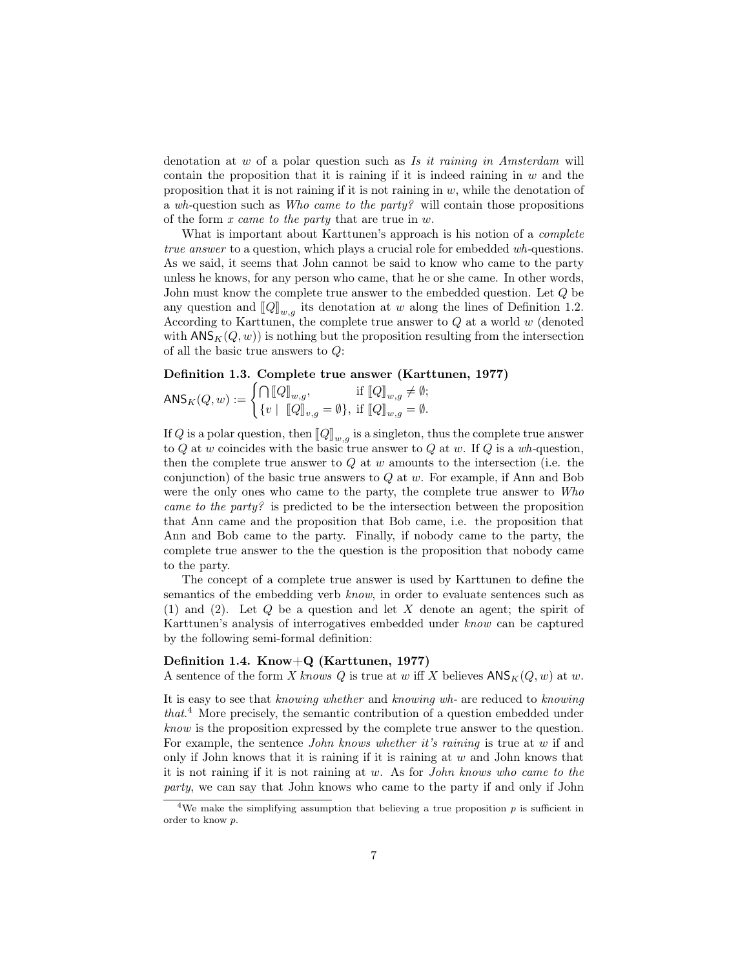denotation at w of a polar question such as Is it raining in Amsterdam will contain the proposition that it is raining if it is indeed raining in  $w$  and the proposition that it is not raining if it is not raining in  $w$ , while the denotation of a wh-question such as Who came to the party? will contain those propositions of the form x came to the party that are true in w.

What is important about Karttunen's approach is his notion of a complete true answer to a question, which plays a crucial role for embedded wh-questions. As we said, it seems that John cannot be said to know who came to the party unless he knows, for any person who came, that he or she came. In other words, John must know the complete true answer to the embedded question. Let Q be any question and  $\llbracket Q \rrbracket_{w,q}$  its denotation at w along the lines of Definition 1.2. According to Karttunen, the complete true answer to  $Q$  at a world w (denoted with  $\mathsf{ANS}_K(Q, w)$  is nothing but the proposition resulting from the intersection of all the basic true answers to Q:

#### Definition 1.3. Complete true answer (Karttunen, 1977)

$$
\mathsf{ANS}_K(Q, w) := \begin{cases} \bigcap \llbracket Q \rrbracket_{w,g}, & \text{if } \llbracket Q \rrbracket_{w,g} \neq \emptyset; \\ \{v \mid \llbracket Q \rrbracket_{v,g} = \emptyset \}, & \text{if } \llbracket Q \rrbracket_{w,g} = \emptyset. \end{cases}
$$

If Q is a polar question, then  $\llbracket Q \rrbracket_{w,q}$  is a singleton, thus the complete true answer to Q at w coincides with the basic true answer to Q at w. If Q is a wh-question, then the complete true answer to  $Q$  at  $w$  amounts to the intersection (i.e. the conjunction) of the basic true answers to  $Q$  at  $w$ . For example, if Ann and Bob were the only ones who came to the party, the complete true answer to Who came to the party? is predicted to be the intersection between the proposition that Ann came and the proposition that Bob came, i.e. the proposition that Ann and Bob came to the party. Finally, if nobody came to the party, the complete true answer to the the question is the proposition that nobody came to the party.

The concept of a complete true answer is used by Karttunen to define the semantics of the embedding verb know, in order to evaluate sentences such as (1) and (2). Let Q be a question and let X denote an agent; the spirit of Karttunen's analysis of interrogatives embedded under know can be captured by the following semi-formal definition:

#### Definition 1.4. Know+Q (Karttunen, 1977)

A sentence of the form X knows Q is true at w iff X believes  $\mathsf{ANS}_K(Q, w)$  at w.

It is easy to see that knowing whether and knowing wh- are reduced to knowing that. <sup>4</sup> More precisely, the semantic contribution of a question embedded under know is the proposition expressed by the complete true answer to the question. For example, the sentence *John knows whether it's raining* is true at w if and only if John knows that it is raining if it is raining at  $w$  and John knows that it is not raining if it is not raining at w. As for John knows who came to the party, we can say that John knows who came to the party if and only if John

<sup>&</sup>lt;sup>4</sup>We make the simplifying assumption that believing a true proposition  $p$  is sufficient in order to know p.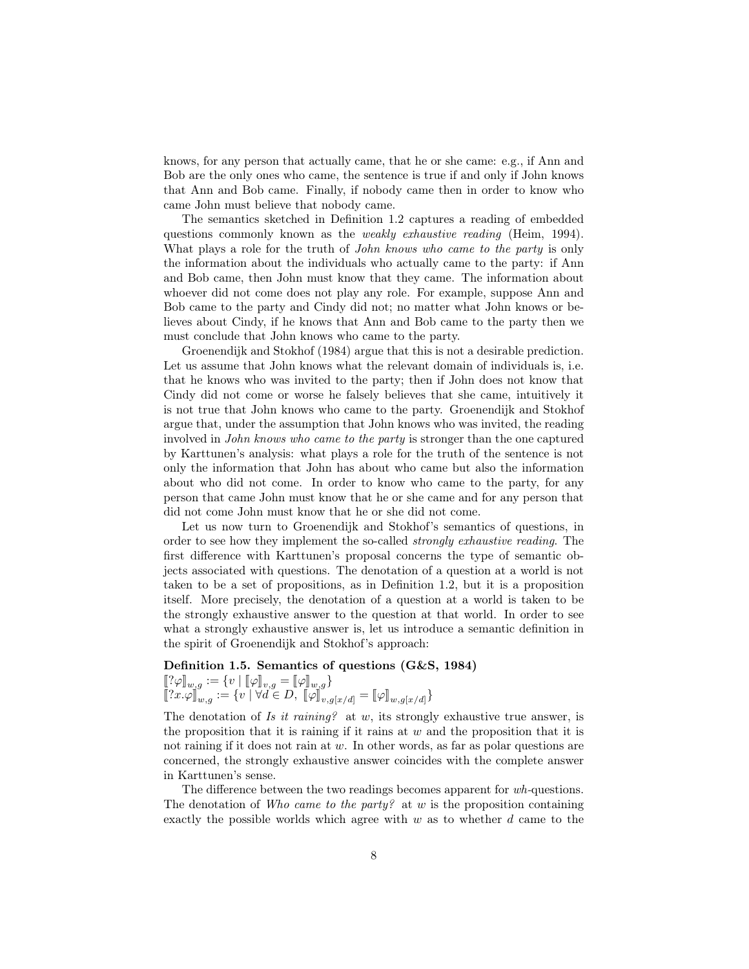knows, for any person that actually came, that he or she came: e.g., if Ann and Bob are the only ones who came, the sentence is true if and only if John knows that Ann and Bob came. Finally, if nobody came then in order to know who came John must believe that nobody came.

The semantics sketched in Definition 1.2 captures a reading of embedded questions commonly known as the weakly exhaustive reading (Heim, 1994). What plays a role for the truth of *John knows who came to the party* is only the information about the individuals who actually came to the party: if Ann and Bob came, then John must know that they came. The information about whoever did not come does not play any role. For example, suppose Ann and Bob came to the party and Cindy did not; no matter what John knows or believes about Cindy, if he knows that Ann and Bob came to the party then we must conclude that John knows who came to the party.

Groenendijk and Stokhof (1984) argue that this is not a desirable prediction. Let us assume that John knows what the relevant domain of individuals is, i.e. that he knows who was invited to the party; then if John does not know that Cindy did not come or worse he falsely believes that she came, intuitively it is not true that John knows who came to the party. Groenendijk and Stokhof argue that, under the assumption that John knows who was invited, the reading involved in John knows who came to the party is stronger than the one captured by Karttunen's analysis: what plays a role for the truth of the sentence is not only the information that John has about who came but also the information about who did not come. In order to know who came to the party, for any person that came John must know that he or she came and for any person that did not come John must know that he or she did not come.

Let us now turn to Groenendijk and Stokhof's semantics of questions, in order to see how they implement the so-called strongly exhaustive reading. The first difference with Karttunen's proposal concerns the type of semantic objects associated with questions. The denotation of a question at a world is not taken to be a set of propositions, as in Definition 1.2, but it is a proposition itself. More precisely, the denotation of a question at a world is taken to be the strongly exhaustive answer to the question at that world. In order to see what a strongly exhaustive answer is, let us introduce a semantic definition in the spirit of Groenendijk and Stokhof's approach:

#### Definition 1.5. Semantics of questions (G&S, 1984)

$$
\begin{aligned} [\![? \varphi]\!]_{w,g} &:= \{ v \mid [\![\varphi]\!]_{v,g} = [\![\varphi]\!]_{w,g} \} \\ [\![?x.\varphi]\!]_{w,g} &:= \{ v \mid \forall d \in D, \ [\![\varphi]\!]_{v,g[x/d]} = [\![\varphi]\!]_{w,g[x/d]} \} \end{aligned}
$$

The denotation of Is it raining? at w, its strongly exhaustive true answer, is the proposition that it is raining if it rains at  $w$  and the proposition that it is not raining if it does not rain at w. In other words, as far as polar questions are concerned, the strongly exhaustive answer coincides with the complete answer in Karttunen's sense.

The difference between the two readings becomes apparent for wh-questions. The denotation of Who came to the party? at  $w$  is the proposition containing exactly the possible worlds which agree with  $w$  as to whether  $d$  came to the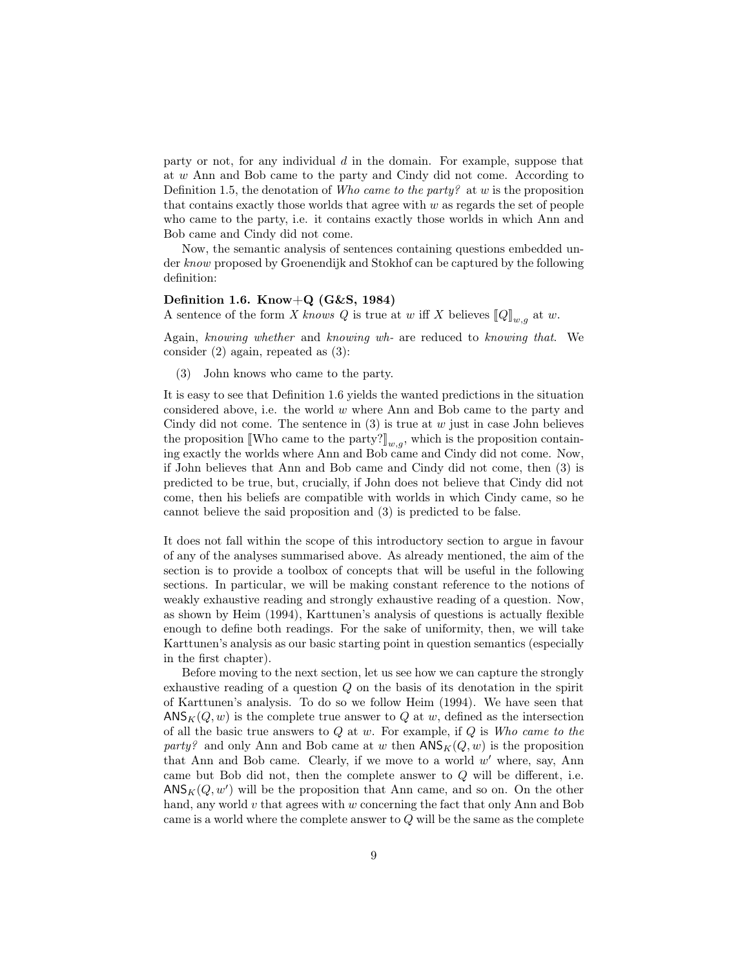party or not, for any individual  $d$  in the domain. For example, suppose that at w Ann and Bob came to the party and Cindy did not come. According to Definition 1.5, the denotation of Who came to the party? at w is the proposition that contains exactly those worlds that agree with  $w$  as regards the set of people who came to the party, i.e. it contains exactly those worlds in which Ann and Bob came and Cindy did not come.

Now, the semantic analysis of sentences containing questions embedded under know proposed by Groenendijk and Stokhof can be captured by the following definition:

#### Definition 1.6. Know $+Q$  (G&S, 1984)

A sentence of the form X knows Q is true at w iff X believes  $\llbracket Q \rrbracket_{w,q}$  at w.

Again, knowing whether and knowing wh- are reduced to knowing that. We consider (2) again, repeated as (3):

(3) John knows who came to the party.

It is easy to see that Definition 1.6 yields the wanted predictions in the situation considered above, i.e. the world  $w$  where Ann and Bob came to the party and Cindy did not come. The sentence in  $(3)$  is true at w just in case John believes the proposition [Who came to the party?]<sub>w,q</sub>, which is the proposition containing exactly the worlds where Ann and Bob came and Cindy did not come. Now, if John believes that Ann and Bob came and Cindy did not come, then (3) is predicted to be true, but, crucially, if John does not believe that Cindy did not come, then his beliefs are compatible with worlds in which Cindy came, so he cannot believe the said proposition and (3) is predicted to be false.

It does not fall within the scope of this introductory section to argue in favour of any of the analyses summarised above. As already mentioned, the aim of the section is to provide a toolbox of concepts that will be useful in the following sections. In particular, we will be making constant reference to the notions of weakly exhaustive reading and strongly exhaustive reading of a question. Now, as shown by Heim (1994), Karttunen's analysis of questions is actually flexible enough to define both readings. For the sake of uniformity, then, we will take Karttunen's analysis as our basic starting point in question semantics (especially in the first chapter).

Before moving to the next section, let us see how we can capture the strongly exhaustive reading of a question Q on the basis of its denotation in the spirit of Karttunen's analysis. To do so we follow Heim (1994). We have seen that  $\mathsf{ANS}_{K}(Q, w)$  is the complete true answer to Q at w, defined as the intersection of all the basic true answers to  $Q$  at  $w$ . For example, if  $Q$  is Who came to the party? and only Ann and Bob came at w then  $\mathsf{ANS}_K(Q, w)$  is the proposition that Ann and Bob came. Clearly, if we move to a world  $w'$  where, say, Ann came but Bob did not, then the complete answer to Q will be different, i.e.  $\mathsf{ANS}_K(Q, w')$  will be the proposition that Ann came, and so on. On the other hand, any world v that agrees with w concerning the fact that only Ann and Bob came is a world where the complete answer to  $Q$  will be the same as the complete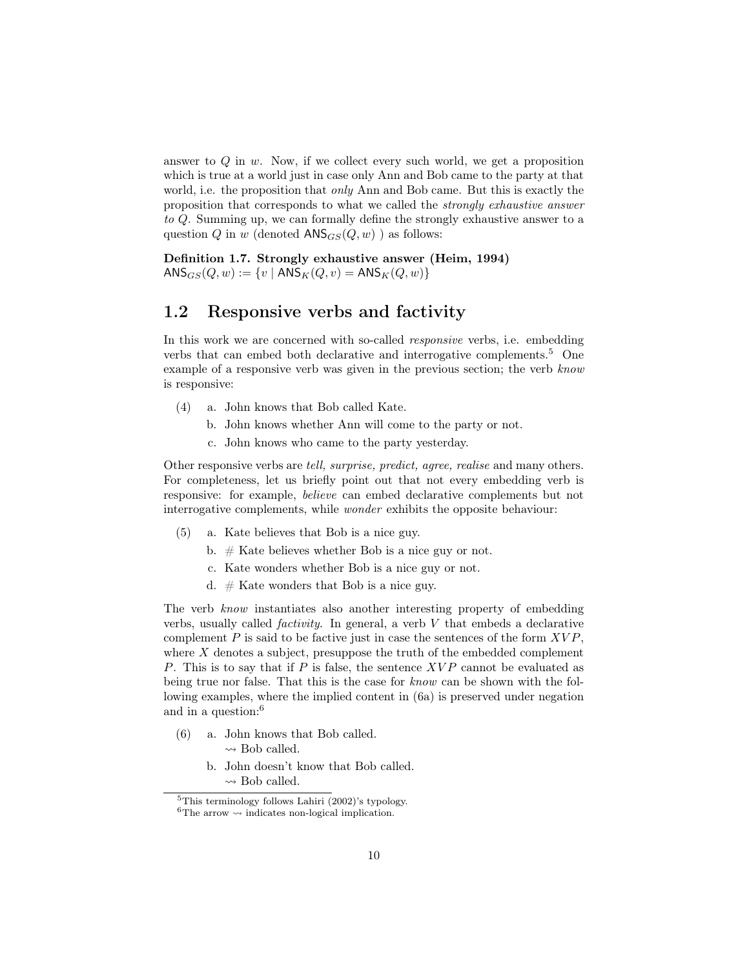answer to  $Q$  in  $w$ . Now, if we collect every such world, we get a proposition which is true at a world just in case only Ann and Bob came to the party at that world, i.e. the proposition that *only* Ann and Bob came. But this is exactly the proposition that corresponds to what we called the strongly exhaustive answer to Q. Summing up, we can formally define the strongly exhaustive answer to a question Q in w (denoted  $ANS_{GS}(Q, w)$ ) as follows:

Definition 1.7. Strongly exhaustive answer (Heim, 1994)  $\text{ANS}_{GS}(Q, w) := \{v \mid \text{ANS}_K(Q, v) = \text{ANS}_K(Q, w)\}\$ 

### 1.2 Responsive verbs and factivity

In this work we are concerned with so-called responsive verbs, i.e. embedding verbs that can embed both declarative and interrogative complements.<sup>5</sup> One example of a responsive verb was given in the previous section; the verb know is responsive:

- (4) a. John knows that Bob called Kate.
	- b. John knows whether Ann will come to the party or not.
	- c. John knows who came to the party yesterday.

Other responsive verbs are tell, surprise, predict, agree, realise and many others. For completeness, let us briefly point out that not every embedding verb is responsive: for example, believe can embed declarative complements but not interrogative complements, while wonder exhibits the opposite behaviour:

- (5) a. Kate believes that Bob is a nice guy.
	- b.  $#$  Kate believes whether Bob is a nice guy or not.
	- c. Kate wonders whether Bob is a nice guy or not.
	- d.  $#$  Kate wonders that Bob is a nice guy.

The verb know instantiates also another interesting property of embedding verbs, usually called *factivity*. In general, a verb  $V$  that embeds a declarative complement  $P$  is said to be factive just in case the sentences of the form  $XVP$ , where  $X$  denotes a subject, presuppose the truth of the embedded complement P. This is to say that if P is false, the sentence  $XVP$  cannot be evaluated as being true nor false. That this is the case for know can be shown with the following examples, where the implied content in (6a) is preserved under negation and in a question:<sup>6</sup>

- (6) a. John knows that Bob called.  $\rightsquigarrow$  Bob called.
	- b. John doesn't know that Bob called.  $\rightsquigarrow$  Bob called.

 $5$ This terminology follows Lahiri (2002)'s typology.

 $^6\mathrm{The}$  arrow  $\leadsto$  indicates non-logical implication.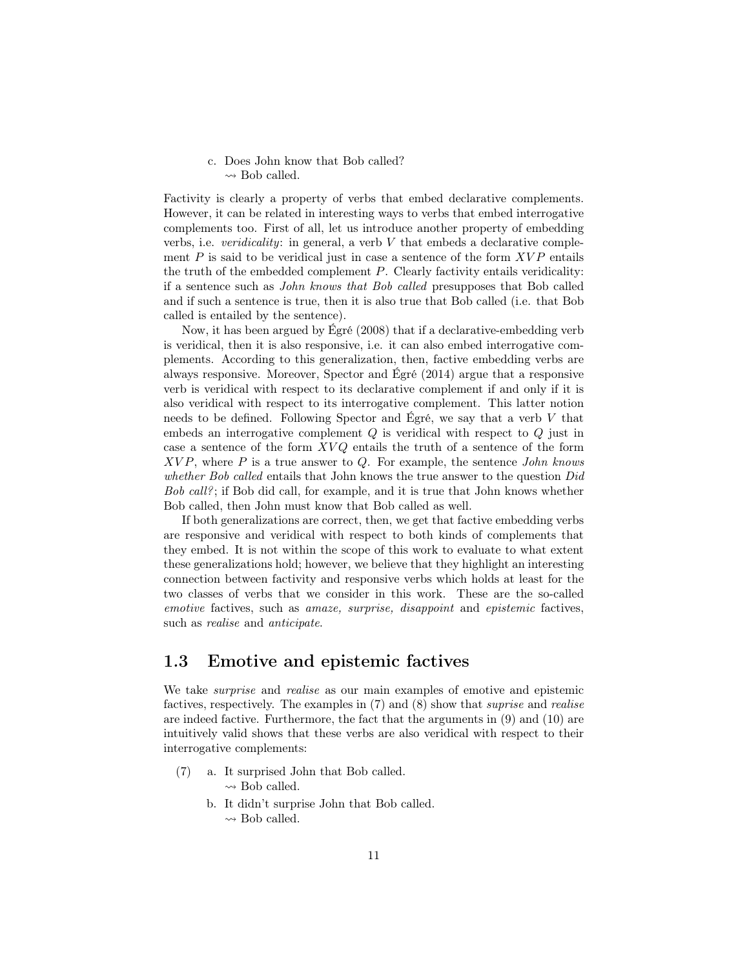c. Does John know that Bob called?  $\rightsquigarrow$  Bob called.

Factivity is clearly a property of verbs that embed declarative complements. However, it can be related in interesting ways to verbs that embed interrogative complements too. First of all, let us introduce another property of embedding verbs, i.e. *veridicality*: in general, a verb  $V$  that embeds a declarative complement  $P$  is said to be veridical just in case a sentence of the form  $XVP$  entails the truth of the embedded complement  $P$ . Clearly factivity entails veridicality: if a sentence such as John knows that Bob called presupposes that Bob called and if such a sentence is true, then it is also true that Bob called (i.e. that Bob called is entailed by the sentence).

Now, it has been argued by Égré (2008) that if a declarative-embedding verb is veridical, then it is also responsive, i.e. it can also embed interrogative complements. According to this generalization, then, factive embedding verbs are always responsive. Moreover, Spector and Égré (2014) argue that a responsive verb is veridical with respect to its declarative complement if and only if it is also veridical with respect to its interrogative complement. This latter notion needs to be defined. Following Spector and Égré, we say that a verb  $V$  that embeds an interrogative complement  $Q$  is veridical with respect to  $Q$  just in case a sentence of the form  $XVQ$  entails the truth of a sentence of the form  $XVP$ , where P is a true answer to Q. For example, the sentence John knows whether Bob called entails that John knows the true answer to the question Did Bob call?; if Bob did call, for example, and it is true that John knows whether Bob called, then John must know that Bob called as well.

If both generalizations are correct, then, we get that factive embedding verbs are responsive and veridical with respect to both kinds of complements that they embed. It is not within the scope of this work to evaluate to what extent these generalizations hold; however, we believe that they highlight an interesting connection between factivity and responsive verbs which holds at least for the two classes of verbs that we consider in this work. These are the so-called emotive factives, such as amaze, surprise, disappoint and epistemic factives, such as realise and anticipate.

## 1.3 Emotive and epistemic factives

We take *surprise* and *realise* as our main examples of emotive and epistemic factives, respectively. The examples in (7) and (8) show that suprise and realise are indeed factive. Furthermore, the fact that the arguments in (9) and (10) are intuitively valid shows that these verbs are also veridical with respect to their interrogative complements:

- (7) a. It surprised John that Bob called.  $\rightsquigarrow$  Bob called.
	- b. It didn't surprise John that Bob called.
		- $\rightsquigarrow$  Bob called.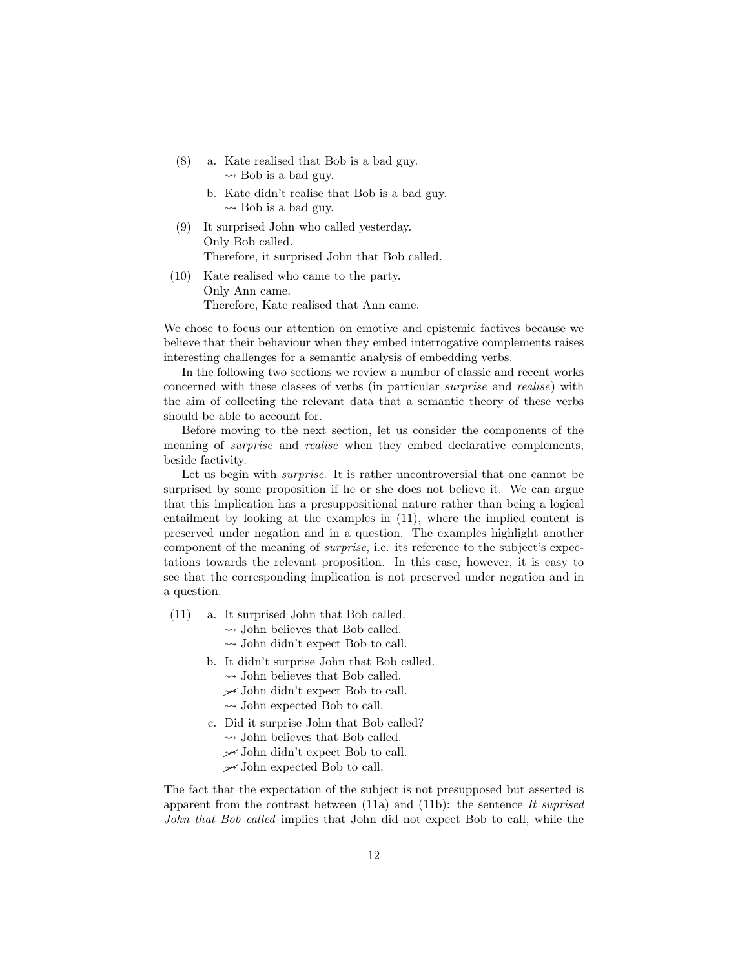- (8) a. Kate realised that Bob is a bad guy.  $\rightsquigarrow$  Bob is a bad guy.
	- b. Kate didn't realise that Bob is a bad guy.  $\rightsquigarrow$  Bob is a bad guy.
- (9) It surprised John who called yesterday. Only Bob called. Therefore, it surprised John that Bob called.
- (10) Kate realised who came to the party. Only Ann came. Therefore, Kate realised that Ann came.

We chose to focus our attention on emotive and epistemic factives because we believe that their behaviour when they embed interrogative complements raises interesting challenges for a semantic analysis of embedding verbs.

In the following two sections we review a number of classic and recent works concerned with these classes of verbs (in particular surprise and realise) with the aim of collecting the relevant data that a semantic theory of these verbs should be able to account for.

Before moving to the next section, let us consider the components of the meaning of surprise and realise when they embed declarative complements, beside factivity.

Let us begin with *surprise*. It is rather uncontroversial that one cannot be surprised by some proposition if he or she does not believe it. We can argue that this implication has a presuppositional nature rather than being a logical entailment by looking at the examples in (11), where the implied content is preserved under negation and in a question. The examples highlight another component of the meaning of surprise, i.e. its reference to the subject's expectations towards the relevant proposition. In this case, however, it is easy to see that the corresponding implication is not preserved under negation and in a question.

- (11) a. It surprised John that Bob called.
	- $\rightsquigarrow$  John believes that Bob called.
	- $\rightsquigarrow$  John didn't expect Bob to call.
	- b. It didn't surprise John that Bob called.
		- $\rightsquigarrow$  John believes that Bob called.
		- $\rightarrow$  John didn't expect Bob to call.
		- $\rightsquigarrow$  John expected Bob to call.
	- c. Did it surprise John that Bob called?
		- $\rightsquigarrow$  John believes that Bob called.
		- $\rightarrow$  John didn't expect Bob to call.
		- $\rightarrow$  John expected Bob to call.

The fact that the expectation of the subject is not presupposed but asserted is apparent from the contrast between  $(11a)$  and  $(11b)$ : the sentence It suprised John that Bob called implies that John did not expect Bob to call, while the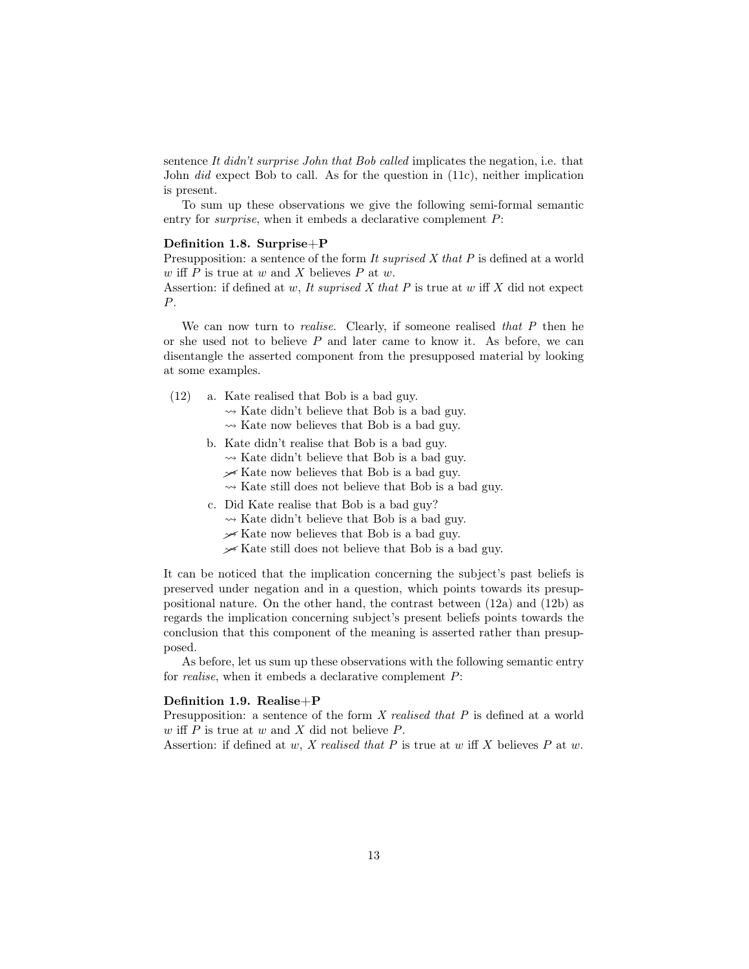sentence It didn't surprise John that Bob called implicates the negation, i.e. that John did expect Bob to call. As for the question in (11c), neither implication is present.

To sum up these observations we give the following semi-formal semantic entry for *surprise*, when it embeds a declarative complement  $P$ :

#### Definition 1.8. Surprise+P

Presupposition: a sentence of the form It supprised X that P is defined at a world w iff  $P$  is true at  $w$  and  $X$  believes  $P$  at  $w$ .

Assertion: if defined at  $w$ , It suprised  $X$  that  $P$  is true at  $w$  iff  $X$  did not expect P.

We can now turn to *realise*. Clearly, if someone realised that  $P$  then he or she used not to believe  $P$  and later came to know it. As before, we can disentangle the asserted component from the presupposed material by looking at some examples.

- (12) a. Kate realised that Bob is a bad guy.
	- $\rightsquigarrow$  Kate didn't believe that Bob is a bad guy.
	- $\rightsquigarrow$  Kate now believes that Bob is a bad guy.
	- b. Kate didn't realise that Bob is a bad guy.
		- $\rightsquigarrow$  Kate didn't believe that Bob is a bad guy.
		- $\frac{\mathcal{A}}{\mathcal{A}}$  Kate now believes that Bob is a bad guy.
		- $\rightsquigarrow$  Kate still does not believe that Bob is a bad guy.
	- c. Did Kate realise that Bob is a bad guy?
		- $\rightsquigarrow$  Kate didn't believe that Bob is a bad guy.
		- $\mathcal{F}$  Kate now believes that Bob is a bad guy.
		- $\frac{1}{2}$  Kate still does not believe that Bob is a bad guy.

It can be noticed that the implication concerning the subject's past beliefs is preserved under negation and in a question, which points towards its presuppositional nature. On the other hand, the contrast between (12a) and (12b) as regards the implication concerning subject's present beliefs points towards the conclusion that this component of the meaning is asserted rather than presupposed.

As before, let us sum up these observations with the following semantic entry for realise, when it embeds a declarative complement P:

#### Definition 1.9. Realise+P

Presupposition: a sentence of the form X realised that P is defined at a world w iff  $P$  is true at  $w$  and  $X$  did not believe  $P$ .

Assertion: if defined at  $w$ , X realised that P is true at  $w$  iff X believes P at  $w$ .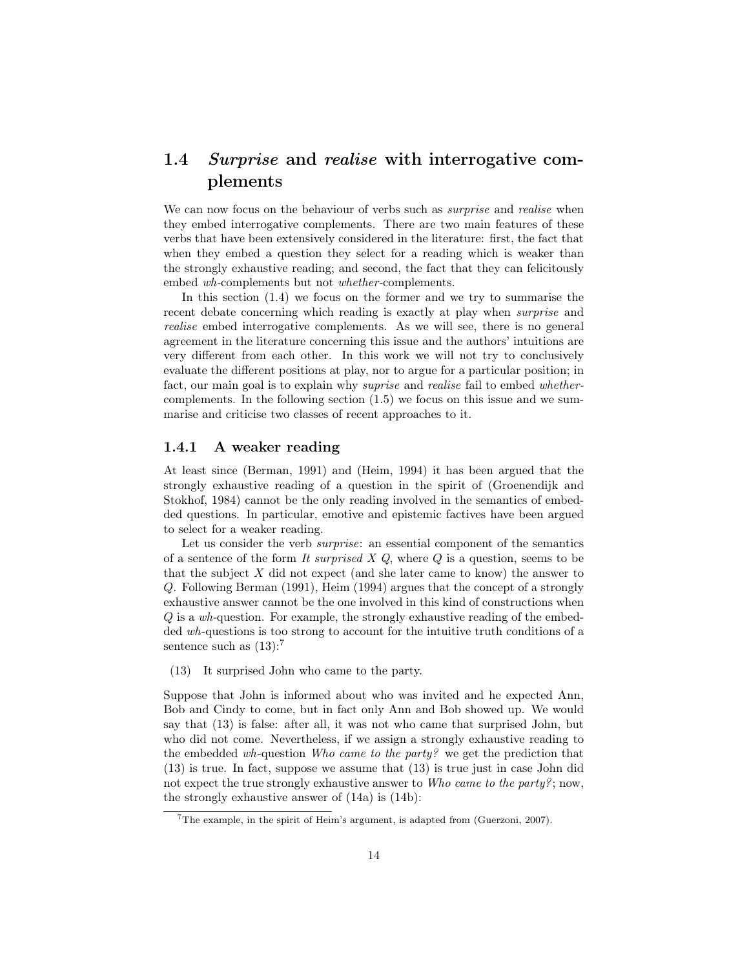## 1.4 Surprise and realise with interrogative complements

We can now focus on the behaviour of verbs such as *surprise* and *realise* when they embed interrogative complements. There are two main features of these verbs that have been extensively considered in the literature: first, the fact that when they embed a question they select for a reading which is weaker than the strongly exhaustive reading; and second, the fact that they can felicitously embed wh-complements but not whether-complements.

In this section (1.4) we focus on the former and we try to summarise the recent debate concerning which reading is exactly at play when *surprise* and realise embed interrogative complements. As we will see, there is no general agreement in the literature concerning this issue and the authors' intuitions are very different from each other. In this work we will not try to conclusively evaluate the different positions at play, nor to argue for a particular position; in fact, our main goal is to explain why suprise and realise fail to embed whethercomplements. In the following section (1.5) we focus on this issue and we summarise and criticise two classes of recent approaches to it.

#### 1.4.1 A weaker reading

At least since (Berman, 1991) and (Heim, 1994) it has been argued that the strongly exhaustive reading of a question in the spirit of (Groenendijk and Stokhof, 1984) cannot be the only reading involved in the semantics of embedded questions. In particular, emotive and epistemic factives have been argued to select for a weaker reading.

Let us consider the verb *surprise*: an essential component of the semantics of a sentence of the form It surprised  $X$  Q, where  $Q$  is a question, seems to be that the subject  $X$  did not expect (and she later came to know) the answer to Q. Following Berman (1991), Heim (1994) argues that the concept of a strongly exhaustive answer cannot be the one involved in this kind of constructions when Q is a wh-question. For example, the strongly exhaustive reading of the embedded wh-questions is too strong to account for the intuitive truth conditions of a sentence such as  $(13)$ :<sup>7</sup>

(13) It surprised John who came to the party.

Suppose that John is informed about who was invited and he expected Ann, Bob and Cindy to come, but in fact only Ann and Bob showed up. We would say that (13) is false: after all, it was not who came that surprised John, but who did not come. Nevertheless, if we assign a strongly exhaustive reading to the embedded wh-question Who came to the party? we get the prediction that (13) is true. In fact, suppose we assume that (13) is true just in case John did not expect the true strongly exhaustive answer to Who came to the party?; now, the strongly exhaustive answer of (14a) is (14b):

<sup>7</sup>The example, in the spirit of Heim's argument, is adapted from (Guerzoni, 2007).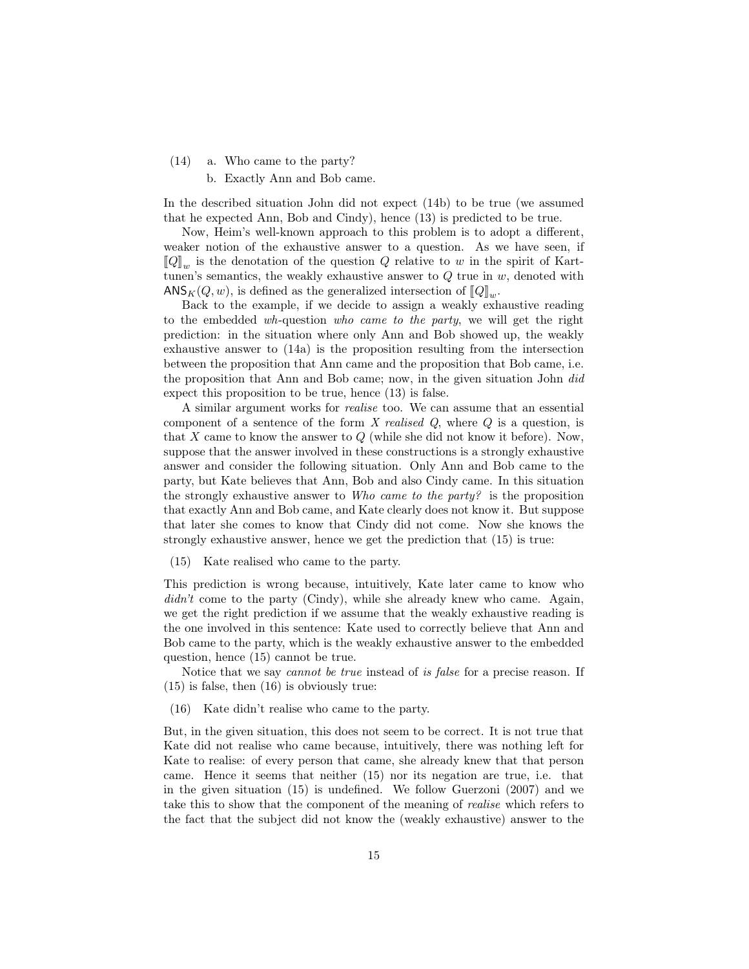- (14) a. Who came to the party?
	- b. Exactly Ann and Bob came.

In the described situation John did not expect (14b) to be true (we assumed that he expected Ann, Bob and Cindy), hence (13) is predicted to be true.

Now, Heim's well-known approach to this problem is to adopt a different, weaker notion of the exhaustive answer to a question. As we have seen, if  $\llbracket Q \rrbracket_w$  is the denotation of the question Q relative to w in the spirit of Kart-<br>tunon's somewhere the workly order to Q true in an denoted with tunen's semantics, the weakly exhaustive answer to  $Q$  true in  $w$ , denoted with  $\text{ANS}_K(Q, w)$ , is defined as the generalized intersection of  $\llbracket Q \rrbracket_w$ .<br>Rock to the example if we decide to again a weekly only

Back to the example, if we decide to assign a weakly exhaustive reading to the embedded wh-question who came to the party, we will get the right prediction: in the situation where only Ann and Bob showed up, the weakly exhaustive answer to (14a) is the proposition resulting from the intersection between the proposition that Ann came and the proposition that Bob came, i.e. the proposition that Ann and Bob came; now, in the given situation John did expect this proposition to be true, hence (13) is false.

A similar argument works for realise too. We can assume that an essential component of a sentence of the form X realised  $Q$ , where  $Q$  is a question, is that  $X$  came to know the answer to  $Q$  (while she did not know it before). Now, suppose that the answer involved in these constructions is a strongly exhaustive answer and consider the following situation. Only Ann and Bob came to the party, but Kate believes that Ann, Bob and also Cindy came. In this situation the strongly exhaustive answer to Who came to the party? is the proposition that exactly Ann and Bob came, and Kate clearly does not know it. But suppose that later she comes to know that Cindy did not come. Now she knows the strongly exhaustive answer, hence we get the prediction that (15) is true:

(15) Kate realised who came to the party.

This prediction is wrong because, intuitively, Kate later came to know who didn't come to the party (Cindy), while she already knew who came. Again, we get the right prediction if we assume that the weakly exhaustive reading is the one involved in this sentence: Kate used to correctly believe that Ann and Bob came to the party, which is the weakly exhaustive answer to the embedded question, hence (15) cannot be true.

Notice that we say *cannot be true* instead of *is false* for a precise reason. If (15) is false, then (16) is obviously true:

(16) Kate didn't realise who came to the party.

But, in the given situation, this does not seem to be correct. It is not true that Kate did not realise who came because, intuitively, there was nothing left for Kate to realise: of every person that came, she already knew that that person came. Hence it seems that neither (15) nor its negation are true, i.e. that in the given situation (15) is undefined. We follow Guerzoni (2007) and we take this to show that the component of the meaning of realise which refers to the fact that the subject did not know the (weakly exhaustive) answer to the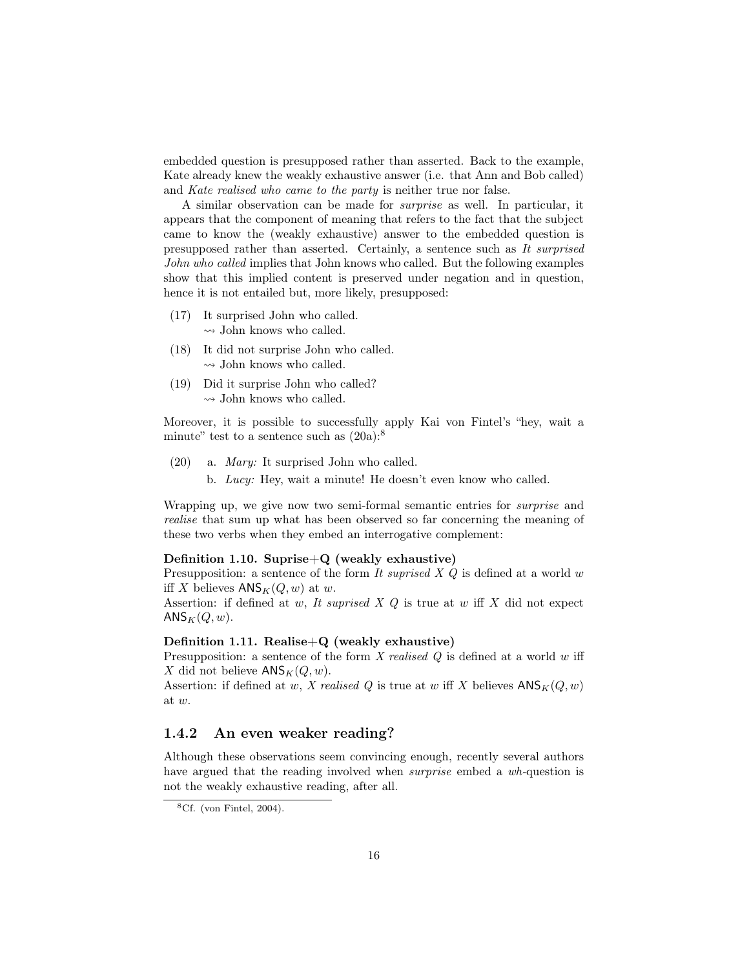embedded question is presupposed rather than asserted. Back to the example, Kate already knew the weakly exhaustive answer (i.e. that Ann and Bob called) and Kate realised who came to the party is neither true nor false.

A similar observation can be made for surprise as well. In particular, it appears that the component of meaning that refers to the fact that the subject came to know the (weakly exhaustive) answer to the embedded question is presupposed rather than asserted. Certainly, a sentence such as It surprised John who called implies that John knows who called. But the following examples show that this implied content is preserved under negation and in question, hence it is not entailed but, more likely, presupposed:

- (17) It surprised John who called.
	- $\rightsquigarrow$  John knows who called.
- (18) It did not surprise John who called.  $\rightsquigarrow$  John knows who called.
- (19) Did it surprise John who called?  $\rightsquigarrow$  John knows who called.

Moreover, it is possible to successfully apply Kai von Fintel's "hey, wait a minute" test to a sentence such as  $(20a)$ :<sup>8</sup>

- (20) a. Mary: It surprised John who called.
	- b. Lucy: Hey, wait a minute! He doesn't even know who called.

Wrapping up, we give now two semi-formal semantic entries for *surprise* and realise that sum up what has been observed so far concerning the meaning of these two verbs when they embed an interrogative complement:

#### Definition 1.10. Suprise $+Q$  (weakly exhaustive)

Presupposition: a sentence of the form It suprised X  $Q$  is defined at a world w iff X believes  $\mathsf{ANS}_K(Q, w)$  at w.

Assertion: if defined at w, It suprised  $X$   $Q$  is true at w iff  $X$  did not expect  $ANS_K(Q, w)$ .

#### Definition 1.11. Realise $+Q$  (weakly exhaustive)

Presupposition: a sentence of the form  $X$  realised  $Q$  is defined at a world  $w$  iff X did not believe  $\mathsf{ANS}_K(Q, w)$ .

Assertion: if defined at  $w$ , X realised Q is true at  $w$  iff X believes  $\mathsf{ANS}_K(Q, w)$ at w.

#### 1.4.2 An even weaker reading?

Although these observations seem convincing enough, recently several authors have argued that the reading involved when *surprise* embed a wh-question is not the weakly exhaustive reading, after all.

 ${}^{8}$ Cf. (von Fintel, 2004).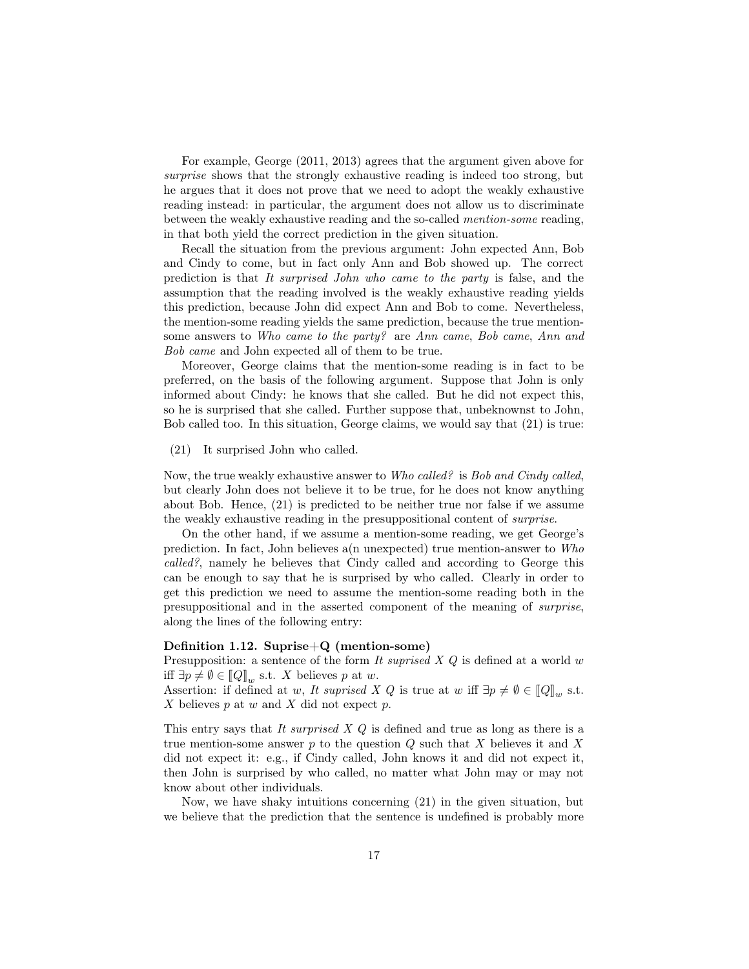For example, George (2011, 2013) agrees that the argument given above for surprise shows that the strongly exhaustive reading is indeed too strong, but he argues that it does not prove that we need to adopt the weakly exhaustive reading instead: in particular, the argument does not allow us to discriminate between the weakly exhaustive reading and the so-called mention-some reading, in that both yield the correct prediction in the given situation.

Recall the situation from the previous argument: John expected Ann, Bob and Cindy to come, but in fact only Ann and Bob showed up. The correct prediction is that It surprised John who came to the party is false, and the assumption that the reading involved is the weakly exhaustive reading yields this prediction, because John did expect Ann and Bob to come. Nevertheless, the mention-some reading yields the same prediction, because the true mentionsome answers to Who came to the party? are Ann came, Bob came, Ann and Bob came and John expected all of them to be true.

Moreover, George claims that the mention-some reading is in fact to be preferred, on the basis of the following argument. Suppose that John is only informed about Cindy: he knows that she called. But he did not expect this, so he is surprised that she called. Further suppose that, unbeknownst to John, Bob called too. In this situation, George claims, we would say that (21) is true:

(21) It surprised John who called.

Now, the true weakly exhaustive answer to Who called? is Bob and Cindy called, but clearly John does not believe it to be true, for he does not know anything about Bob. Hence, (21) is predicted to be neither true nor false if we assume the weakly exhaustive reading in the presuppositional content of surprise.

On the other hand, if we assume a mention-some reading, we get George's prediction. In fact, John believes a(n unexpected) true mention-answer to  $Who$ called?, namely he believes that Cindy called and according to George this can be enough to say that he is surprised by who called. Clearly in order to get this prediction we need to assume the mention-some reading both in the presuppositional and in the asserted component of the meaning of surprise, along the lines of the following entry:

#### Definition 1.12. Suprise+Q (mention-some)

Presupposition: a sentence of the form It suprised  $X$   $Q$  is defined at a world  $w$ iff  $\exists p \neq \emptyset \in [\![Q]\!]_w$  s.t. X believes p at w.<br>Assortion: if defined at w. It eventsed Y

Assertion: if defined at w, It suprised X Q is true at w iff  $\exists p \neq \emptyset \in [Q]_w$  s.t.<br>X believes n at w and X did not expect n  $X$  believes  $p$  at  $w$  and  $X$  did not expect  $p$ .

This entry says that It surprised  $X$  Q is defined and true as long as there is a true mention-some answer  $p$  to the question  $Q$  such that  $X$  believes it and  $X$ did not expect it: e.g., if Cindy called, John knows it and did not expect it, then John is surprised by who called, no matter what John may or may not know about other individuals.

Now, we have shaky intuitions concerning (21) in the given situation, but we believe that the prediction that the sentence is undefined is probably more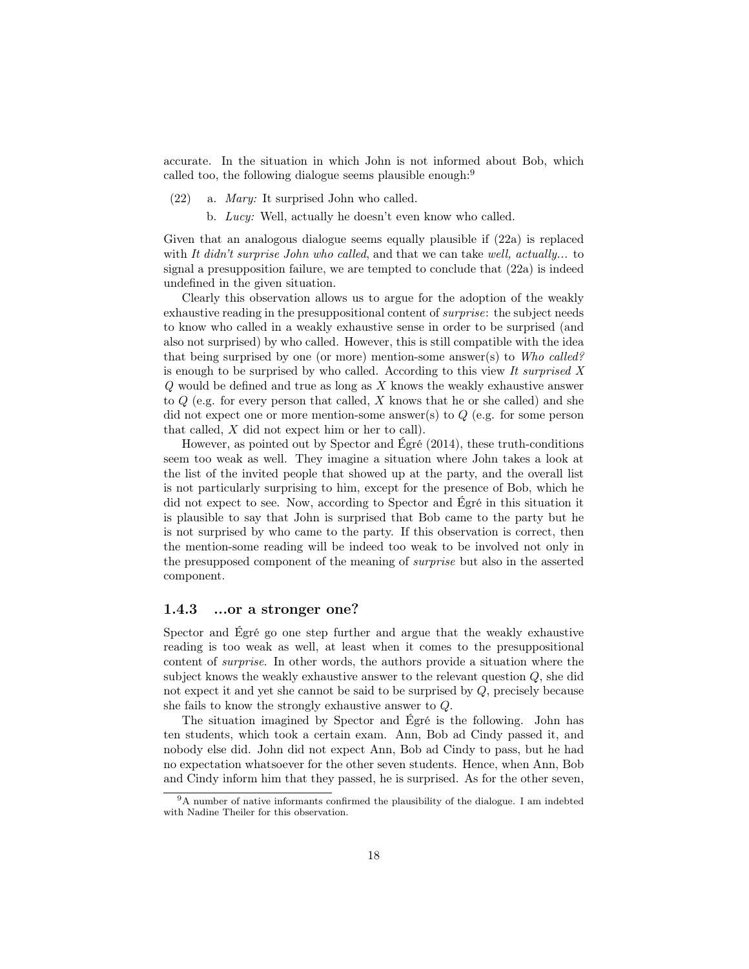accurate. In the situation in which John is not informed about Bob, which called too, the following dialogue seems plausible enough:<sup>9</sup>

- (22) a. Mary: It surprised John who called.
	- b. Lucy: Well, actually he doesn't even know who called.

Given that an analogous dialogue seems equally plausible if (22a) is replaced with It didn't surprise John who called, and that we can take well, actually... to signal a presupposition failure, we are tempted to conclude that (22a) is indeed undefined in the given situation.

Clearly this observation allows us to argue for the adoption of the weakly exhaustive reading in the presuppositional content of *surprise*: the subject needs to know who called in a weakly exhaustive sense in order to be surprised (and also not surprised) by who called. However, this is still compatible with the idea that being surprised by one (or more) mention-some answer(s) to Who called? is enough to be surprised by who called. According to this view It surprised  $X$  $Q$  would be defined and true as long as  $X$  knows the weakly exhaustive answer to  $Q$  (e.g. for every person that called, X knows that he or she called) and she did not expect one or more mention-some answer(s) to Q (e.g. for some person that called, X did not expect him or her to call).

However, as pointed out by Spector and Égré (2014), these truth-conditions seem too weak as well. They imagine a situation where John takes a look at the list of the invited people that showed up at the party, and the overall list is not particularly surprising to him, except for the presence of Bob, which he did not expect to see. Now, according to Spector and Égré in this situation it is plausible to say that John is surprised that Bob came to the party but he is not surprised by who came to the party. If this observation is correct, then the mention-some reading will be indeed too weak to be involved not only in the presupposed component of the meaning of surprise but also in the asserted component.

#### 1.4.3 ...or a stronger one?

Spector and Égré go one step further and argue that the weakly exhaustive reading is too weak as well, at least when it comes to the presuppositional content of surprise. In other words, the authors provide a situation where the subject knows the weakly exhaustive answer to the relevant question Q, she did not expect it and yet she cannot be said to be surprised by Q, precisely because she fails to know the strongly exhaustive answer to Q.

The situation imagined by Spector and Égré is the following. John has ten students, which took a certain exam. Ann, Bob ad Cindy passed it, and nobody else did. John did not expect Ann, Bob ad Cindy to pass, but he had no expectation whatsoever for the other seven students. Hence, when Ann, Bob and Cindy inform him that they passed, he is surprised. As for the other seven,

<sup>&</sup>lt;sup>9</sup>A number of native informants confirmed the plausibility of the dialogue. I am indebted with Nadine Theiler for this observation.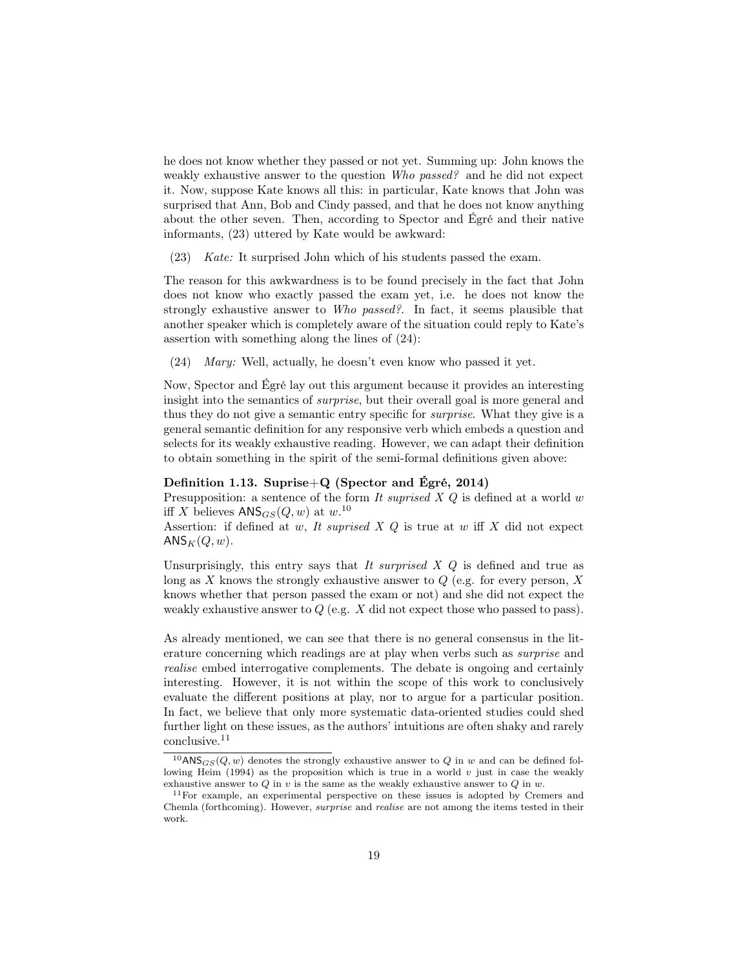he does not know whether they passed or not yet. Summing up: John knows the weakly exhaustive answer to the question Who passed? and he did not expect it. Now, suppose Kate knows all this: in particular, Kate knows that John was surprised that Ann, Bob and Cindy passed, and that he does not know anything about the other seven. Then, according to Spector and Égré and their native informants, (23) uttered by Kate would be awkward:

(23) Kate: It surprised John which of his students passed the exam.

The reason for this awkwardness is to be found precisely in the fact that John does not know who exactly passed the exam yet, i.e. he does not know the strongly exhaustive answer to Who passed?. In fact, it seems plausible that another speaker which is completely aware of the situation could reply to Kate's assertion with something along the lines of (24):

(24) Mary: Well, actually, he doesn't even know who passed it yet.

Now, Spector and Égré lay out this argument because it provides an interesting insight into the semantics of surprise, but their overall goal is more general and thus they do not give a semantic entry specific for surprise. What they give is a general semantic definition for any responsive verb which embeds a question and selects for its weakly exhaustive reading. However, we can adapt their definition to obtain something in the spirit of the semi-formal definitions given above:

#### Definition 1.13. Suprise $+Q$  (Spector and Égré, 2014)

Presupposition: a sentence of the form It suprised  $X$  Q is defined at a world w iff X believes  $\text{ANS}_{GS}(Q, w)$  at  $w$ .<sup>10</sup>

Assertion: if defined at  $w$ , It suprised  $X$   $Q$  is true at  $w$  iff  $X$  did not expect  $ANS_K(Q, w)$ .

Unsurprisingly, this entry says that It surprised  $X$   $Q$  is defined and true as long as X knows the strongly exhaustive answer to  $Q$  (e.g. for every person, X knows whether that person passed the exam or not) and she did not expect the weakly exhaustive answer to  $Q$  (e.g. X did not expect those who passed to pass).

As already mentioned, we can see that there is no general consensus in the literature concerning which readings are at play when verbs such as surprise and realise embed interrogative complements. The debate is ongoing and certainly interesting. However, it is not within the scope of this work to conclusively evaluate the different positions at play, nor to argue for a particular position. In fact, we believe that only more systematic data-oriented studies could shed further light on these issues, as the authors' intuitions are often shaky and rarely conclusive.<sup>11</sup>

 $10$ ANS $_{GS}(Q, w)$  denotes the strongly exhaustive answer to  $Q$  in w and can be defined following Heim (1994) as the proposition which is true in a world  $v$  just in case the weakly exhaustive answer to  $Q$  in  $v$  is the same as the weakly exhaustive answer to  $Q$  in  $w$ .

 $11$  For example, an experimental perspective on these issues is adopted by Cremers and Chemla (forthcoming). However, *surprise* and *realise* are not among the items tested in their work.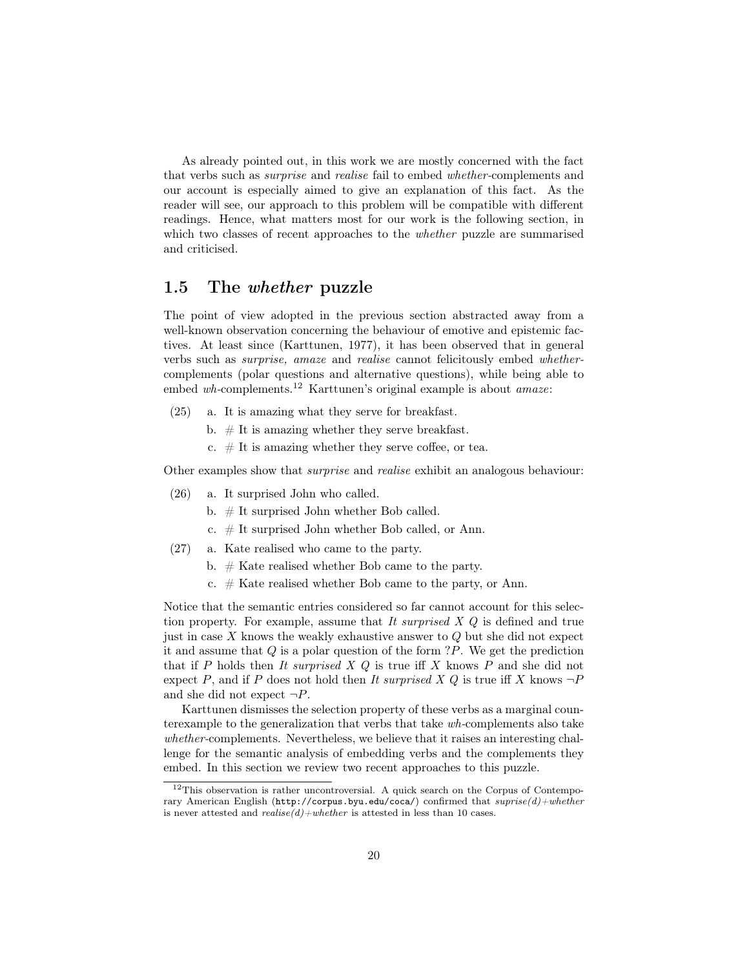As already pointed out, in this work we are mostly concerned with the fact that verbs such as surprise and realise fail to embed whether-complements and our account is especially aimed to give an explanation of this fact. As the reader will see, our approach to this problem will be compatible with different readings. Hence, what matters most for our work is the following section, in which two classes of recent approaches to the *whether* puzzle are summarised and criticised.

#### 1.5 The whether puzzle

The point of view adopted in the previous section abstracted away from a well-known observation concerning the behaviour of emotive and epistemic factives. At least since (Karttunen, 1977), it has been observed that in general verbs such as surprise, amaze and realise cannot felicitously embed whethercomplements (polar questions and alternative questions), while being able to embed wh-complements.<sup>12</sup> Karttunen's original example is about *amaze*:

- (25) a. It is amazing what they serve for breakfast.
	- b.  $#$  It is amazing whether they serve breakfast.
	- c.  $#$  It is amazing whether they serve coffee, or tea.

Other examples show that *surprise* and *realise* exhibit an analogous behaviour:

- (26) a. It surprised John who called.
	- b. # It surprised John whether Bob called.
	- c. # It surprised John whether Bob called, or Ann.
- (27) a. Kate realised who came to the party.
	- b. # Kate realised whether Bob came to the party.
	- c.  $#$  Kate realised whether Bob came to the party, or Ann.

Notice that the semantic entries considered so far cannot account for this selection property. For example, assume that It surprised  $X$   $Q$  is defined and true just in case  $X$  knows the weakly exhaustive answer to  $Q$  but she did not expect it and assume that  $Q$  is a polar question of the form  $?P$ . We get the prediction that if P holds then It surprised  $X$  Q is true iff X knows P and she did not expect P, and if P does not hold then It surprised X Q is true iff X knows  $\neg P$ and she did not expect  $\neg P$ .

Karttunen dismisses the selection property of these verbs as a marginal counterexample to the generalization that verbs that take wh-complements also take whether-complements. Nevertheless, we believe that it raises an interesting challenge for the semantic analysis of embedding verbs and the complements they embed. In this section we review two recent approaches to this puzzle.

<sup>12</sup>This observation is rather uncontroversial. A quick search on the Corpus of Contemporary American English (http://corpus.byu.edu/coca/) confirmed that  $surrise(d) + whether$ is never attested and  $realise(d) + whether$  is attested in less than 10 cases.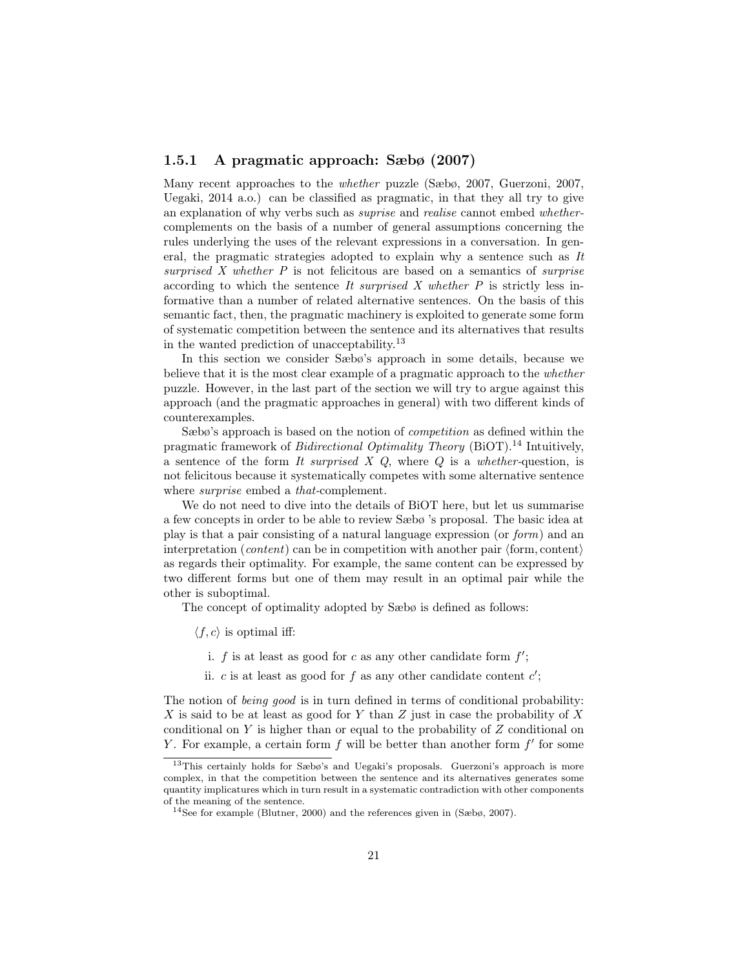#### 1.5.1 A pragmatic approach: Sæbø (2007)

Many recent approaches to the whether puzzle (Sæbø, 2007, Guerzoni, 2007, Uegaki, 2014 a.o.) can be classified as pragmatic, in that they all try to give an explanation of why verbs such as suprise and realise cannot embed whethercomplements on the basis of a number of general assumptions concerning the rules underlying the uses of the relevant expressions in a conversation. In general, the pragmatic strategies adopted to explain why a sentence such as It surprised  $X$  whether  $P$  is not felicitous are based on a semantics of *surprise* according to which the sentence It surprised X whether  $P$  is strictly less informative than a number of related alternative sentences. On the basis of this semantic fact, then, the pragmatic machinery is exploited to generate some form of systematic competition between the sentence and its alternatives that results in the wanted prediction of unacceptability.<sup>13</sup>

In this section we consider Sæbø's approach in some details, because we believe that it is the most clear example of a pragmatic approach to the whether puzzle. However, in the last part of the section we will try to argue against this approach (and the pragmatic approaches in general) with two different kinds of counterexamples.

Sæbø's approach is based on the notion of *competition* as defined within the pragmatic framework of *Bidirectional Optimality Theory* (BiOT).<sup>14</sup> Intuitively, a sentence of the form It surprised  $X$  Q, where  $Q$  is a whether-question, is not felicitous because it systematically competes with some alternative sentence where *surprise* embed a *that*-complement.

We do not need to dive into the details of BiOT here, but let us summarise a few concepts in order to be able to review Sæbø 's proposal. The basic idea at play is that a pair consisting of a natural language expression (or form) and an interpretation (*content*) can be in competition with another pair  $\langle$  form, content $\rangle$ as regards their optimality. For example, the same content can be expressed by two different forms but one of them may result in an optimal pair while the other is suboptimal.

The concept of optimality adopted by Sæbø is defined as follows:

 $\langle f, c \rangle$  is optimal iff:

- i.  $f$  is at least as good for  $c$  as any other candidate form  $f'$ ;
- ii. c is at least as good for f as any other candidate content  $c'$ ;

The notion of *being good* is in turn defined in terms of conditional probability: X is said to be at least as good for Y than Z just in case the probability of X conditional on Y is higher than or equal to the probability of  $Z$  conditional on Y. For example, a certain form  $f$  will be better than another form  $f'$  for some

<sup>13</sup>This certainly holds for Sæbø's and Uegaki's proposals. Guerzoni's approach is more complex, in that the competition between the sentence and its alternatives generates some quantity implicatures which in turn result in a systematic contradiction with other components of the meaning of the sentence.

<sup>14</sup>See for example (Blutner, 2000) and the references given in (Sæbø, 2007).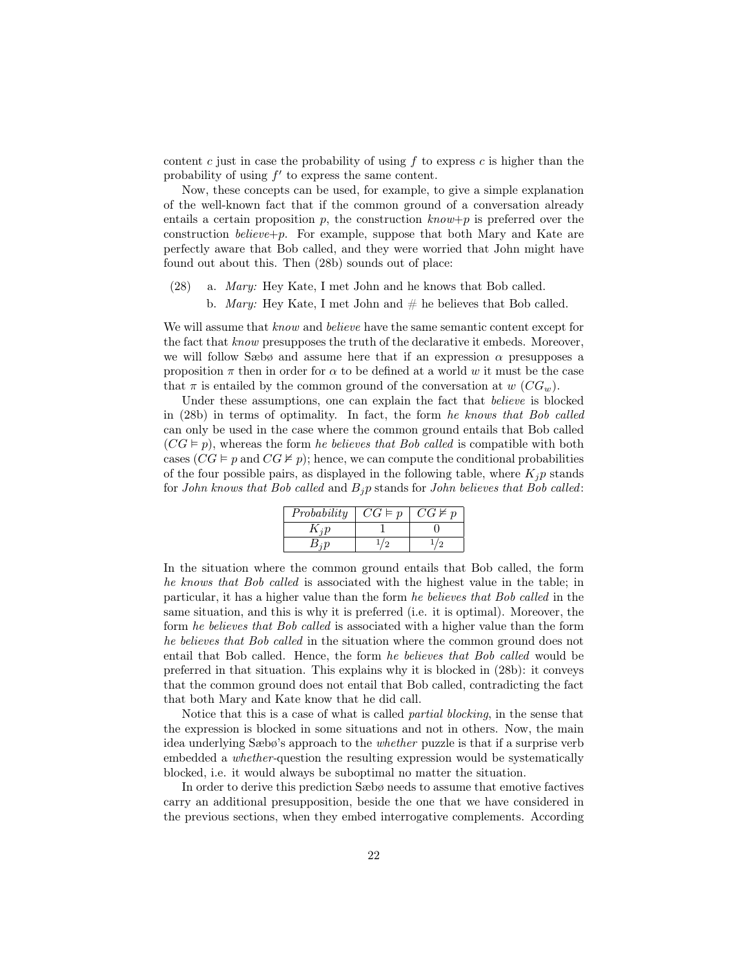content c just in case the probability of using  $f$  to express  $c$  is higher than the probability of using  $f'$  to express the same content.

Now, these concepts can be used, for example, to give a simple explanation of the well-known fact that if the common ground of a conversation already entails a certain proposition p, the construction  $known+p$  is preferred over the construction *believe*+p. For example, suppose that both Mary and Kate are perfectly aware that Bob called, and they were worried that John might have found out about this. Then (28b) sounds out of place:

- (28) a. Mary: Hey Kate, I met John and he knows that Bob called.
	- b. *Mary:* Hey Kate, I met John and  $#$  he believes that Bob called.

We will assume that *know* and *believe* have the same semantic content except for the fact that know presupposes the truth of the declarative it embeds. Moreover, we will follow Sæbø and assume here that if an expression  $\alpha$  presupposes a proposition  $\pi$  then in order for  $\alpha$  to be defined at a world w it must be the case that  $\pi$  is entailed by the common ground of the conversation at  $w$  (CG<sub>w</sub>).

Under these assumptions, one can explain the fact that believe is blocked in (28b) in terms of optimality. In fact, the form he knows that Bob called can only be used in the case where the common ground entails that Bob called  $(CG \vDash p)$ , whereas the form *he believes that Bob called* is compatible with both cases  $(CG \models p \text{ and } CG \not\models p)$ ; hence, we can compute the conditional probabilities of the four possible pairs, as displayed in the following table, where  $K_i p$  stands for John knows that Bob called and  $B_i p$  stands for John believes that Bob called:

| Probability      | $CG \vDash p$ | $CG \not\vDash p$ |
|------------------|---------------|-------------------|
| $\Lambda$ is $n$ |               |                   |
| $B_i p$          |               |                   |

In the situation where the common ground entails that Bob called, the form he knows that Bob called is associated with the highest value in the table; in particular, it has a higher value than the form he believes that Bob called in the same situation, and this is why it is preferred (i.e. it is optimal). Moreover, the form he believes that Bob called is associated with a higher value than the form he believes that Bob called in the situation where the common ground does not entail that Bob called. Hence, the form he believes that Bob called would be preferred in that situation. This explains why it is blocked in (28b): it conveys that the common ground does not entail that Bob called, contradicting the fact that both Mary and Kate know that he did call.

Notice that this is a case of what is called partial blocking, in the sense that the expression is blocked in some situations and not in others. Now, the main idea underlying Sæbø's approach to the whether puzzle is that if a surprise verb embedded a *whether*-question the resulting expression would be systematically blocked, i.e. it would always be suboptimal no matter the situation.

In order to derive this prediction Sæbø needs to assume that emotive factives carry an additional presupposition, beside the one that we have considered in the previous sections, when they embed interrogative complements. According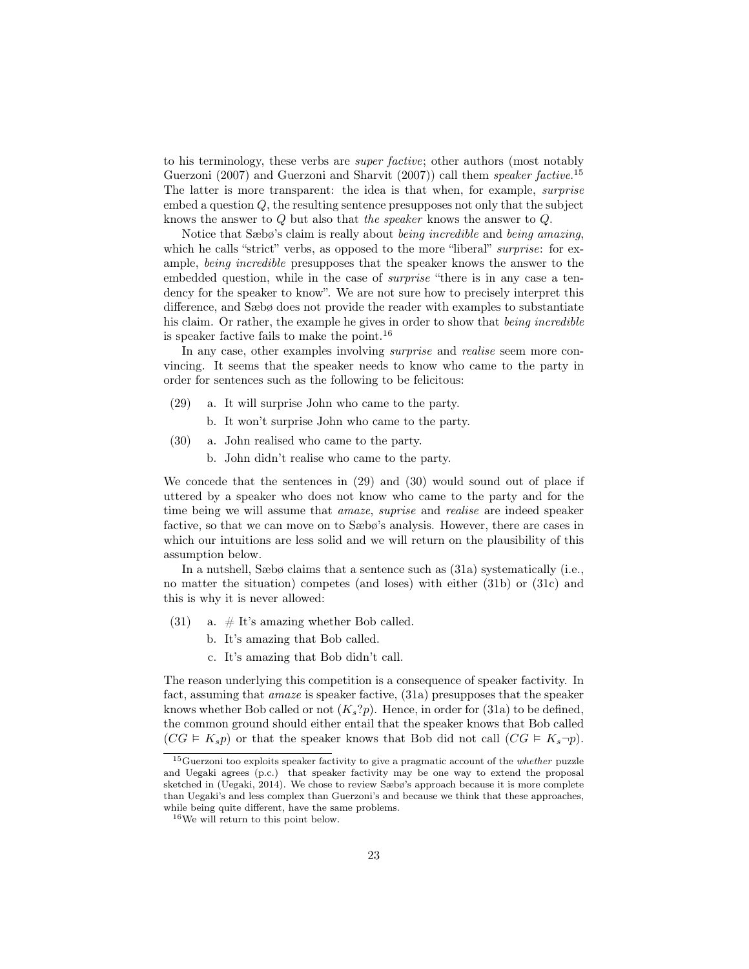to his terminology, these verbs are super factive; other authors (most notably Guerzoni (2007) and Guerzoni and Sharvit (2007)) call them *speaker factive*.<sup>15</sup> The latter is more transparent: the idea is that when, for example, *surprise* embed a question  $Q$ , the resulting sentence presupposes not only that the subject knows the answer to Q but also that the speaker knows the answer to Q.

Notice that Sæbø's claim is really about being incredible and being amazing, which he calls "strict" verbs, as opposed to the more "liberal" *surprise*: for example, being incredible presupposes that the speaker knows the answer to the embedded question, while in the case of surprise "there is in any case a tendency for the speaker to know". We are not sure how to precisely interpret this difference, and Sæbø does not provide the reader with examples to substantiate his claim. Or rather, the example he gives in order to show that being incredible is speaker factive fails to make the point.<sup>16</sup>

In any case, other examples involving surprise and realise seem more convincing. It seems that the speaker needs to know who came to the party in order for sentences such as the following to be felicitous:

- (29) a. It will surprise John who came to the party.
	- b. It won't surprise John who came to the party.
- (30) a. John realised who came to the party.
	- b. John didn't realise who came to the party.

We concede that the sentences in (29) and (30) would sound out of place if uttered by a speaker who does not know who came to the party and for the time being we will assume that *amaze*, *suprise* and *realise* are indeed speaker factive, so that we can move on to Sæbø's analysis. However, there are cases in which our intuitions are less solid and we will return on the plausibility of this assumption below.

In a nutshell, Sæbø claims that a sentence such as (31a) systematically (i.e., no matter the situation) competes (and loses) with either (31b) or (31c) and this is why it is never allowed:

- (31) a.  $\#$  It's amazing whether Bob called.
	- b. It's amazing that Bob called.
	- c. It's amazing that Bob didn't call.

The reason underlying this competition is a consequence of speaker factivity. In fact, assuming that amaze is speaker factive, (31a) presupposes that the speaker knows whether Bob called or not  $(K_s?p)$ . Hence, in order for (31a) to be defined, the common ground should either entail that the speaker knows that Bob called  $(CG \vDash K_s p)$  or that the speaker knows that Bob did not call  $(CG \vDash K_s \neg p)$ .

 $15$ Guerzoni too exploits speaker factivity to give a pragmatic account of the *whether* puzzle and Uegaki agrees (p.c.) that speaker factivity may be one way to extend the proposal sketched in (Uegaki, 2014). We chose to review Sæbø's approach because it is more complete than Uegaki's and less complex than Guerzoni's and because we think that these approaches, while being quite different, have the same problems.

<sup>16</sup>We will return to this point below.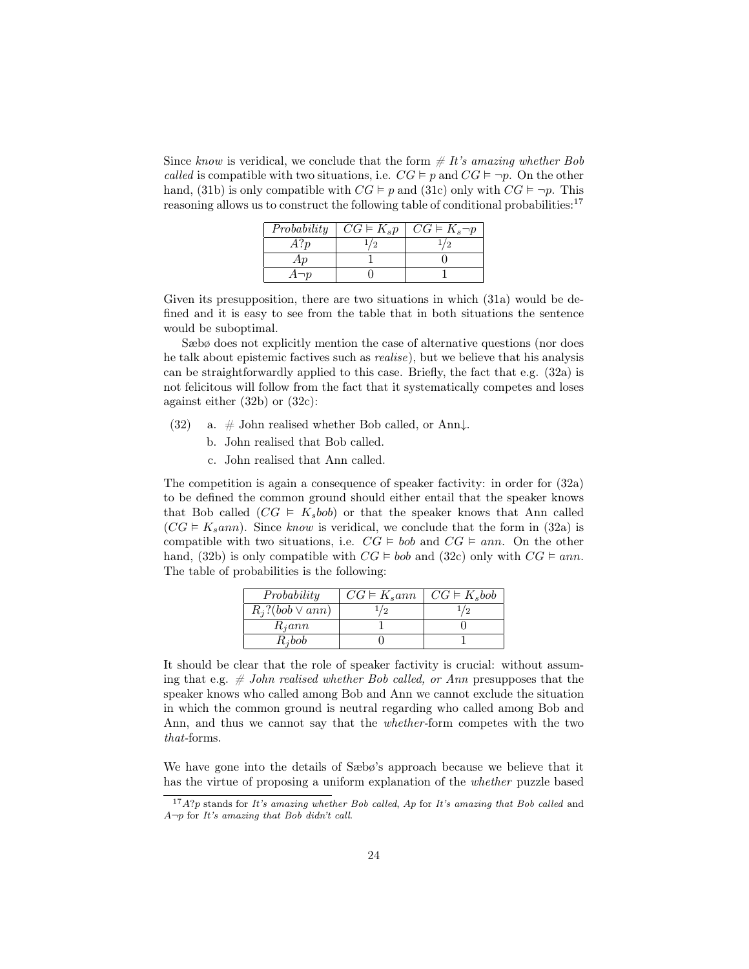Since know is veridical, we conclude that the form  $\# It's\ amazing\ whether\ Bob$ called is compatible with two situations, i.e.  $CG \models p$  and  $CG \models \neg p$ . On the other hand, (31b) is only compatible with  $CG \vDash p$  and (31c) only with  $CG \vDash \neg p$ . This reasoning allows us to construct the following table of conditional probabilities:<sup>17</sup>

| Probability | $CG \vDash K_s p$ | $\mid CG\vDash K_s\neg p$ |
|-------------|-------------------|---------------------------|
| A?p         |                   |                           |
| Аp          |                   |                           |
| $A\neg p$   |                   |                           |

Given its presupposition, there are two situations in which (31a) would be defined and it is easy to see from the table that in both situations the sentence would be suboptimal.

Sæbø does not explicitly mention the case of alternative questions (nor does he talk about epistemic factives such as realise), but we believe that his analysis can be straightforwardly applied to this case. Briefly, the fact that e.g. (32a) is not felicitous will follow from the fact that it systematically competes and loses against either (32b) or (32c):

- (32) a.  $\#$  John realised whether Bob called, or Ann $\downarrow$ .
	- b. John realised that Bob called.
	- c. John realised that Ann called.

The competition is again a consequence of speaker factivity: in order for (32a) to be defined the common ground should either entail that the speaker knows that Bob called  $(CG \in K_s b \circ b)$  or that the speaker knows that Ann called  $(CG \vDash K_{\text{s}}ann)$ . Since know is veridical, we conclude that the form in (32a) is compatible with two situations, i.e.  $CG \models bob$  and  $CG \models ann$ . On the other hand, (32b) is only compatible with  $CG \models bob$  and (32c) only with  $CG \models ann$ . The table of probabilities is the following:

| Probability             | $CG \models K_{\rm s}$ ann | $\mid CG\mathop{\varepsilon} K_sbob$ |
|-------------------------|----------------------------|--------------------------------------|
| $R_i$ ?(bob $\vee$ ann) |                            | 79                                   |
| $R_i$ ann               |                            |                                      |
| $R_i$ bob               |                            |                                      |

It should be clear that the role of speaker factivity is crucial: without assuming that e.g.  $\#$  John realised whether Bob called, or Ann presupposes that the speaker knows who called among Bob and Ann we cannot exclude the situation in which the common ground is neutral regarding who called among Bob and Ann, and thus we cannot say that the whether-form competes with the two that-forms.

We have gone into the details of Sæbø's approach because we believe that it has the virtue of proposing a uniform explanation of the whether puzzle based

 $17A$ ?p stands for It's amazing whether Bob called, Ap for It's amazing that Bob called and  $A\neg p$  for It's amazing that Bob didn't call.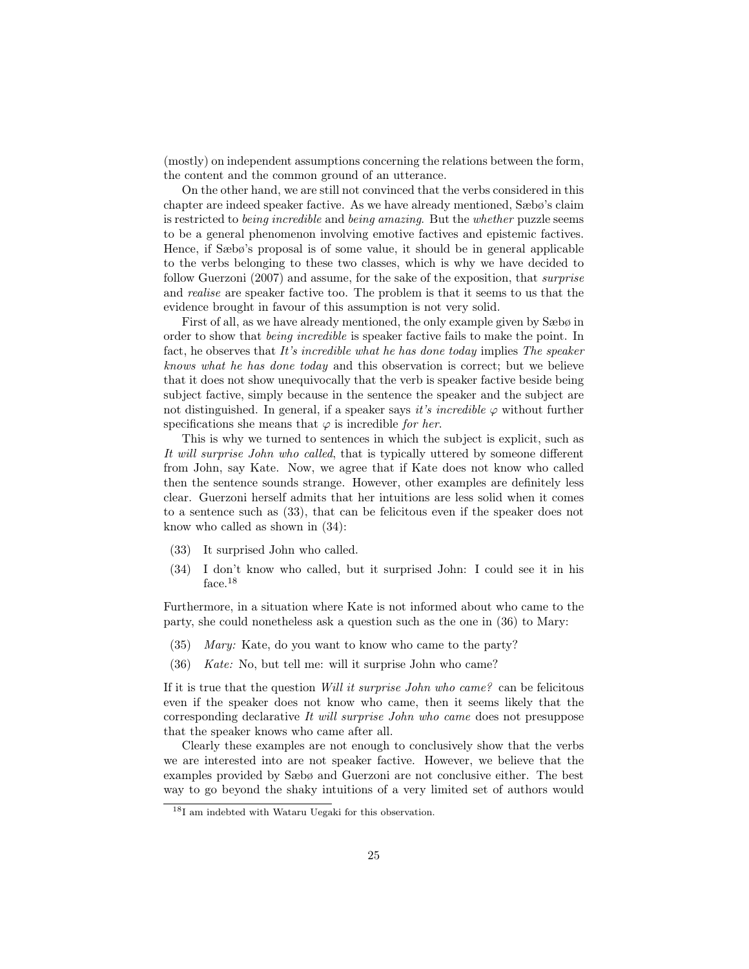(mostly) on independent assumptions concerning the relations between the form, the content and the common ground of an utterance.

On the other hand, we are still not convinced that the verbs considered in this chapter are indeed speaker factive. As we have already mentioned, Sæbø's claim is restricted to being incredible and being amazing. But the whether puzzle seems to be a general phenomenon involving emotive factives and epistemic factives. Hence, if Sæbø's proposal is of some value, it should be in general applicable to the verbs belonging to these two classes, which is why we have decided to follow Guerzoni (2007) and assume, for the sake of the exposition, that surprise and realise are speaker factive too. The problem is that it seems to us that the evidence brought in favour of this assumption is not very solid.

First of all, as we have already mentioned, the only example given by Sæbø in order to show that *being incredible* is speaker factive fails to make the point. In fact, he observes that It's incredible what he has done today implies The speaker knows what he has done today and this observation is correct; but we believe that it does not show unequivocally that the verb is speaker factive beside being subject factive, simply because in the sentence the speaker and the subject are not distinguished. In general, if a speaker says it's incredible  $\varphi$  without further specifications she means that  $\varphi$  is incredible for her.

This is why we turned to sentences in which the subject is explicit, such as It will surprise John who called, that is typically uttered by someone different from John, say Kate. Now, we agree that if Kate does not know who called then the sentence sounds strange. However, other examples are definitely less clear. Guerzoni herself admits that her intuitions are less solid when it comes to a sentence such as (33), that can be felicitous even if the speaker does not know who called as shown in (34):

- (33) It surprised John who called.
- (34) I don't know who called, but it surprised John: I could see it in his face.<sup>18</sup>

Furthermore, in a situation where Kate is not informed about who came to the party, she could nonetheless ask a question such as the one in (36) to Mary:

- (35) Mary: Kate, do you want to know who came to the party?
- (36) Kate: No, but tell me: will it surprise John who came?

If it is true that the question Will it surprise John who came? can be felicitous even if the speaker does not know who came, then it seems likely that the corresponding declarative It will surprise John who came does not presuppose that the speaker knows who came after all.

Clearly these examples are not enough to conclusively show that the verbs we are interested into are not speaker factive. However, we believe that the examples provided by Sæbø and Guerzoni are not conclusive either. The best way to go beyond the shaky intuitions of a very limited set of authors would

<sup>18</sup>I am indebted with Wataru Uegaki for this observation.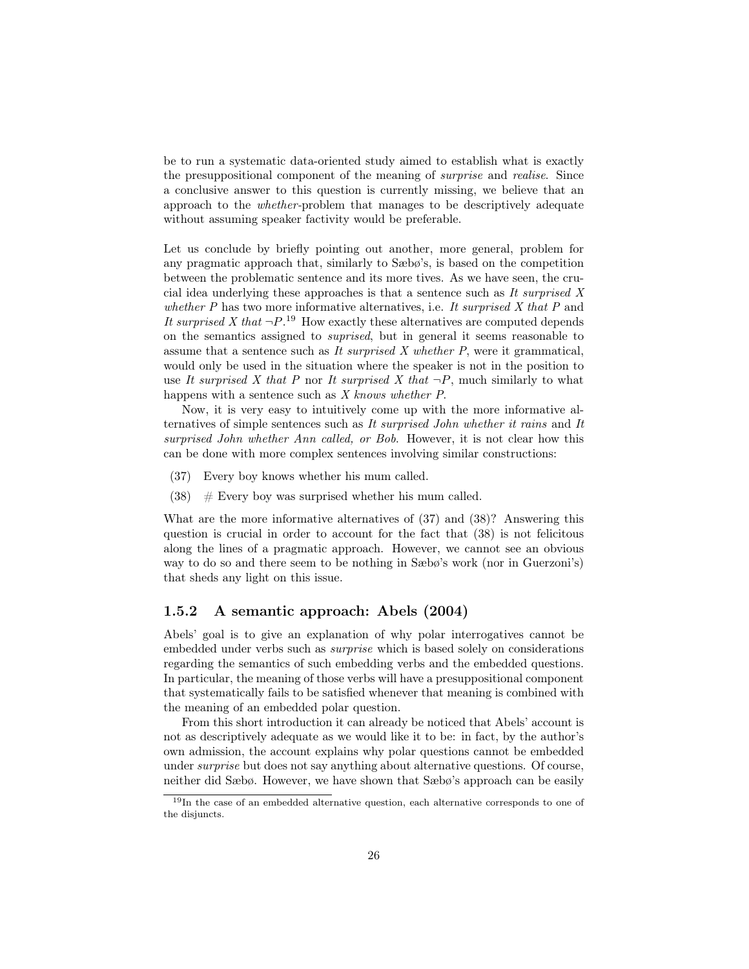be to run a systematic data-oriented study aimed to establish what is exactly the presuppositional component of the meaning of surprise and realise. Since a conclusive answer to this question is currently missing, we believe that an approach to the whether-problem that manages to be descriptively adequate without assuming speaker factivity would be preferable.

Let us conclude by briefly pointing out another, more general, problem for any pragmatic approach that, similarly to Sæbø's, is based on the competition between the problematic sentence and its more tives. As we have seen, the crucial idea underlying these approaches is that a sentence such as It surprised X whether  $P$  has two more informative alternatives, i.e. It surprised  $X$  that  $P$  and It surprised X that  $\neg P$ .<sup>19</sup> How exactly these alternatives are computed depends on the semantics assigned to suprised, but in general it seems reasonable to assume that a sentence such as It surprised  $X$  whether  $P$ , were it grammatical, would only be used in the situation where the speaker is not in the position to use It surprised X that P nor It surprised X that  $\neg P$ , much similarly to what happens with a sentence such as X knows whether P.

Now, it is very easy to intuitively come up with the more informative alternatives of simple sentences such as It surprised John whether it rains and It surprised John whether Ann called, or Bob. However, it is not clear how this can be done with more complex sentences involving similar constructions:

- (37) Every boy knows whether his mum called.
- $(38)$  # Every boy was surprised whether his mum called.

What are the more informative alternatives of (37) and (38)? Answering this question is crucial in order to account for the fact that (38) is not felicitous along the lines of a pragmatic approach. However, we cannot see an obvious way to do so and there seem to be nothing in Sæbø's work (nor in Guerzoni's) that sheds any light on this issue.

#### 1.5.2 A semantic approach: Abels (2004)

Abels' goal is to give an explanation of why polar interrogatives cannot be embedded under verbs such as surprise which is based solely on considerations regarding the semantics of such embedding verbs and the embedded questions. In particular, the meaning of those verbs will have a presuppositional component that systematically fails to be satisfied whenever that meaning is combined with the meaning of an embedded polar question.

From this short introduction it can already be noticed that Abels' account is not as descriptively adequate as we would like it to be: in fact, by the author's own admission, the account explains why polar questions cannot be embedded under surprise but does not say anything about alternative questions. Of course, neither did Sæbø. However, we have shown that Sæbø's approach can be easily

<sup>&</sup>lt;sup>19</sup>In the case of an embedded alternative question, each alternative corresponds to one of the disjuncts.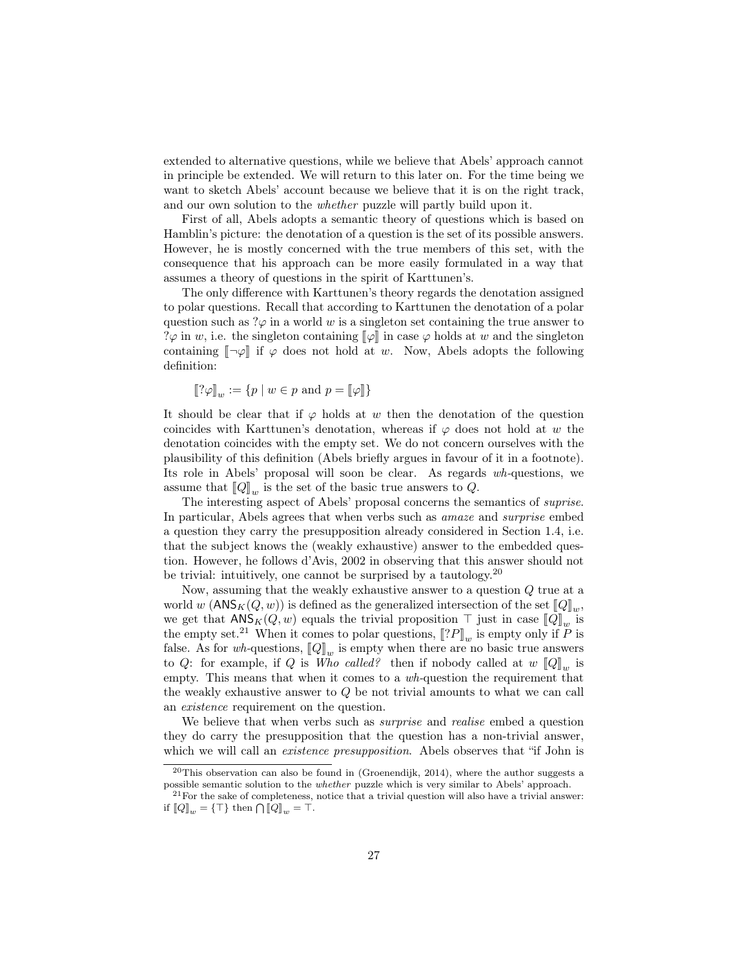extended to alternative questions, while we believe that Abels' approach cannot in principle be extended. We will return to this later on. For the time being we want to sketch Abels' account because we believe that it is on the right track, and our own solution to the whether puzzle will partly build upon it.

First of all, Abels adopts a semantic theory of questions which is based on Hamblin's picture: the denotation of a question is the set of its possible answers. However, he is mostly concerned with the true members of this set, with the consequence that his approach can be more easily formulated in a way that assumes a theory of questions in the spirit of Karttunen's.

The only difference with Karttunen's theory regards the denotation assigned to polar questions. Recall that according to Karttunen the denotation of a polar question such as  $\alpha \varphi$  in a world w is a singleton set containing the true answer to ? $\varphi$  in w, i.e. the singleton containing  $[\varphi]$  in case  $\varphi$  holds at w and the singleton containing  $\lceil \neg \varphi \rceil$  if  $\varphi$  does not hold at w. Now, Abels adopts the following definition:

$$
[\![? \varphi]_w := \{ p \mid w \in p \text{ and } p = [\![ \varphi ]\!]\}
$$

It should be clear that if  $\varphi$  holds at w then the denotation of the question coincides with Karttunen's denotation, whereas if  $\varphi$  does not hold at w the denotation coincides with the empty set. We do not concern ourselves with the plausibility of this definition (Abels briefly argues in favour of it in a footnote). Its role in Abels' proposal will soon be clear. As regards wh-questions, we assume that  $\llbracket Q \rrbracket_w$  is the set of the basic true answers to Q.<br>The interesting appear of Abele' proposed concerns the set

The interesting aspect of Abels' proposal concerns the semantics of suprise. In particular, Abels agrees that when verbs such as amaze and surprise embed a question they carry the presupposition already considered in Section 1.4, i.e. that the subject knows the (weakly exhaustive) answer to the embedded question. However, he follows d'Avis, 2002 in observing that this answer should not be trivial: intuitively, one cannot be surprised by a tautology.  $2^0$ 

Now, assuming that the weakly exhaustive answer to a question Q true at a world w  $(ANS_K(Q, w))$  is defined as the generalized intersection of the set  $[Q]_w$ ,<br>we get that ANS  $_*(Q, w)$  equals the trivial proposition  $\top$  just in goog  $[Q]_w$ , we get that  $\mathsf{ANS}_K(Q, w)$  equals the trivial proposition  $\top$  just in case  $[\![Q]\!]_w$  is<br>the empty set <sup>21</sup> When it comes to polar questions  $[\![2P]\!]$  is empty only if *P* is the empty set.<sup>21</sup> When it comes to polar questions,  $[[?P]]_w$  is empty only if P is false. As for what questions,  $[[O]]_w$  is empty when there are no basis true approved false. As for wh-questions,  $[\![Q]\!]_w$  is empty when there are no basic true answers<br>to  $Q$ : for example if  $Q$  is  $W$ he called then if pobody called at an  $[Q]\!]$  is to Q: for example, if Q is Who called? then if nobody called at  $w$  [ $Q$ ]<sub>w</sub> is<br>compty. This means that when it comes to a whole vertice the requirement that empty. This means that when it comes to a  $wh$ -question the requirement that the weakly exhaustive answer to Q be not trivial amounts to what we can call an existence requirement on the question.

We believe that when verbs such as *surprise* and *realise* embed a question they do carry the presupposition that the question has a non-trivial answer, which we will call an *existence presupposition*. Abels observes that "if John is

 $20$ This observation can also be found in (Groenendijk, 2014), where the author suggests a possible semantic solution to the whether puzzle which is very similar to Abels' approach.

 $\rm ^{21}For$  the sake of completeness, notice that a trivial question will also have a trivial answer: if  $\llbracket Q \rrbracket_w = {\top}$  then  $\bigcap \llbracket Q \rrbracket_w = {\top}$ .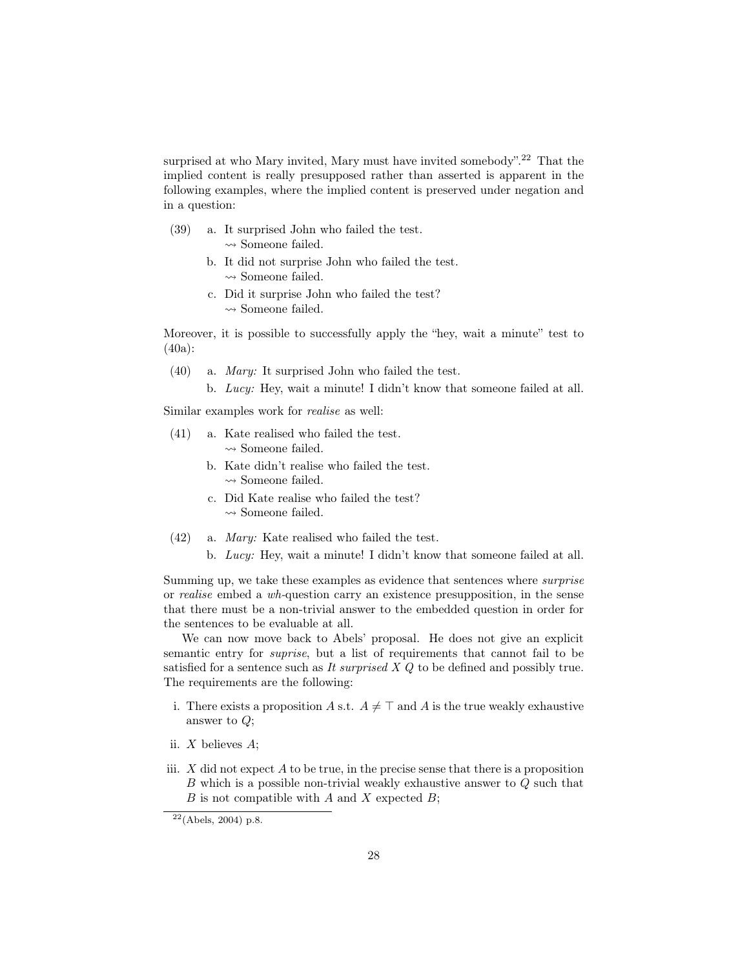surprised at who Mary invited, Mary must have invited somebody".<sup>22</sup> That the implied content is really presupposed rather than asserted is apparent in the following examples, where the implied content is preserved under negation and in a question:

- (39) a. It surprised John who failed the test.  $\rightsquigarrow$  Someone failed.
	- b. It did not surprise John who failed the test.  $\rightsquigarrow$  Someone failed.
	- c. Did it surprise John who failed the test?  $\rightsquigarrow$  Someone failed.

Moreover, it is possible to successfully apply the "hey, wait a minute" test to (40a):

- (40) a. Mary: It surprised John who failed the test.
	- b. Lucy: Hey, wait a minute! I didn't know that someone failed at all.

Similar examples work for realise as well:

- (41) a. Kate realised who failed the test.  $\rightsquigarrow$  Someone failed.
	- b. Kate didn't realise who failed the test.  $\rightsquigarrow$  Someone failed.
	- c. Did Kate realise who failed the test?  $\rightsquigarrow$  Someone failed.
- (42) a. Mary: Kate realised who failed the test.
	- b. Lucy: Hey, wait a minute! I didn't know that someone failed at all.

Summing up, we take these examples as evidence that sentences where surprise or realise embed a wh-question carry an existence presupposition, in the sense that there must be a non-trivial answer to the embedded question in order for the sentences to be evaluable at all.

We can now move back to Abels' proposal. He does not give an explicit semantic entry for suprise, but a list of requirements that cannot fail to be satisfied for a sentence such as It surprised  $X$  Q to be defined and possibly true. The requirements are the following:

- i. There exists a proposition A s.t.  $A \neq \top$  and A is the true weakly exhaustive answer to Q;
- ii. X believes A;
- iii.  $X$  did not expect  $A$  to be true, in the precise sense that there is a proposition B which is a possible non-trivial weakly exhaustive answer to Q such that  $B$  is not compatible with  $A$  and  $X$  expected  $B$ ;

 $22(Abels, 2004)$  p.8.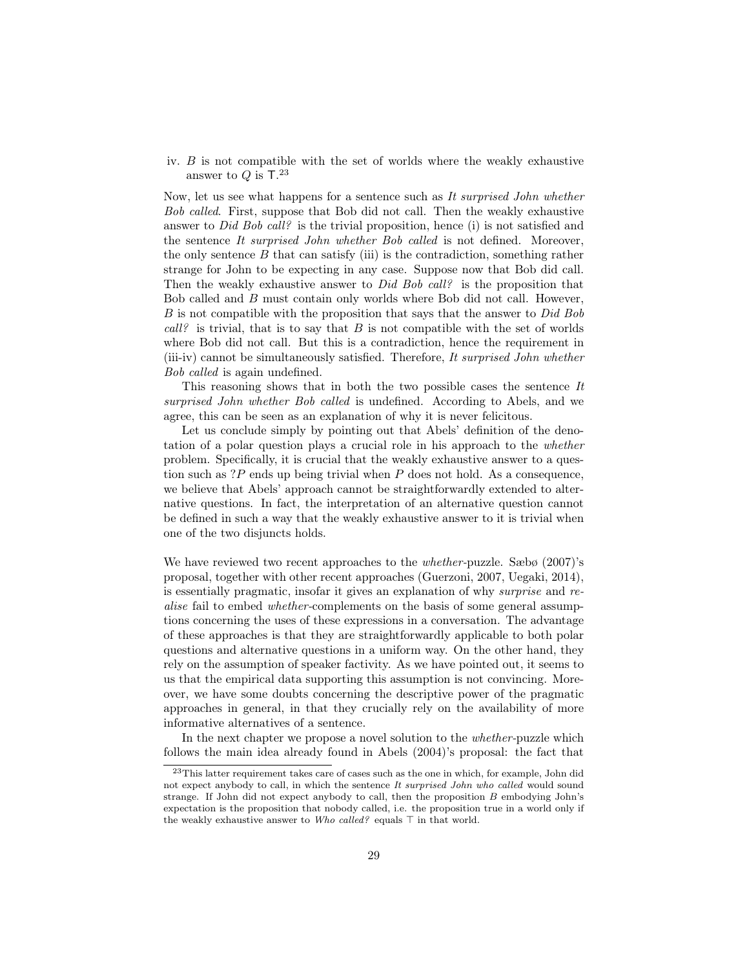iv. B is not compatible with the set of worlds where the weakly exhaustive answer to  $Q$  is  $T.^{23}$ 

Now, let us see what happens for a sentence such as It surprised John whether Bob called. First, suppose that Bob did not call. Then the weakly exhaustive answer to *Did Bob call?* is the trivial proposition, hence (i) is not satisfied and the sentence It surprised John whether Bob called is not defined. Moreover, the only sentence  $B$  that can satisfy (iii) is the contradiction, something rather strange for John to be expecting in any case. Suppose now that Bob did call. Then the weakly exhaustive answer to *Did Bob call?* is the proposition that Bob called and B must contain only worlds where Bob did not call. However,  $B$  is not compatible with the proposition that says that the answer to  $Did$  Bob  $call$ ? is trivial, that is to say that B is not compatible with the set of worlds where Bob did not call. But this is a contradiction, hence the requirement in (iii-iv) cannot be simultaneously satisfied. Therefore, It surprised John whether Bob called is again undefined.

This reasoning shows that in both the two possible cases the sentence It surprised John whether Bob called is undefined. According to Abels, and we agree, this can be seen as an explanation of why it is never felicitous.

Let us conclude simply by pointing out that Abels' definition of the denotation of a polar question plays a crucial role in his approach to the whether problem. Specifically, it is crucial that the weakly exhaustive answer to a question such as ?P ends up being trivial when P does not hold. As a consequence, we believe that Abels' approach cannot be straightforwardly extended to alternative questions. In fact, the interpretation of an alternative question cannot be defined in such a way that the weakly exhaustive answer to it is trivial when one of the two disjuncts holds.

We have reviewed two recent approaches to the *whether-puzzle*. Sæbø (2007)'s proposal, together with other recent approaches (Guerzoni, 2007, Uegaki, 2014), is essentially pragmatic, insofar it gives an explanation of why surprise and realise fail to embed whether-complements on the basis of some general assumptions concerning the uses of these expressions in a conversation. The advantage of these approaches is that they are straightforwardly applicable to both polar questions and alternative questions in a uniform way. On the other hand, they rely on the assumption of speaker factivity. As we have pointed out, it seems to us that the empirical data supporting this assumption is not convincing. Moreover, we have some doubts concerning the descriptive power of the pragmatic approaches in general, in that they crucially rely on the availability of more informative alternatives of a sentence.

In the next chapter we propose a novel solution to the *whether*-puzzle which follows the main idea already found in Abels (2004)'s proposal: the fact that

 $^{23}\mathrm{This}$  latter requirement takes care of cases such as the one in which, for example, John did not expect anybody to call, in which the sentence It surprised John who called would sound strange. If John did not expect anybody to call, then the proposition B embodying John's expectation is the proposition that nobody called, i.e. the proposition true in a world only if the weakly exhaustive answer to Who called? equals  $\top$  in that world.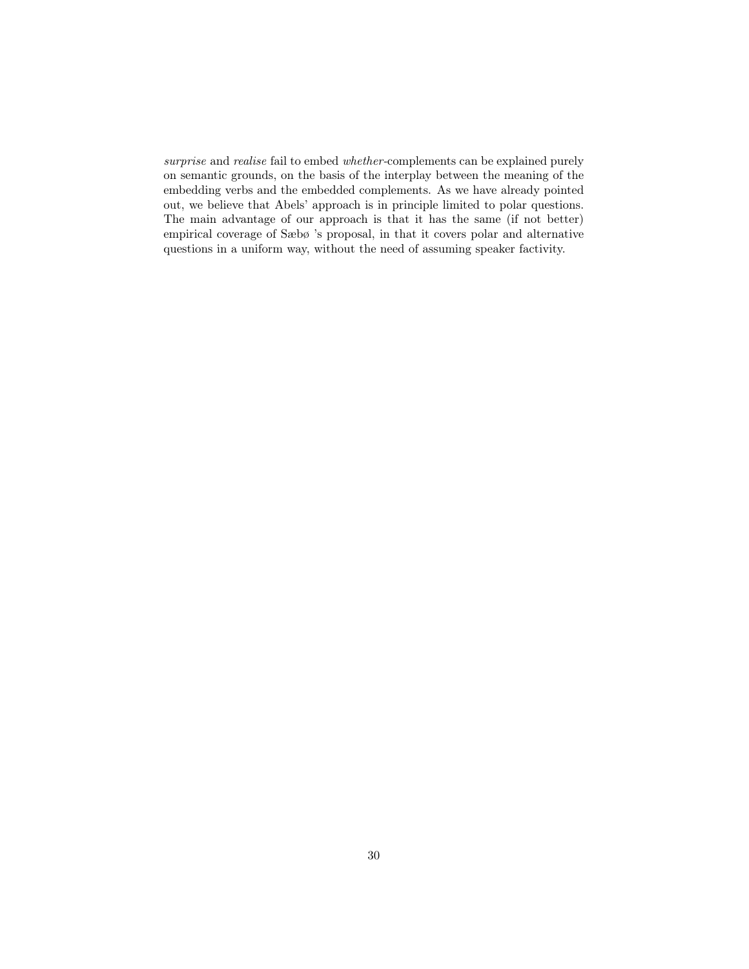surprise and realise fail to embed whether-complements can be explained purely on semantic grounds, on the basis of the interplay between the meaning of the embedding verbs and the embedded complements. As we have already pointed out, we believe that Abels' approach is in principle limited to polar questions. The main advantage of our approach is that it has the same (if not better) empirical coverage of Sæbø 's proposal, in that it covers polar and alternative questions in a uniform way, without the need of assuming speaker factivity.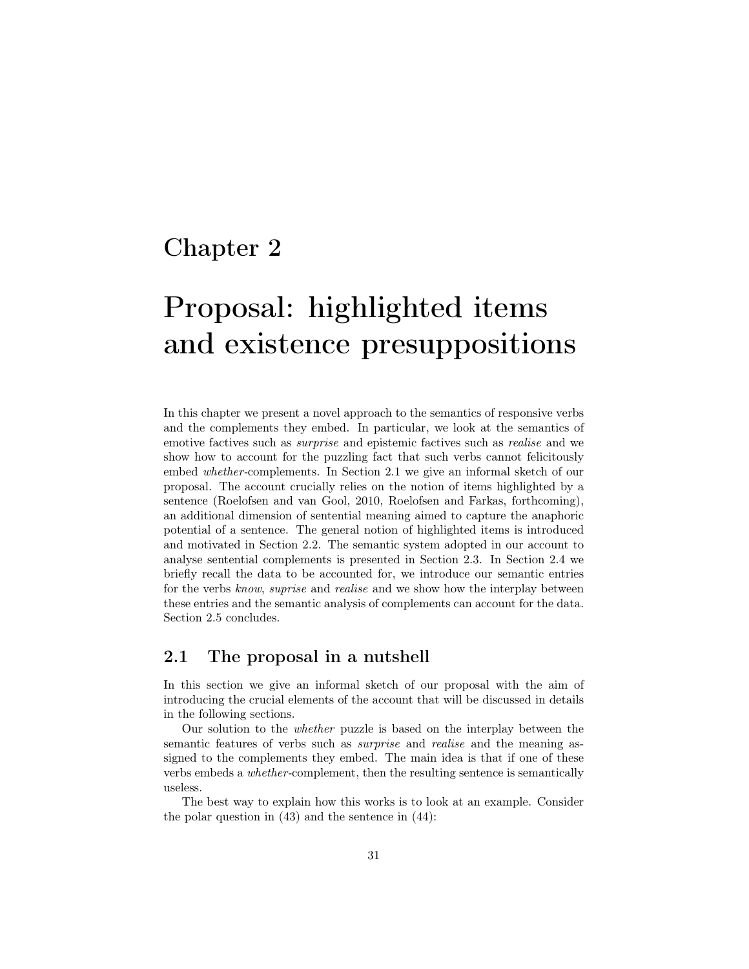# Chapter 2

# Proposal: highlighted items and existence presuppositions

In this chapter we present a novel approach to the semantics of responsive verbs and the complements they embed. In particular, we look at the semantics of emotive factives such as surprise and epistemic factives such as realise and we show how to account for the puzzling fact that such verbs cannot felicitously embed whether-complements. In Section 2.1 we give an informal sketch of our proposal. The account crucially relies on the notion of items highlighted by a sentence (Roelofsen and van Gool, 2010, Roelofsen and Farkas, forthcoming), an additional dimension of sentential meaning aimed to capture the anaphoric potential of a sentence. The general notion of highlighted items is introduced and motivated in Section 2.2. The semantic system adopted in our account to analyse sentential complements is presented in Section 2.3. In Section 2.4 we briefly recall the data to be accounted for, we introduce our semantic entries for the verbs know, suprise and realise and we show how the interplay between these entries and the semantic analysis of complements can account for the data. Section 2.5 concludes.

### 2.1 The proposal in a nutshell

In this section we give an informal sketch of our proposal with the aim of introducing the crucial elements of the account that will be discussed in details in the following sections.

Our solution to the whether puzzle is based on the interplay between the semantic features of verbs such as *surprise* and *realise* and the meaning assigned to the complements they embed. The main idea is that if one of these verbs embeds a whether-complement, then the resulting sentence is semantically useless.

The best way to explain how this works is to look at an example. Consider the polar question in (43) and the sentence in (44):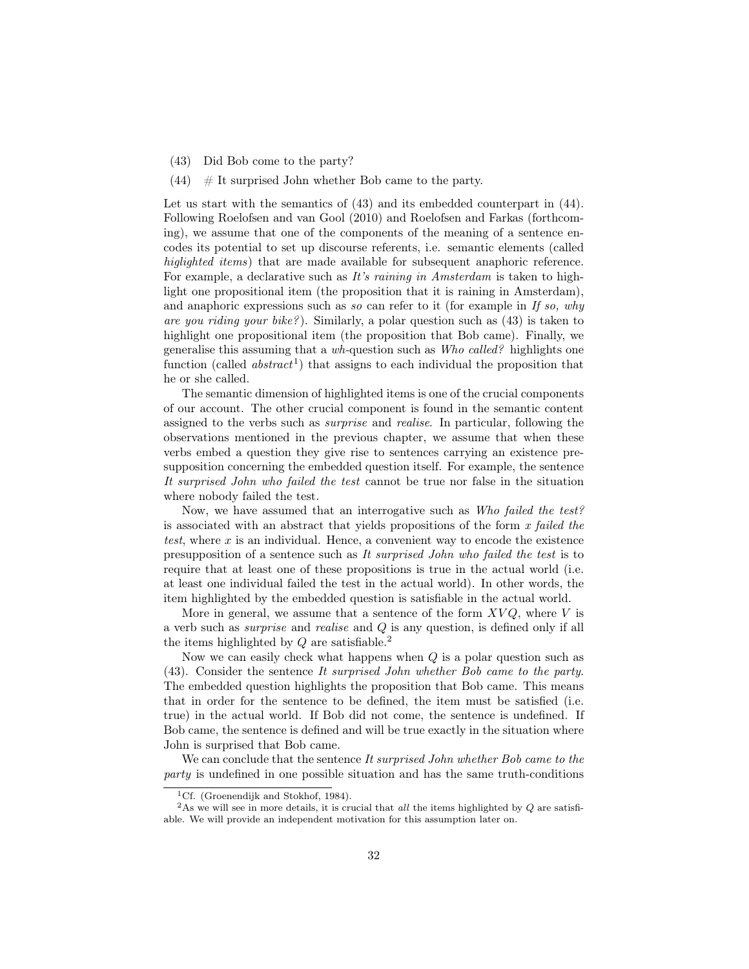- (43) Did Bob come to the party?
- $(44)$  # It surprised John whether Bob came to the party.

Let us start with the semantics of  $(43)$  and its embedded counterpart in  $(44)$ . Following Roelofsen and van Gool (2010) and Roelofsen and Farkas (forthcoming), we assume that one of the components of the meaning of a sentence encodes its potential to set up discourse referents, i.e. semantic elements (called higlighted items) that are made available for subsequent anaphoric reference. For example, a declarative such as It's raining in Amsterdam is taken to highlight one propositional item (the proposition that it is raining in Amsterdam), and anaphoric expressions such as so can refer to it (for example in If so, why are you riding your bike? ). Similarly, a polar question such as (43) is taken to highlight one propositional item (the proposition that Bob came). Finally, we generalise this assuming that a wh-question such as Who called? highlights one function (called  $abstract<sup>1</sup>$ ) that assigns to each individual the proposition that he or she called.

The semantic dimension of highlighted items is one of the crucial components of our account. The other crucial component is found in the semantic content assigned to the verbs such as surprise and realise. In particular, following the observations mentioned in the previous chapter, we assume that when these verbs embed a question they give rise to sentences carrying an existence presupposition concerning the embedded question itself. For example, the sentence It surprised John who failed the test cannot be true nor false in the situation where nobody failed the test.

Now, we have assumed that an interrogative such as Who failed the test? is associated with an abstract that yields propositions of the form  $x$  failed the test, where x is an individual. Hence, a convenient way to encode the existence presupposition of a sentence such as It surprised John who failed the test is to require that at least one of these propositions is true in the actual world (i.e. at least one individual failed the test in the actual world). In other words, the item highlighted by the embedded question is satisfiable in the actual world.

More in general, we assume that a sentence of the form  $XVQ$ , where V is a verb such as surprise and realise and Q is any question, is defined only if all the items highlighted by  $Q$  are satisfiable.<sup>2</sup>

Now we can easily check what happens when  $Q$  is a polar question such as (43). Consider the sentence It surprised John whether Bob came to the party. The embedded question highlights the proposition that Bob came. This means that in order for the sentence to be defined, the item must be satisfied (i.e. true) in the actual world. If Bob did not come, the sentence is undefined. If Bob came, the sentence is defined and will be true exactly in the situation where John is surprised that Bob came.

We can conclude that the sentence It surprised John whether Bob came to the party is undefined in one possible situation and has the same truth-conditions

<sup>&</sup>lt;sup>1</sup>Cf. (Groenendijk and Stokhof, 1984).

<sup>&</sup>lt;sup>2</sup>As we will see in more details, it is crucial that all the items highlighted by  $Q$  are satisfiable. We will provide an independent motivation for this assumption later on.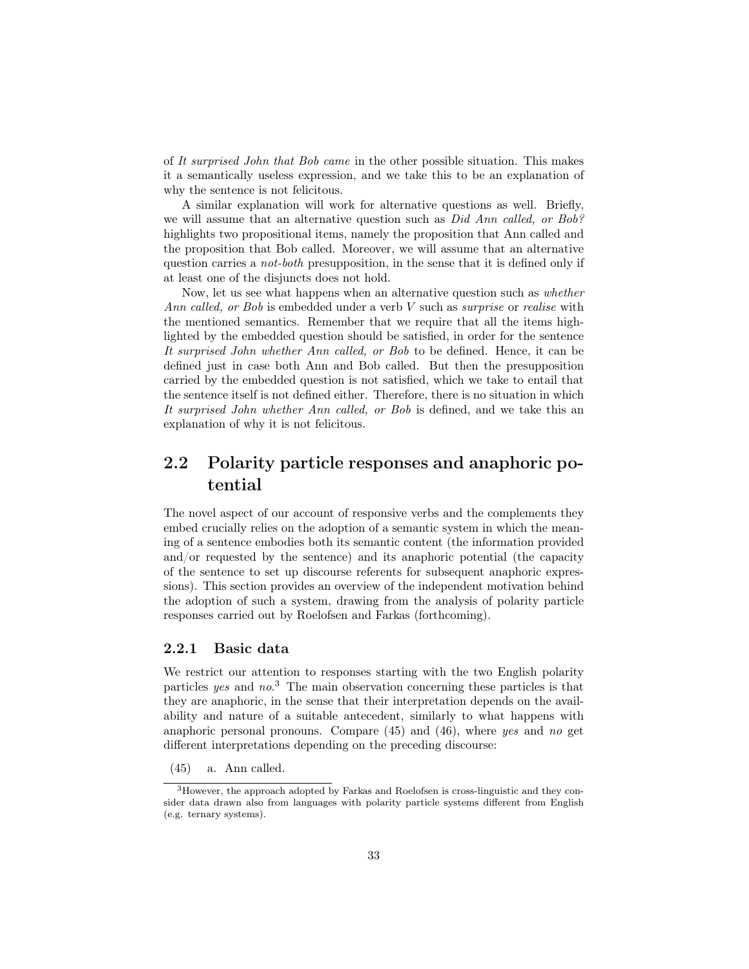of It surprised John that Bob came in the other possible situation. This makes it a semantically useless expression, and we take this to be an explanation of why the sentence is not felicitous.

A similar explanation will work for alternative questions as well. Briefly, we will assume that an alternative question such as *Did Ann called, or Bob?* highlights two propositional items, namely the proposition that Ann called and the proposition that Bob called. Moreover, we will assume that an alternative question carries a not-both presupposition, in the sense that it is defined only if at least one of the disjuncts does not hold.

Now, let us see what happens when an alternative question such as whether Ann called, or Bob is embedded under a verb V such as *surprise* or *realise* with the mentioned semantics. Remember that we require that all the items highlighted by the embedded question should be satisfied, in order for the sentence It surprised John whether Ann called, or Bob to be defined. Hence, it can be defined just in case both Ann and Bob called. But then the presupposition carried by the embedded question is not satisfied, which we take to entail that the sentence itself is not defined either. Therefore, there is no situation in which It surprised John whether Ann called, or Bob is defined, and we take this an explanation of why it is not felicitous.

## 2.2 Polarity particle responses and anaphoric potential

The novel aspect of our account of responsive verbs and the complements they embed crucially relies on the adoption of a semantic system in which the meaning of a sentence embodies both its semantic content (the information provided and/or requested by the sentence) and its anaphoric potential (the capacity of the sentence to set up discourse referents for subsequent anaphoric expressions). This section provides an overview of the independent motivation behind the adoption of such a system, drawing from the analysis of polarity particle responses carried out by Roelofsen and Farkas (forthcoming).

#### 2.2.1 Basic data

We restrict our attention to responses starting with the two English polarity particles yes and no.<sup>3</sup> The main observation concerning these particles is that they are anaphoric, in the sense that their interpretation depends on the availability and nature of a suitable antecedent, similarly to what happens with anaphoric personal pronouns. Compare (45) and (46), where yes and no get different interpretations depending on the preceding discourse:

(45) a. Ann called.

<sup>3</sup>However, the approach adopted by Farkas and Roelofsen is cross-linguistic and they consider data drawn also from languages with polarity particle systems different from English (e.g. ternary systems).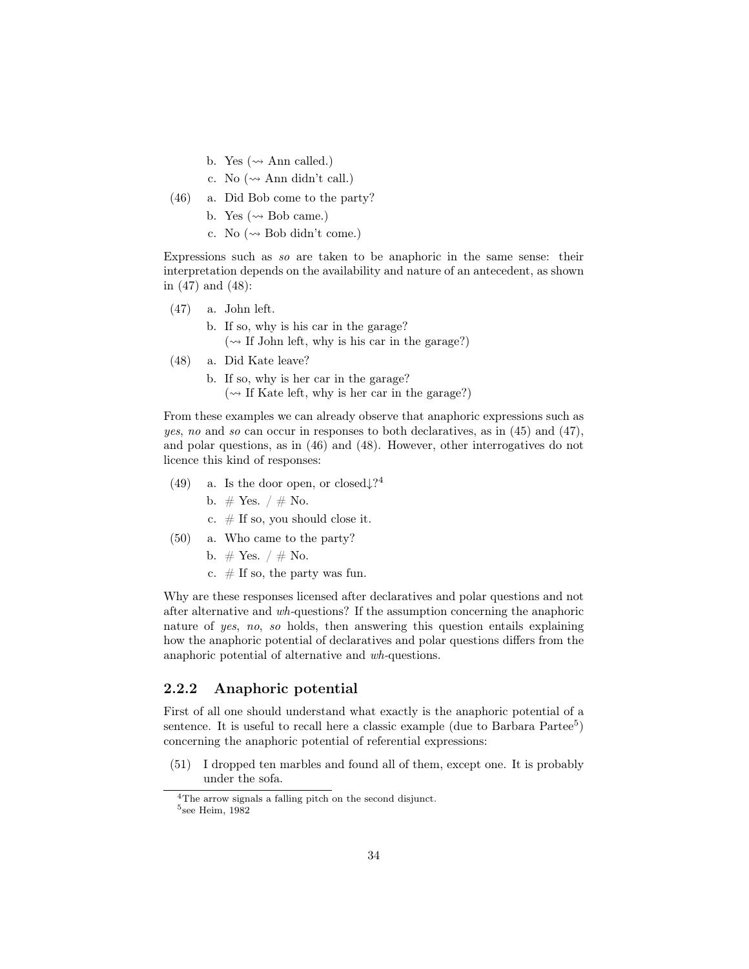- b. Yes ( $\rightsquigarrow$  Ann called.)
- c. No  $(\sim$  Ann didn't call.)
- (46) a. Did Bob come to the party?
	- b. Yes ( $\rightsquigarrow$  Bob came.)
	- c. No  $(\sim$  Bob didn't come.)

Expressions such as so are taken to be anaphoric in the same sense: their interpretation depends on the availability and nature of an antecedent, as shown in (47) and (48):

- (47) a. John left.
	- b. If so, why is his car in the garage?  $(\sim$  If John left, why is his car in the garage?)
- (48) a. Did Kate leave?

b. If so, why is her car in the garage?  $(\sim$  If Kate left, why is her car in the garage?)

From these examples we can already observe that anaphoric expressions such as yes, no and so can occur in responses to both declaratives, as in (45) and (47), and polar questions, as in (46) and (48). However, other interrogatives do not licence this kind of responses:

- (49) a. Is the door open, or closed $\downarrow$ ?<sup>4</sup>
	- b.  $\#$  Yes.  $/ \#$  No.
	- c.  $#$  If so, you should close it.
- (50) a. Who came to the party?
	- b.  $#$  Yes.  $/ \#$  No.
	- c.  $\#$  If so, the party was fun.

Why are these responses licensed after declaratives and polar questions and not after alternative and wh-questions? If the assumption concerning the anaphoric nature of yes, no, so holds, then answering this question entails explaining how the anaphoric potential of declaratives and polar questions differs from the anaphoric potential of alternative and wh-questions.

#### 2.2.2 Anaphoric potential

First of all one should understand what exactly is the anaphoric potential of a sentence. It is useful to recall here a classic example (due to Barbara Partee<sup>5</sup>) concerning the anaphoric potential of referential expressions:

(51) I dropped ten marbles and found all of them, except one. It is probably under the sofa.

<sup>4</sup>The arrow signals a falling pitch on the second disjunct.

<sup>5</sup> see Heim, 1982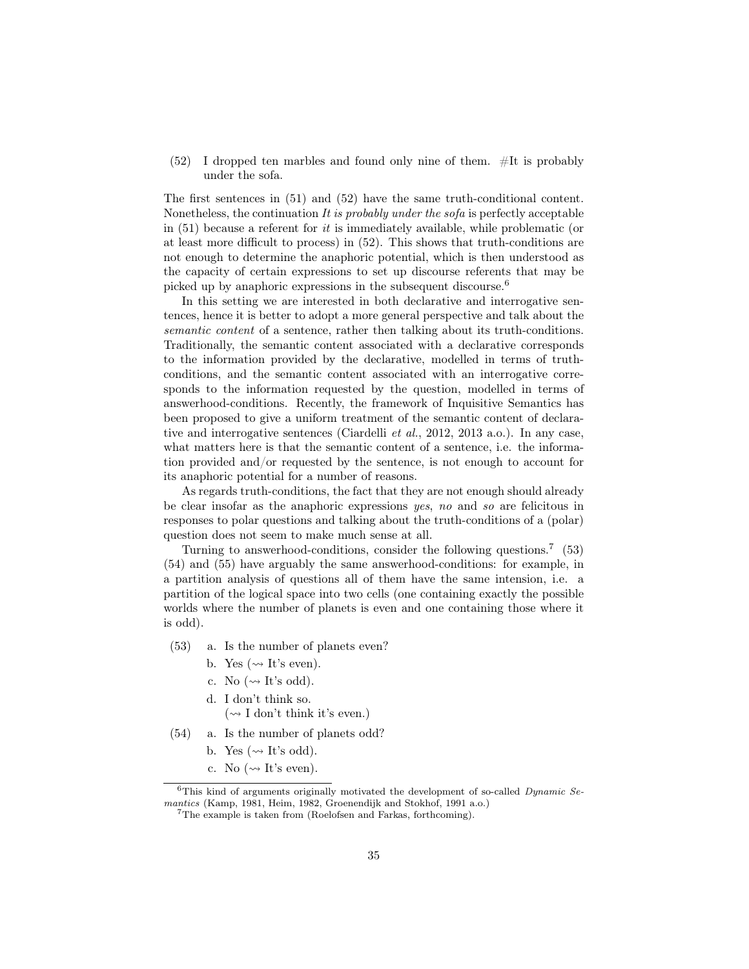$(52)$  I dropped ten marbles and found only nine of them.  $\#$ It is probably under the sofa.

The first sentences in (51) and (52) have the same truth-conditional content. Nonetheless, the continuation  $It$  is probably under the sofa is perfectly acceptable in  $(51)$  because a referent for *it* is immediately available, while problematic (or at least more difficult to process) in (52). This shows that truth-conditions are not enough to determine the anaphoric potential, which is then understood as the capacity of certain expressions to set up discourse referents that may be picked up by anaphoric expressions in the subsequent discourse.<sup>6</sup>

In this setting we are interested in both declarative and interrogative sentences, hence it is better to adopt a more general perspective and talk about the semantic content of a sentence, rather then talking about its truth-conditions. Traditionally, the semantic content associated with a declarative corresponds to the information provided by the declarative, modelled in terms of truthconditions, and the semantic content associated with an interrogative corresponds to the information requested by the question, modelled in terms of answerhood-conditions. Recently, the framework of Inquisitive Semantics has been proposed to give a uniform treatment of the semantic content of declarative and interrogative sentences (Ciardelli et al., 2012, 2013 a.o.). In any case, what matters here is that the semantic content of a sentence, i.e. the information provided and/or requested by the sentence, is not enough to account for its anaphoric potential for a number of reasons.

As regards truth-conditions, the fact that they are not enough should already be clear insofar as the anaphoric expressions yes, no and so are felicitous in responses to polar questions and talking about the truth-conditions of a (polar) question does not seem to make much sense at all.

Turning to answerhood-conditions, consider the following questions.<sup>7</sup> (53) (54) and (55) have arguably the same answerhood-conditions: for example, in a partition analysis of questions all of them have the same intension, i.e. a partition of the logical space into two cells (one containing exactly the possible worlds where the number of planets is even and one containing those where it is odd).

- (53) a. Is the number of planets even?
	- b. Yes ( $\rightsquigarrow$  It's even).
	- c. No  $(\sim$  It's odd).
	- d. I don't think so.
		- $(\sim$  I don't think it's even.)
- (54) a. Is the number of planets odd?
	- b. Yes ( $\rightsquigarrow$  It's odd).
	- c. No  $(\rightsquigarrow$  It's even).

 $6$ This kind of arguments originally motivated the development of so-called *Dynamic Se*mantics (Kamp, 1981, Heim, 1982, Groenendijk and Stokhof, 1991 a.o.)

<sup>7</sup>The example is taken from (Roelofsen and Farkas, forthcoming).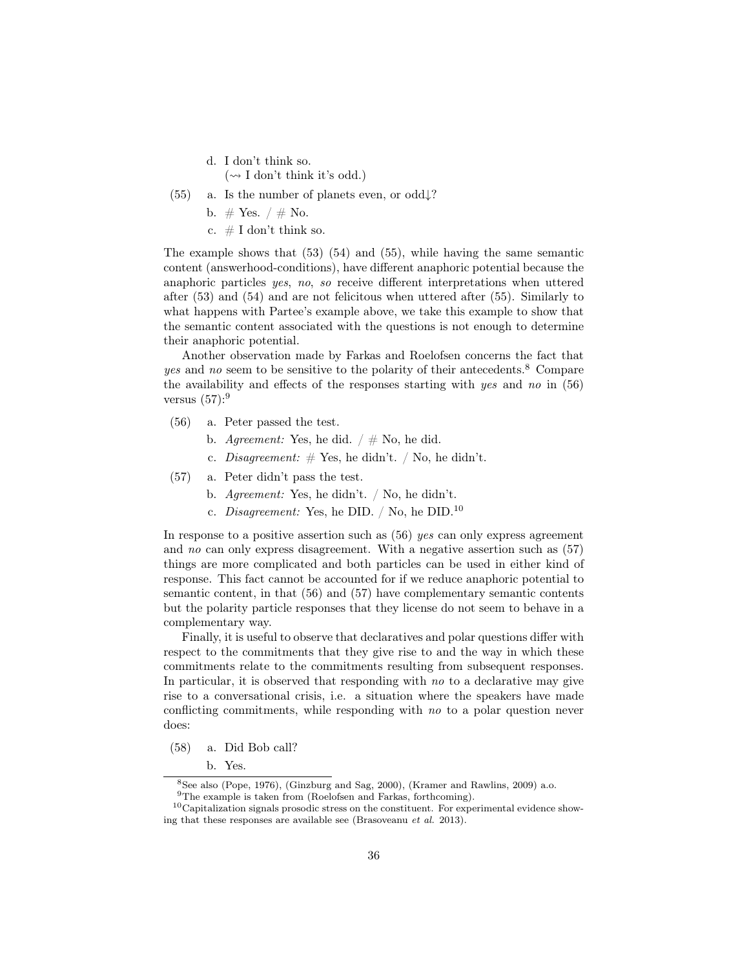- d. I don't think so.  $(\sim I$  don't think it's odd.)
- (55) a. Is the number of planets even, or odd $\downarrow$ ?
	- b.  $#$  Yes.  $/ \#$  No.
	- c.  $\#$  I don't think so.

The example shows that (53) (54) and (55), while having the same semantic content (answerhood-conditions), have different anaphoric potential because the anaphoric particles yes, no, so receive different interpretations when uttered after (53) and (54) and are not felicitous when uttered after (55). Similarly to what happens with Partee's example above, we take this example to show that the semantic content associated with the questions is not enough to determine their anaphoric potential.

Another observation made by Farkas and Roelofsen concerns the fact that yes and no seem to be sensitive to the polarity of their antecedents.<sup>8</sup> Compare the availability and effects of the responses starting with yes and no in (56) versus  $(57)$ :<sup>9</sup>

- (56) a. Peter passed the test.
	- b. Agreement: Yes, he did.  $/ \#$  No, he did.
	- c. Disagreement:  $\#$  Yes, he didn't. / No, he didn't.
- (57) a. Peter didn't pass the test.
	- b. Agreement: Yes, he didn't. / No, he didn't.
	- c. Disagreement: Yes, he DID. / No, he DID.<sup>10</sup>

In response to a positive assertion such as  $(56)$  yes can only express agreement and no can only express disagreement. With a negative assertion such as (57) things are more complicated and both particles can be used in either kind of response. This fact cannot be accounted for if we reduce anaphoric potential to semantic content, in that (56) and (57) have complementary semantic contents but the polarity particle responses that they license do not seem to behave in a complementary way.

Finally, it is useful to observe that declaratives and polar questions differ with respect to the commitments that they give rise to and the way in which these commitments relate to the commitments resulting from subsequent responses. In particular, it is observed that responding with no to a declarative may give rise to a conversational crisis, i.e. a situation where the speakers have made conflicting commitments, while responding with no to a polar question never does:

- (58) a. Did Bob call?
	- b. Yes.

<sup>8</sup>See also (Pope, 1976), (Ginzburg and Sag, 2000), (Kramer and Rawlins, 2009) a.o.  $^9\mathrm{The}$  example is taken from (Roelofsen and Farkas, forthcoming).

 $10$ Capitalization signals prosodic stress on the constituent. For experimental evidence showing that these responses are available see (Brasoveanu et al. 2013).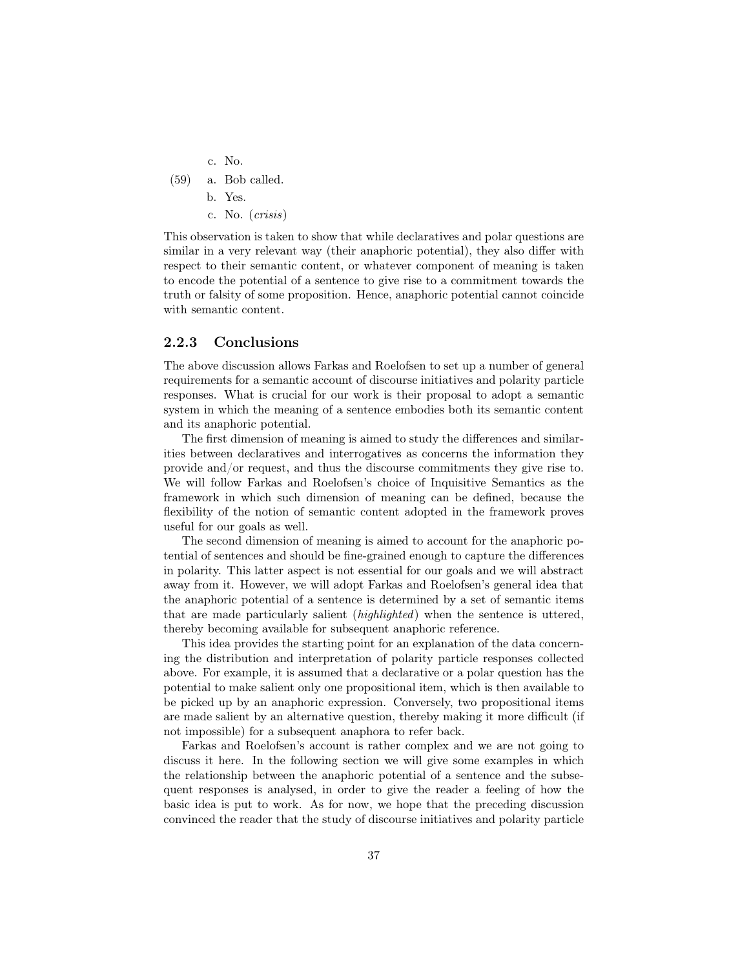- c. No.
- (59) a. Bob called.

b. Yes.

c. No. (crisis)

This observation is taken to show that while declaratives and polar questions are similar in a very relevant way (their anaphoric potential), they also differ with respect to their semantic content, or whatever component of meaning is taken to encode the potential of a sentence to give rise to a commitment towards the truth or falsity of some proposition. Hence, anaphoric potential cannot coincide with semantic content.

#### 2.2.3 Conclusions

The above discussion allows Farkas and Roelofsen to set up a number of general requirements for a semantic account of discourse initiatives and polarity particle responses. What is crucial for our work is their proposal to adopt a semantic system in which the meaning of a sentence embodies both its semantic content and its anaphoric potential.

The first dimension of meaning is aimed to study the differences and similarities between declaratives and interrogatives as concerns the information they provide and/or request, and thus the discourse commitments they give rise to. We will follow Farkas and Roelofsen's choice of Inquisitive Semantics as the framework in which such dimension of meaning can be defined, because the flexibility of the notion of semantic content adopted in the framework proves useful for our goals as well.

The second dimension of meaning is aimed to account for the anaphoric potential of sentences and should be fine-grained enough to capture the differences in polarity. This latter aspect is not essential for our goals and we will abstract away from it. However, we will adopt Farkas and Roelofsen's general idea that the anaphoric potential of a sentence is determined by a set of semantic items that are made particularly salient (highlighted) when the sentence is uttered, thereby becoming available for subsequent anaphoric reference.

This idea provides the starting point for an explanation of the data concerning the distribution and interpretation of polarity particle responses collected above. For example, it is assumed that a declarative or a polar question has the potential to make salient only one propositional item, which is then available to be picked up by an anaphoric expression. Conversely, two propositional items are made salient by an alternative question, thereby making it more difficult (if not impossible) for a subsequent anaphora to refer back.

Farkas and Roelofsen's account is rather complex and we are not going to discuss it here. In the following section we will give some examples in which the relationship between the anaphoric potential of a sentence and the subsequent responses is analysed, in order to give the reader a feeling of how the basic idea is put to work. As for now, we hope that the preceding discussion convinced the reader that the study of discourse initiatives and polarity particle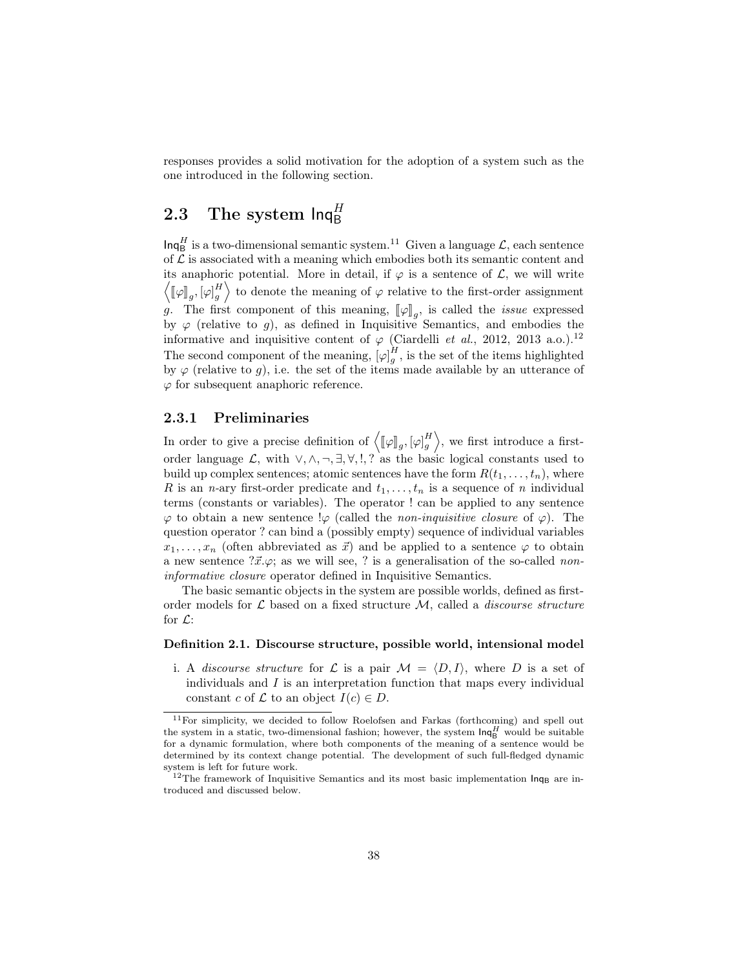responses provides a solid motivation for the adoption of a system such as the one introduced in the following section.

# 2.3 The system  $\mathsf{Inq}^H_\mathsf{B}$

 $\mathsf{Inq}^H_\mathsf{B}$  is a two-dimensional semantic system.<sup>11</sup> Given a language  $\mathcal{L}$ , each sentence of  $\mathcal L$  is associated with a meaning which embodies both its semantic content and its anaphoric potential. More in detail, if  $\varphi$  is a sentence of  $\mathcal{L}$ , we will write  $\left\langle \left[ \varphi \right]_g, \left[ \varphi \right]_g \right\rangle$  to denote the meaning of  $\varphi$  relative to the first-order assignment g. The first component of this meaning,  $[\![\varphi]\!]_g$ , is called the *issue* expressed<br>by  $\varphi$  (relative to  $g$ ), as defined in Inquisitive Semantics, and embodies the by  $\varphi$  (relative to g), as defined in Inquisitive Semantics, and embodies the informative and inquisitive content of  $\varphi$  (Ciardelli *et al.*, 2012, 2013 a.o.).<sup>12</sup> The second component of the meaning,  $[\varphi]_g^H$ , is the set of the items highlighted by  $\varphi$  (relative to g), i.e. the set of the items made available by an utterance of  $\varphi$  for subsequent anaphoric reference.

#### 2.3.1 Preliminaries

In order to give a precise definition of  $\langle [\![\varphi]\!]_g, [\varphi]_g^H \rangle$ , we first introduce a firstorder language  $\mathcal{L}$ , with  $\vee, \wedge, \neg, \exists, \forall, !$ , ? as the basic logical constants used to build up complex sentences; atomic sentences have the form  $R(t_1, \ldots, t_n)$ , where R is an n-ary first-order predicate and  $t_1, \ldots, t_n$  is a sequence of n individual terms (constants or variables). The operator ! can be applied to any sentence  $\varphi$  to obtain a new sentence  $\varphi$  (called the *non-inquisitive closure* of  $\varphi$ ). The question operator ? can bind a (possibly empty) sequence of individual variables  $x_1, \ldots, x_n$  (often abbreviated as  $\vec{x}$ ) and be applied to a sentence  $\varphi$  to obtain a new sentence  $\partial \vec{x} \cdot \varphi$ ; as we will see, ? is a generalisation of the so-called noninformative closure operator defined in Inquisitive Semantics.

The basic semantic objects in the system are possible worlds, defined as firstorder models for  $\mathcal L$  based on a fixed structure  $\mathcal M$ , called a *discourse structure* for  $\mathcal{L}$ :

#### Definition 2.1. Discourse structure, possible world, intensional model

i. A discourse structure for L is a pair  $\mathcal{M} = \langle D, I \rangle$ , where D is a set of individuals and  $I$  is an interpretation function that maps every individual constant c of  $\mathcal L$  to an object  $I(c) \in D$ .

 $11$ For simplicity, we decided to follow Roelofsen and Farkas (forthcoming) and spell out the system in a static, two-dimensional fashion; however, the system  $\textsf{Inq}^H_\mathsf{B}$  would be suitable for a dynamic formulation, where both components of the meaning of a sentence would be determined by its context change potential. The development of such full-fledged dynamic system is left for future work.

<sup>&</sup>lt;sup>12</sup>The framework of Inquisitive Semantics and its most basic implementation  $\ln q_B$  are introduced and discussed below.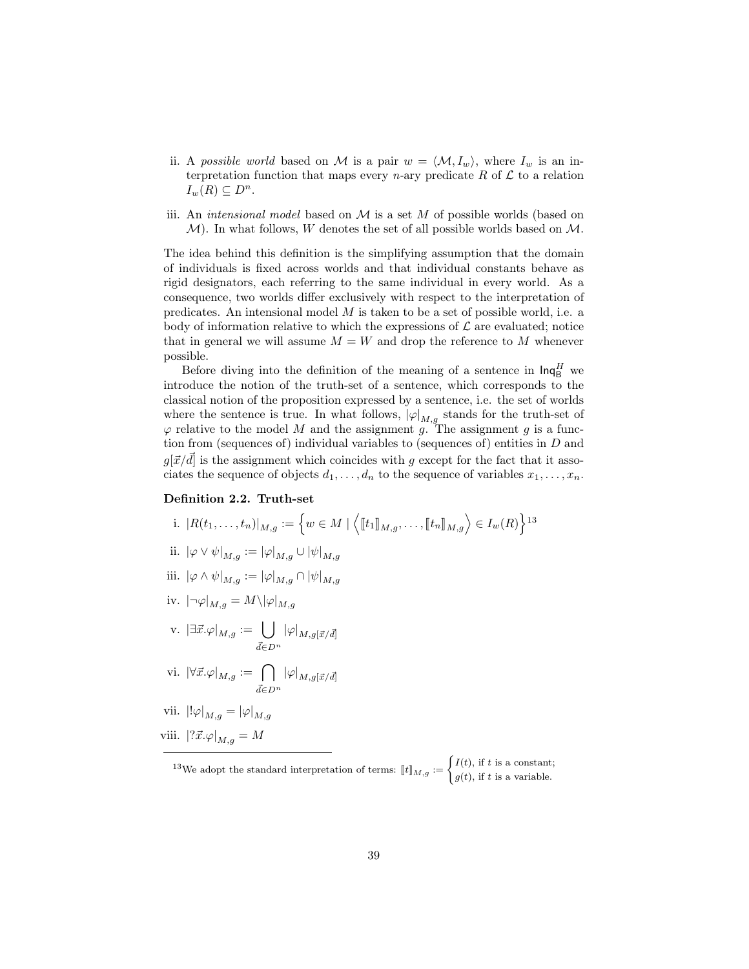- ii. A possible world based on M is a pair  $w = \langle M, I_w \rangle$ , where  $I_w$  is an interpretation function that maps every *n*-ary predicate R of  $\mathcal L$  to a relation  $I_w(R) \subseteq D^n$ .
- iii. An *intensional model* based on  $M$  is a set  $M$  of possible worlds (based on  $M$ ). In what follows, W denotes the set of all possible worlds based on  $M$ .

The idea behind this definition is the simplifying assumption that the domain of individuals is fixed across worlds and that individual constants behave as rigid designators, each referring to the same individual in every world. As a consequence, two worlds differ exclusively with respect to the interpretation of predicates. An intensional model M is taken to be a set of possible world, i.e. a body of information relative to which the expressions of  $\mathcal L$  are evaluated; notice that in general we will assume  $M = W$  and drop the reference to M whenever possible.

Before diving into the definition of the meaning of a sentence in  $\mathsf{Inq}^H_\mathsf{B}$  we introduce the notion of the truth-set of a sentence, which corresponds to the classical notion of the proposition expressed by a sentence, i.e. the set of worlds where the sentence is true. In what follows,  $|\varphi|_{M,g}$  stands for the truth-set of  $\varphi$  relative to the model M and the assignment g. The assignment g is a function from (sequences of) individual variables to (sequences of) entities in  $D$  and  $g[\vec{x}/d]$  is the assignment which coincides with g except for the fact that it associates the sequence of objects  $d_1, \ldots, d_n$  to the sequence of variables  $x_1, \ldots, x_n$ .

#### Definition 2.2. Truth-set

- i.  $|R(t_1, ..., t_n)|_{M,g} := \left\{ w \in M \mid \left\langle [\![t_1]\!]_{M,g}, \ldots, [\![t_n]\!]_{M,g} \right\rangle \in I_w(R) \right\}^{13}$ ii.  $|\varphi \vee \psi|_{M,g} := |\varphi|_{M,g} \cup |\psi|_{M,g}$
- iii.  $|\varphi \wedge \psi|_{M,q} := |\varphi|_{M,q} \cap |\psi|_{M,g}$
- iv.  $|\neg \varphi|_{M,g} = M \setminus |\varphi|_{M,g}$
- v.  $|\exists \vec{x}.\varphi|_{M,g} := \bigcup$  $\vec{d} \in D^n$  $|\varphi|_{M,g[\vec{x}/\vec{d}]}$

$$
\mathrm{vi.}\;\; |\forall \vec{x}.\varphi|_{M,g}:=\bigcap_{\vec{d}\in D^n}|\varphi|_{M,g[\vec{x}/\vec{d}]}
$$

vii. 
$$
\left\Vert \varphi \right\Vert_{M,g} = \left\Vert \varphi \right\Vert_{M,g}
$$

viii.  $|?\vec{x}.\varphi|_{M,q} = M$ 

<sup>13</sup>We adopt the standard interpretation of terms:  $[[t]]_{M,g} := \begin{cases} I(t), \text{ if } t \text{ is a constant;} \\ g(t), \text{ if } t \text{ is a variable.} \end{cases}$  $g(t)$ , if t is a variable.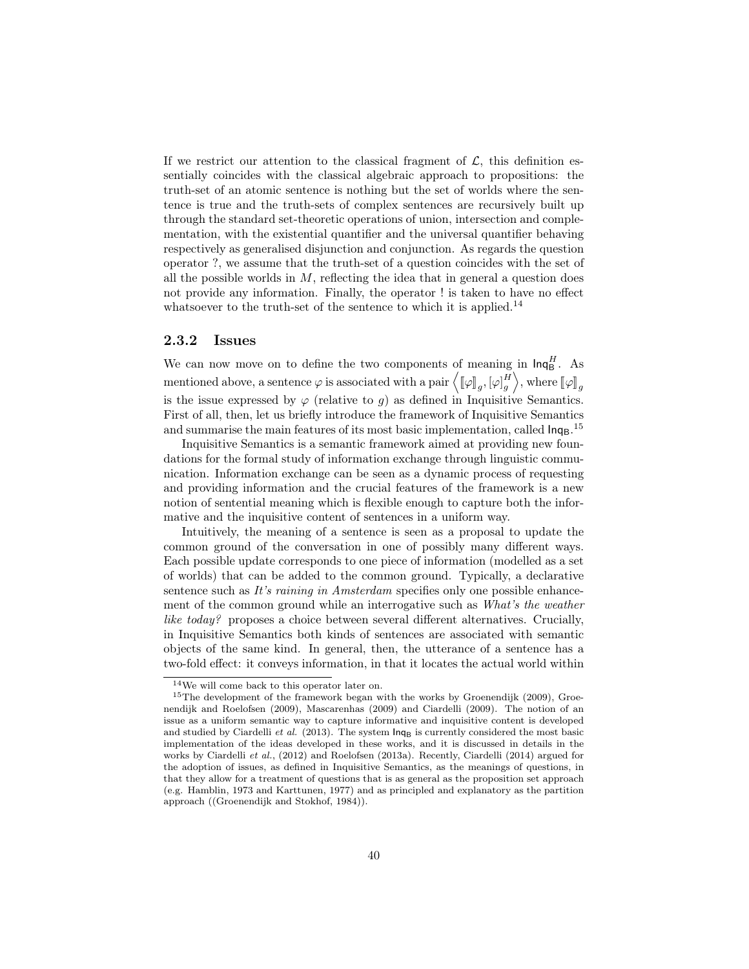If we restrict our attention to the classical fragment of  $\mathcal{L}$ , this definition essentially coincides with the classical algebraic approach to propositions: the truth-set of an atomic sentence is nothing but the set of worlds where the sentence is true and the truth-sets of complex sentences are recursively built up through the standard set-theoretic operations of union, intersection and complementation, with the existential quantifier and the universal quantifier behaving respectively as generalised disjunction and conjunction. As regards the question operator ?, we assume that the truth-set of a question coincides with the set of all the possible worlds in  $M$ , reflecting the idea that in general a question does not provide any information. Finally, the operator ! is taken to have no effect whatsoever to the truth-set of the sentence to which it is applied.<sup>14</sup>

#### 2.3.2 Issues

We can now move on to define the two components of meaning in  $\mathsf{Inq}_{\mathsf{B}}^H$ . As mentioned above, a sentence  $\varphi$  is associated with a pair  $\langle [\varphi]_g, [\varphi]_g^H \rangle$ , where  $[\varphi]_g$ is the issue expressed by  $\varphi$  (relative to g) as defined in Inquisitive Semantics. First of all, then, let us briefly introduce the framework of Inquisitive Semantics and summarise the main features of its most basic implementation, called  $\text{ln}q_B$ .<sup>15</sup>

Inquisitive Semantics is a semantic framework aimed at providing new foundations for the formal study of information exchange through linguistic communication. Information exchange can be seen as a dynamic process of requesting and providing information and the crucial features of the framework is a new notion of sentential meaning which is flexible enough to capture both the informative and the inquisitive content of sentences in a uniform way.

Intuitively, the meaning of a sentence is seen as a proposal to update the common ground of the conversation in one of possibly many different ways. Each possible update corresponds to one piece of information (modelled as a set of worlds) that can be added to the common ground. Typically, a declarative sentence such as It's raining in Amsterdam specifies only one possible enhancement of the common ground while an interrogative such as What's the weather like today? proposes a choice between several different alternatives. Crucially, in Inquisitive Semantics both kinds of sentences are associated with semantic objects of the same kind. In general, then, the utterance of a sentence has a two-fold effect: it conveys information, in that it locates the actual world within

<sup>14</sup>We will come back to this operator later on.

<sup>&</sup>lt;sup>15</sup>The development of the framework began with the works by Groenendijk (2009), Groenendijk and Roelofsen (2009), Mascarenhas (2009) and Ciardelli (2009). The notion of an issue as a uniform semantic way to capture informative and inquisitive content is developed and studied by Ciardelli et al. (2013). The system  $\text{Inq}_B$  is currently considered the most basic implementation of the ideas developed in these works, and it is discussed in details in the works by Ciardelli et al., (2012) and Roelofsen (2013a). Recently, Ciardelli (2014) argued for the adoption of issues, as defined in Inquisitive Semantics, as the meanings of questions, in that they allow for a treatment of questions that is as general as the proposition set approach (e.g. Hamblin, 1973 and Karttunen, 1977) and as principled and explanatory as the partition approach ((Groenendijk and Stokhof, 1984)).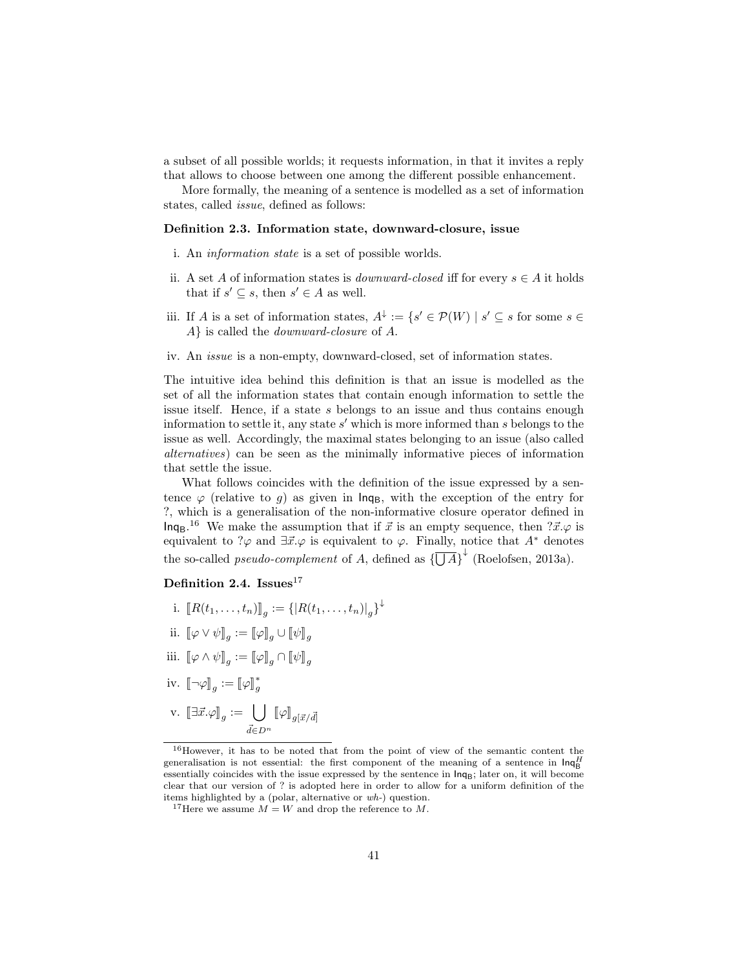a subset of all possible worlds; it requests information, in that it invites a reply that allows to choose between one among the different possible enhancement.

More formally, the meaning of a sentence is modelled as a set of information states, called issue, defined as follows:

#### Definition 2.3. Information state, downward-closure, issue

- i. An information state is a set of possible worlds.
- ii. A set A of information states is *downward-closed* iff for every  $s \in A$  it holds that if  $s' \subseteq s$ , then  $s' \in A$  as well.
- iii. If A is a set of information states,  $A^{\downarrow} := \{s' \in \mathcal{P}(W) \mid s' \subseteq s \text{ for some } s \in \mathcal{C}\}$ A} is called the downward-closure of A.
- iv. An issue is a non-empty, downward-closed, set of information states.

The intuitive idea behind this definition is that an issue is modelled as the set of all the information states that contain enough information to settle the issue itself. Hence, if a state s belongs to an issue and thus contains enough information to settle it, any state  $s'$  which is more informed than  $s$  belongs to the issue as well. Accordingly, the maximal states belonging to an issue (also called alternatives) can be seen as the minimally informative pieces of information that settle the issue.

What follows coincides with the definition of the issue expressed by a sentence  $\varphi$  (relative to g) as given in  $\text{Inq}_B$ , with the exception of the entry for ?, which is a generalisation of the non-informative closure operator defined in  $\ln q_B$ .<sup>16</sup> We make the assumption that if  $\vec{x}$  is an empty sequence, then  $? \vec{x} . \varphi$  is equivalent to ? $\varphi$  and  $\exists \vec{x}.\varphi$  is equivalent to  $\varphi$ . Finally, notice that  $A^*$  denotes the so-called *pseudo-complement* of A, defined as  $\{\overline{\bigcup A}\}^{\downarrow}$  (Roelofsen, 2013a).

#### Definition 2.4. Issues $^{17}$

- i.  $[[R(t_1, ..., t_n)]]_g := \{ |R(t_1, ..., t_n)|_g \}^{\downarrow}$
- ii.  $\llbracket \varphi \vee \psi \rrbracket_g := \llbracket \varphi \rrbracket_g \cup \llbracket \psi \rrbracket_g$
- iii.  $[\![\varphi\wedge\psi]\!]_g:=[\![\varphi]\!]_g\cap[\![\psi]\!]_g$
- iv.  $[\![\neg \varphi]\!]_g := [\![\varphi]\!]_g^*$ g
- $\text{v.}$   $[\exists \vec{x}.\varphi]_g := \bigcup$  $\bigcup\limits_{\vec{d}\in D^n}\llbracket \varphi\rrbracket_{g[\vec{x}/\vec{d}]}$

<sup>16</sup>However, it has to be noted that from the point of view of the semantic content the generalisation is not essential: the first component of the meaning of a sentence in  $\text{Inq}_{\text{B}}^H$ essentially coincides with the issue expressed by the sentence in  $\text{Ing}$ ; later on, it will become clear that our version of ? is adopted here in order to allow for a uniform definition of the items highlighted by a (polar, alternative or wh-) question.

<sup>&</sup>lt;sup>17</sup>Here we assume  $M = W$  and drop the reference to M.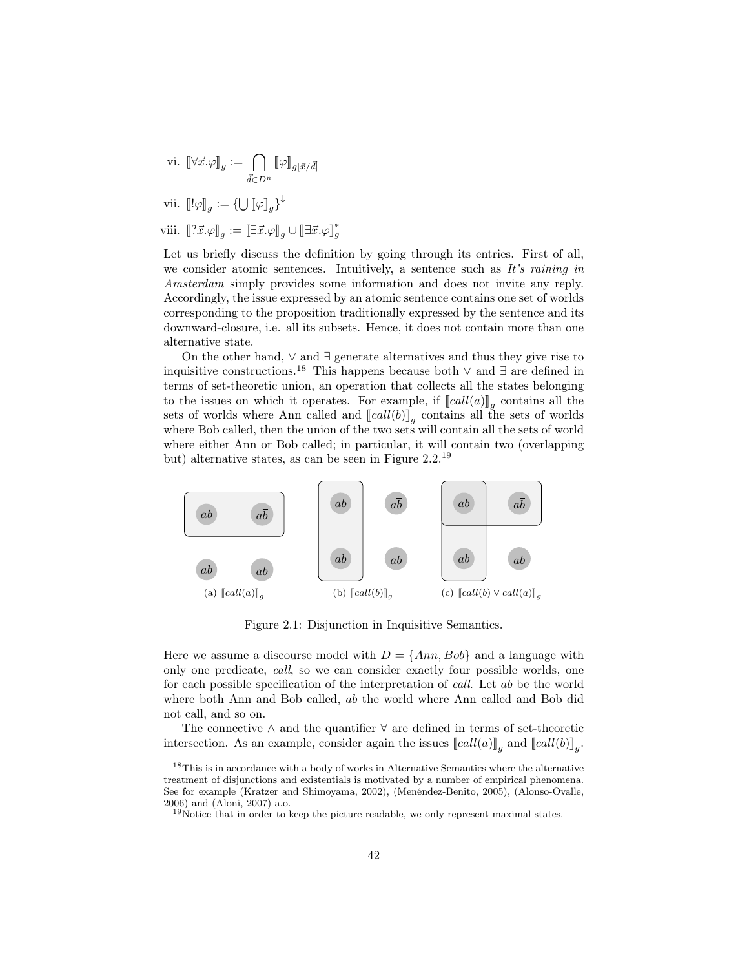$$
\mathrm{vi.}\;\;\lbrack\!\lbrack\forall\vec{x}.\varphi\rbrack\!\rbrack_{g}:=\bigcap_{\vec{d}\in D^{n}}\lbrack\!\lbrack\varphi\rbrack\!\rbrack_{g[\vec{x}/\vec{d}]}
$$

vii. 
$$
\llbracket !\varphi \rrbracket_g := \{ \bigcup [\varphi]_g \}^{\downarrow}
$$

viii.  $[\![? \vec{x} \cdot \varphi \!]_g := [\exists \vec{x} \cdot \varphi]_g \cup [\![ \exists \vec{x} \cdot \varphi \!]_g^*$ g

Let us briefly discuss the definition by going through its entries. First of all, we consider atomic sentences. Intuitively, a sentence such as It's raining in Amsterdam simply provides some information and does not invite any reply. Accordingly, the issue expressed by an atomic sentence contains one set of worlds corresponding to the proposition traditionally expressed by the sentence and its downward-closure, i.e. all its subsets. Hence, it does not contain more than one alternative state.

On the other hand,  $\vee$  and  $\exists$  generate alternatives and thus they give rise to inquisitive constructions.<sup>18</sup> This happens because both ∨ and ∃ are defined in terms of set-theoretic union, an operation that collects all the states belonging to the issues on which it operates. For example, if  $\llbracket \mathit{call}(a) \rrbracket_g$  contains all the sets of worlds where Ann called and  $\llbracket \mathit{call}(b) \rrbracket$  contains all the sets of worlds sets of worlds where Ann called and  $[[call(b)]_g$  contains all the sets of worlds<br>where Bob called then the union of the two sets will contain all the sets of world where Bob called, then the union of the two sets will contain all the sets of world where either Ann or Bob called; in particular, it will contain two (overlapping but) alternative states, as can be seen in Figure 2.2.<sup>19</sup>



Figure 2.1: Disjunction in Inquisitive Semantics.

Here we assume a discourse model with  $D = \{Ann, Bob\}$  and a language with only one predicate, call, so we can consider exactly four possible worlds, one for each possible specification of the interpretation of call. Let ab be the world where both Ann and Bob called,  $a\bar{b}$  the world where Ann called and Bob did not call, and so on.

The connective  $\wedge$  and the quantifier  $\forall$  are defined in terms of set-theoretic intersection. As an example, consider again the issues  $\llbracket call(a) \rrbracket_g$  and  $\llbracket call(b) \rrbracket_g$ .

<sup>18</sup>This is in accordance with a body of works in Alternative Semantics where the alternative treatment of disjunctions and existentials is motivated by a number of empirical phenomena. See for example (Kratzer and Shimoyama, 2002), (Menéndez-Benito, 2005), (Alonso-Ovalle, 2006) and (Aloni, 2007) a.o.

<sup>&</sup>lt;sup>19</sup>Notice that in order to keep the picture readable, we only represent maximal states.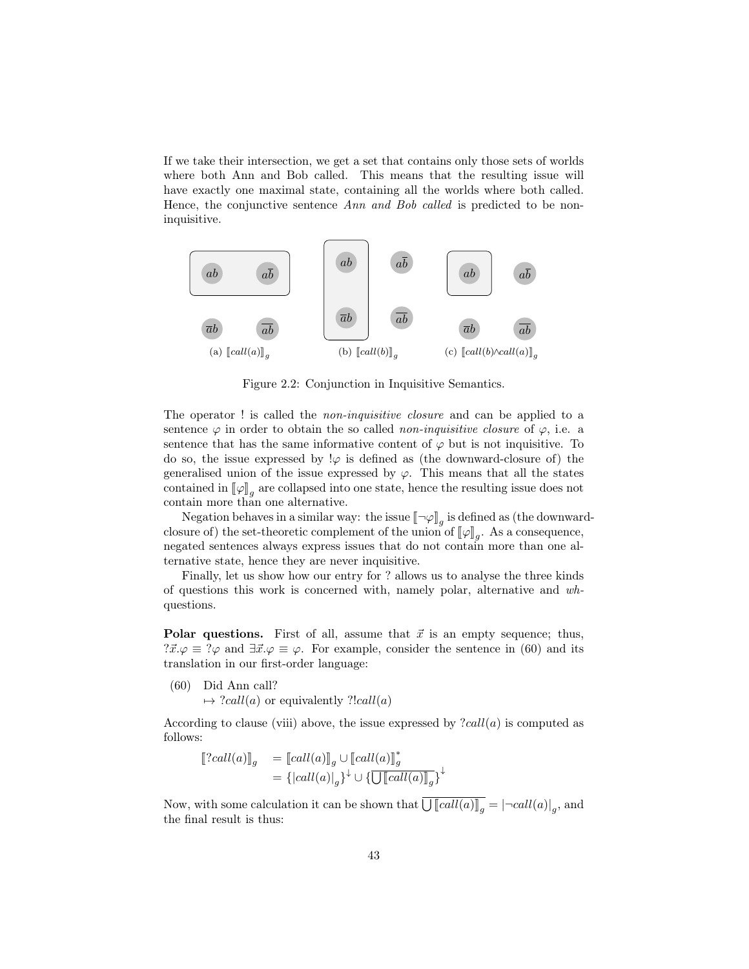If we take their intersection, we get a set that contains only those sets of worlds where both Ann and Bob called. This means that the resulting issue will have exactly one maximal state, containing all the worlds where both called. Hence, the conjunctive sentence Ann and Bob called is predicted to be noninquisitive.



Figure 2.2: Conjunction in Inquisitive Semantics.

The operator ! is called the *non-inquisitive closure* and can be applied to a sentence  $\varphi$  in order to obtain the so called *non-inquisitive closure* of  $\varphi$ , i.e. a sentence that has the same informative content of  $\varphi$  but is not inquisitive. To do so, the issue expressed by  $\varphi$  is defined as (the downward-closure of) the generalised union of the issue expressed by  $\varphi$ . This means that all the states contained in  $\llbracket \varphi \rrbracket_g$  are collapsed into one state, hence the resulting issue does not<br>contain more than one alternative contain more than one alternative.

Negation behaves in a similar way: the issue  $\llbracket \neg \varphi \rrbracket_g$  is defined as (the downward-<br>wro of) the set theoretic complement of the union of  $\llbracket \varphi \rrbracket$ . As a consequence closure of) the set-theoretic complement of the union of  $\llbracket \varphi \rrbracket_g$ . As a consequence, negated sontonees always express issues that do not contain more than one all negated sentences always express issues that do not contain more than one alternative state, hence they are never inquisitive.

Finally, let us show how our entry for ? allows us to analyse the three kinds of questions this work is concerned with, namely polar, alternative and whquestions.

**Polar questions.** First of all, assume that  $\vec{x}$  is an empty sequence; thus,  $?x.\varphi \equiv ?\varphi$  and  $\exists \vec{x}.\varphi \equiv \varphi$ . For example, consider the sentence in (60) and its translation in our first-order language:

(60) Did Ann call?  $\mapsto$  ?call(a) or equivalently ?!call(a)

According to clause (viii) above, the issue expressed by  $\text{?call}(a)$  is computed as follows:

$$
\begin{aligned}\n\left[2 \, \text{call}(a)\right]_g &= \left[ \text{call}(a)\right]_g \cup \left[ \text{call}(a)\right]_g^* \\
&= \{ \left| \text{call}(a) \right|_g \}^\downarrow \cup \{ \overline{\bigcup \left[ \text{call}(a)\right]_g} \}^\downarrow\n\end{aligned}
$$

Now, with some calculation it can be shown that  $\bigcup [call(a)]_g = |\neg call(a)|_g$ , and the final result is thus: the final result is thus: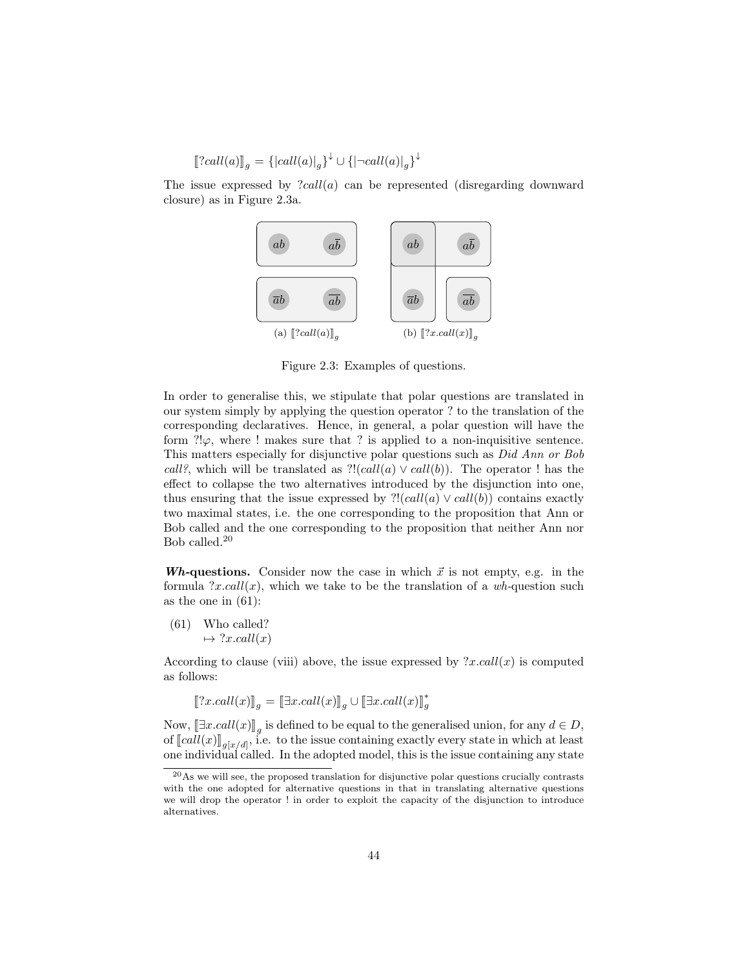$[?call(a)]_g = {|call(a)|_g}^{\downarrow} \cup {|\neg call(a)|_g}^{\downarrow}$ 

The issue expressed by  $?call(a)$  can be represented (disregarding downward closure) as in Figure 2.3a.



Figure 2.3: Examples of questions.

In order to generalise this, we stipulate that polar questions are translated in our system simply by applying the question operator ? to the translation of the corresponding declaratives. Hence, in general, a polar question will have the form  $?!\varphi$ , where ! makes sure that ? is applied to a non-inquisitive sentence. This matters especially for disjunctive polar questions such as Did Ann or Bob call?, which will be translated as  $?!(call(a) \vee call(b)).$  The operator ! has the effect to collapse the two alternatives introduced by the disjunction into one, thus ensuring that the issue expressed by  $?!(call(a) \vee call(b))$  contains exactly two maximal states, i.e. the one corresponding to the proposition that Ann or Bob called and the one corresponding to the proposition that neither Ann nor Bob called.<sup>20</sup>

**Wh-questions.** Consider now the case in which  $\vec{x}$  is not empty, e.g. in the formula  $?x.call(x)$ , which we take to be the translation of a wh-question such as the one in  $(61)$ :

(61) Who called?  $\mapsto$  ?x.call(x)

According to clause (viii) above, the issue expressed by  $?x.call(x)$  is computed as follows:

$$
[\![?x. call(x)]\!]_g = [\![\exists x. call(x)]\!]_g \cup [\![\exists x. call(x)]\!]_g^*
$$

Now,  $[\exists x.call(x)]_g$  is defined to be equal to the generalised union, for any  $d \in D$ ,<br>of  $[[a]](x)]$  is to the issue containing exactly overy state in which at logar of  $lll(x)$ <sub>g[x/d]</sub>, i.e. to the issue containing exactly every state in which at least<br>one individual called. In the adopted model, this is the issue containing any state one individual called. In the adopted model, this is the issue containing any state

 $^{20}$ As we will see, the proposed translation for disjunctive polar questions crucially contrasts with the one adopted for alternative questions in that in translating alternative questions we will drop the operator ! in order to exploit the capacity of the disjunction to introduce alternatives.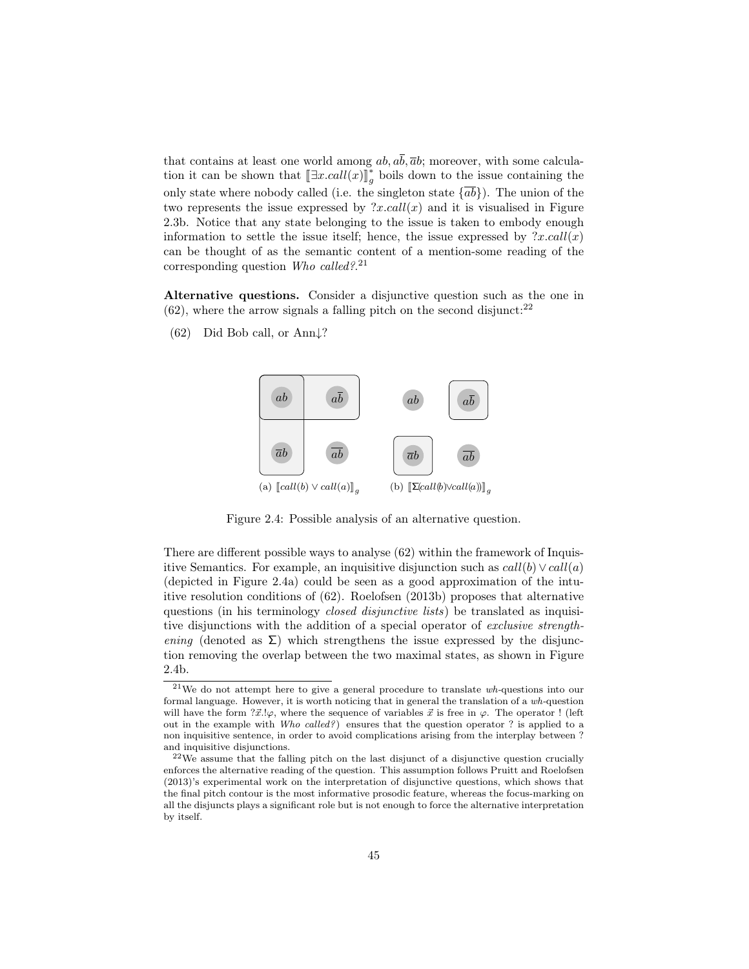that contains at least one world among  $ab$ ,  $a\overline{b}$ ,  $\overline{a}b$ ; moreover, with some calculation it can be shown that  $[\exists x. \text{call}(x)]_g^*$  $_{g}^{*}$  boils down to the issue containing the only state where nobody called (i.e. the singleton state  $\{ab\}$ ). The union of the two represents the issue expressed by  $?x.call(x)$  and it is visualised in Figure 2.3b. Notice that any state belonging to the issue is taken to embody enough information to settle the issue itself; hence, the issue expressed by  $?x.call(x)$ can be thought of as the semantic content of a mention-some reading of the corresponding question Who called?.<sup>21</sup>

Alternative questions. Consider a disjunctive question such as the one in  $(62)$ , where the arrow signals a falling pitch on the second disjunct:<sup>22</sup>

 $(62)$  Did Bob call, or Ann $\downarrow$ ?



Figure 2.4: Possible analysis of an alternative question.

There are different possible ways to analyse (62) within the framework of Inquisitive Semantics. For example, an inquisitive disjunction such as  $call(b) \vee call(a)$ (depicted in Figure 2.4a) could be seen as a good approximation of the intuitive resolution conditions of (62). Roelofsen (2013b) proposes that alternative questions (in his terminology *closed disjunctive lists*) be translated as inquisitive disjunctions with the addition of a special operator of exclusive strengthening (denoted as  $\Sigma$ ) which strengthens the issue expressed by the disjunction removing the overlap between the two maximal states, as shown in Figure 2.4b.

 $21$ We do not attempt here to give a general procedure to translate  $wh$ -questions into our formal language. However, it is worth noticing that in general the translation of a wh-question will have the form  $?x'.\varphi$ , where the sequence of variables  $\vec{x}$  is free in  $\varphi$ . The operator ! (left out in the example with Who called?) ensures that the question operator ? is applied to a non inquisitive sentence, in order to avoid complications arising from the interplay between ? and inquisitive disjunctions.

<sup>22</sup>We assume that the falling pitch on the last disjunct of a disjunctive question crucially enforces the alternative reading of the question. This assumption follows Pruitt and Roelofsen (2013)'s experimental work on the interpretation of disjunctive questions, which shows that the final pitch contour is the most informative prosodic feature, whereas the focus-marking on all the disjuncts plays a significant role but is not enough to force the alternative interpretation by itself.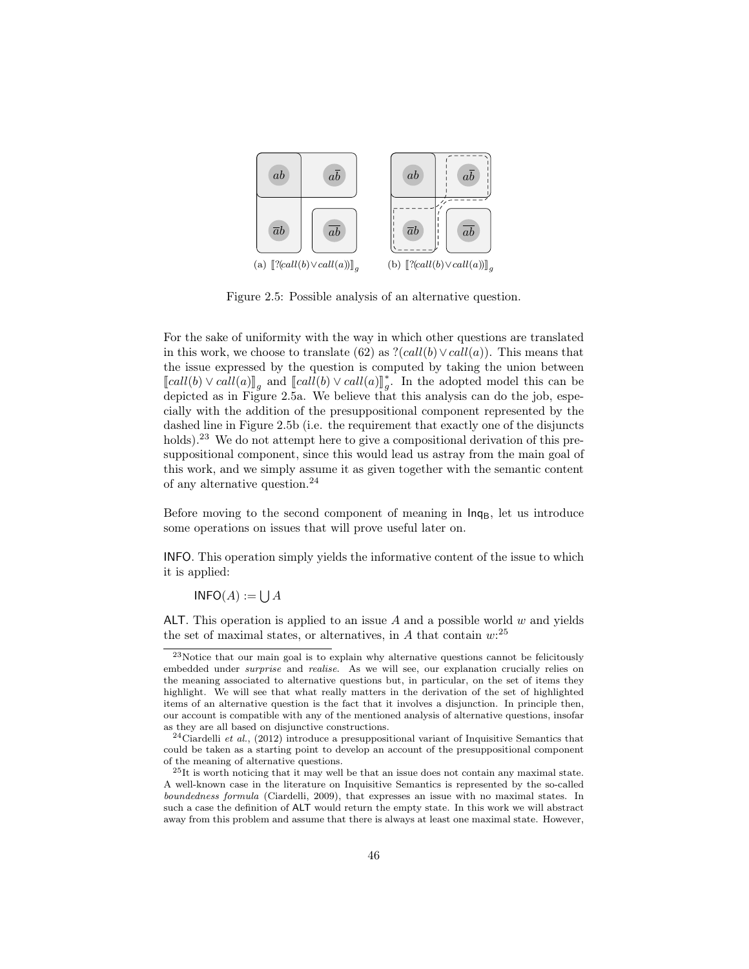

Figure 2.5: Possible analysis of an alternative question.

For the sake of uniformity with the way in which other questions are translated in this work, we choose to translate (62) as  $?(\text{call}(b) \vee \text{call}(a))$ . This means that the issue expressed by the question is computed by taking the union between  $\llbracket \text{call}(b) \vee \text{call}(a) \rrbracket_g$  and  $\llbracket \text{call}(b) \vee \text{call}(a) \rrbracket_g^*$ <br>dopisted as in Figure 2.5a, We believe the  $_{g}^*$ . In the adopted model this can be depicted as in Figure 2.5a. We believe that this analysis can do the job, especially with the addition of the presuppositional component represented by the dashed line in Figure 2.5b (i.e. the requirement that exactly one of the disjuncts holds).<sup>23</sup> We do not attempt here to give a compositional derivation of this presuppositional component, since this would lead us astray from the main goal of this work, and we simply assume it as given together with the semantic content of any alternative question.<sup>24</sup>

Before moving to the second component of meaning in  $\mathsf{Inq}_{\mathsf{B}}$ , let us introduce some operations on issues that will prove useful later on.

INFO. This operation simply yields the informative content of the issue to which it is applied:

 $$ 

ALT. This operation is applied to an issue A and a possible world  $w$  and yields the set of maximal states, or alternatives, in A that contain  $w$ <sup>25</sup>

 $23$ Notice that our main goal is to explain why alternative questions cannot be felicitously embedded under *surprise* and *realise*. As we will see, our explanation crucially relies on the meaning associated to alternative questions but, in particular, on the set of items they highlight. We will see that what really matters in the derivation of the set of highlighted items of an alternative question is the fact that it involves a disjunction. In principle then, our account is compatible with any of the mentioned analysis of alternative questions, insofar as they are all based on disjunctive constructions.

 $24$ Ciardelli et al., (2012) introduce a presuppositional variant of Inquisitive Semantics that could be taken as a starting point to develop an account of the presuppositional component of the meaning of alternative questions.

<sup>25</sup>It is worth noticing that it may well be that an issue does not contain any maximal state. A well-known case in the literature on Inquisitive Semantics is represented by the so-called boundedness formula (Ciardelli, 2009), that expresses an issue with no maximal states. In such a case the definition of ALT would return the empty state. In this work we will abstract away from this problem and assume that there is always at least one maximal state. However,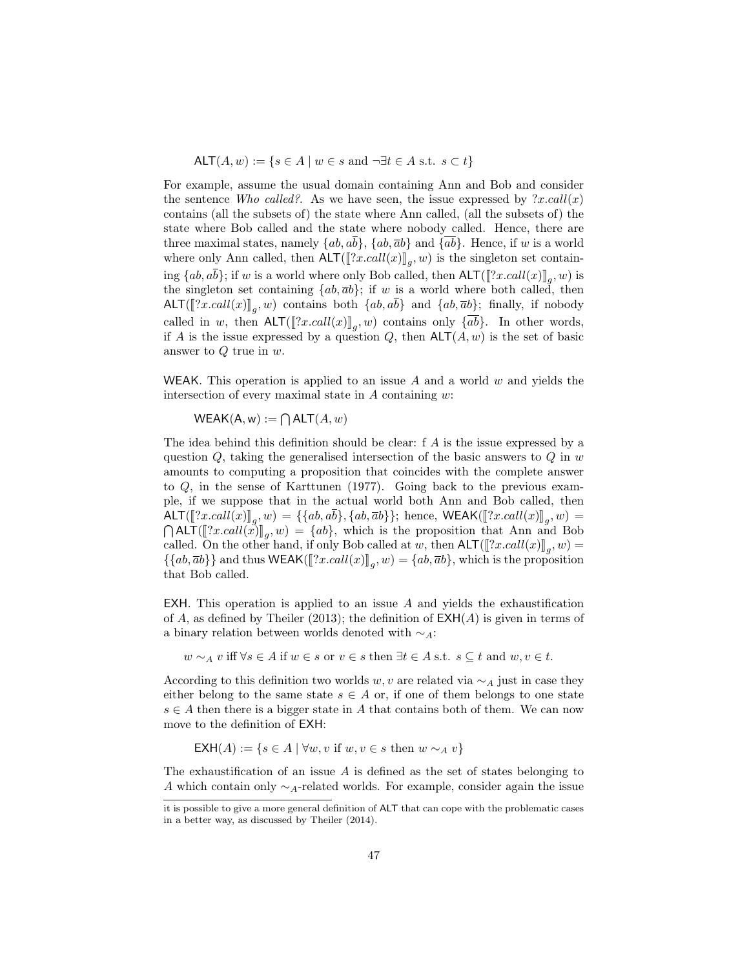ALT $(A, w) := \{ s \in A \mid w \in s \text{ and } \neg \exists t \in A \text{ s.t. } s \subset t \}$ 

For example, assume the usual domain containing Ann and Bob and consider the sentence Who called? As we have seen, the issue expressed by  $\langle x, \text{call}(x) \rangle$ contains (all the subsets of) the state where Ann called, (all the subsets of) the state where Bob called and the state where nobody called. Hence, there are three maximal states, namely  $\{ab, a\overline{b}\}, \{ab, \overline{a}b\}$  and  $\{\overline{ab}\}.$  Hence, if w is a world where only Ann called, then  $\text{ALT}([\![?x, \text{call}(x)]\!]_g, w)$  is the singleton set containing  $\{ab, ab\}$ ; if w is a world where only Bob called, then  $\text{ALT}([\![?x, call(x)]\!]_g, w)$  is<br>the singleton set containing  $\{ab, \overline{a}b\}$ ; if w is a world where both called, then the singleton set containing  $\{ab,\overline{a}b\}$ ; if w is a world where both called, then ALT([[?x.call(x)]<sub>g</sub>, w) contains both  $\{ab, ab\}$  and  $\{ab, \overline{ab}\}$ ; finally, if nobody called in w, then  $\text{ALT}(\llbracket ?x, call(x) \rrbracket_g, w)$  contains only  $\{ab\}$ . In other words,<br>if A is the issue expressed by a quottion O, then  $\text{ALT}(A, w)$  is the set of basic if A is the issue expressed by a question  $Q$ , then  $\mathsf{ALT}(A, w)$  is the set of basic answer to Q true in w.

WEAK. This operation is applied to an issue A and a world  $w$  and yields the intersection of every maximal state in  $A$  containing  $w$ :

 $WEAK(A, w) := \bigcap ALT(A, w)$ 

The idea behind this definition should be clear: f A is the issue expressed by a question  $Q$ , taking the generalised intersection of the basic answers to  $Q$  in  $w$ amounts to computing a proposition that coincides with the complete answer to Q, in the sense of Karttunen (1977). Going back to the previous example, if we suppose that in the actual world both Ann and Bob called, then  $\text{ALT}([\![?x, \text{call}(x)]\!]_g, w) = \{ \{ab, ab\}, \{ab, \overline{ab} \} \};$  hence,  $\text{WEAK}([\![?x, \text{call}(x)]\!]_g, w) = \text{Out}(\![?x, \text{call}(x)]\!]_g, w) = \text{Out}(\![?x, \text{call}(x)]\!]_g, w)$  $\bigcap$ ALT $(\llbracket ?x, call(x) \rrbracket_g, w) = \{ab\}$ , which is the proposition that Ann and Bob<br>called On the other hand if only Bob called at we then  $\Delta \Gamma(\llbracket 2x, call(x) \rrbracket_{\ell,w} )$ called. On the other hand, if only Bob called at w, then  $\text{ALT}([\![?x, call(x)]\!]_g, w) =$ <br> $\{[ab, \overline{ab}] \}$  and thus  $\text{WFAK}([\![?x, call(x)]\!]_g, w) = [ab, \overline{ab}]$ , which is the proposition  $\{\{ab, \overline{a}b\}\}\$  and thus  $\mathsf{WEAK}(\llbracket \{x, call(x) \rrbracket_g, w) = \{ab, \overline{a}b\}$ , which is the proposition that Bob called that Bob called.

EXH. This operation is applied to an issue  $A$  and yields the exhaustification of A, as defined by Theiler (2013); the definition of  $\mathsf{EXH}(A)$  is given in terms of a binary relation between worlds denoted with  $\sim_A$ :

$$
w \sim_A v
$$
 iff  $\forall s \in A$  if  $w \in s$  or  $v \in s$  then  $\exists t \in A$  s.t.  $s \subseteq t$  and  $w, v \in t$ .

According to this definition two worlds w, v are related via  $\sim_A$  just in case they either belong to the same state  $s \in A$  or, if one of them belongs to one state  $s \in A$  then there is a bigger state in A that contains both of them. We can now move to the definition of EXH:

$$
EXH(A) := \{ s \in A \mid \forall w, v \text{ if } w, v \in s \text{ then } w \sim_A v \}
$$

The exhaustification of an issue  $\vec{A}$  is defined as the set of states belonging to A which contain only  $\sim$ <sub>A</sub>-related worlds. For example, consider again the issue

it is possible to give a more general definition of ALT that can cope with the problematic cases in a better way, as discussed by Theiler (2014).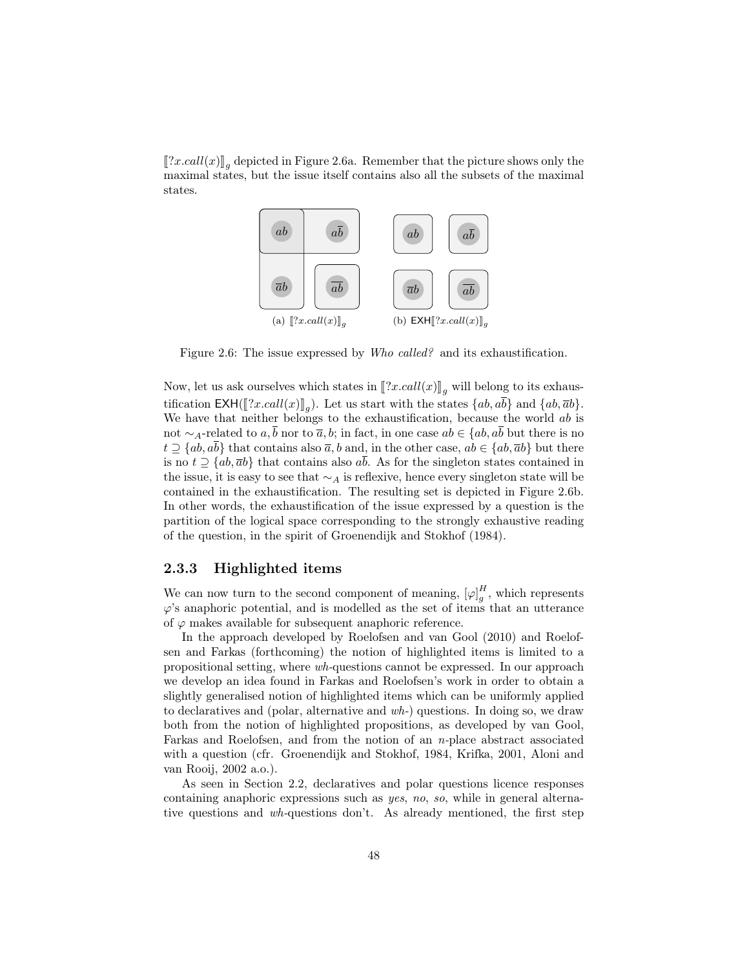$[[?x, call(x)]_g$  depicted in Figure 2.6a. Remember that the picture shows only the maximal states, but the issue itself contains also all the subsets of the maximal maximal states, but the issue itself contains also all the subsets of the maximal states.



Figure 2.6: The issue expressed by Who called? and its exhaustification.

Now, let us ask ourselves which states in  $\llbracket ?x.call(x) \rrbracket_q$  will belong to its exhaustification  $\mathsf{EXH}([\![?x, \mathit{call}(x)]\!]_g)$ . Let us start with the states  $\{ab, \overline{ab}\}$  and  $\{ab, \overline{ab}\}$ .<br>We have that poither belongs to the exhaustification, because the world chief We have that neither belongs to the exhaustification, because the world  $ab$  is not ∼<sub>A</sub>-related to  $a, \overline{b}$  nor to  $\overline{a}, b$ ; in fact, in one case  $ab \in \{ab, a\overline{b}$  but there is no  $t \supseteq \{ab, a\overline{b}\}\$ that contains also  $\overline{a}$ , b and, in the other case,  $ab \in \{ab, \overline{a}b\}$  but there is no  $t \supseteq \{ab, \overline{a}b\}$  that contains also  $a\overline{b}$ . As for the singleton states contained in the issue, it is easy to see that  $\sim_A$  is reflexive, hence every singleton state will be contained in the exhaustification. The resulting set is depicted in Figure 2.6b. In other words, the exhaustification of the issue expressed by a question is the partition of the logical space corresponding to the strongly exhaustive reading of the question, in the spirit of Groenendijk and Stokhof (1984).

#### 2.3.3 Highlighted items

We can now turn to the second component of meaning,  $[\varphi]_g^H$ , which represents  $\varphi$ 's anaphoric potential, and is modelled as the set of items that an utterance of  $\varphi$  makes available for subsequent anaphoric reference.

In the approach developed by Roelofsen and van Gool (2010) and Roelofsen and Farkas (forthcoming) the notion of highlighted items is limited to a propositional setting, where wh-questions cannot be expressed. In our approach we develop an idea found in Farkas and Roelofsen's work in order to obtain a slightly generalised notion of highlighted items which can be uniformly applied to declaratives and (polar, alternative and  $wh$ -) questions. In doing so, we draw both from the notion of highlighted propositions, as developed by van Gool, Farkas and Roelofsen, and from the notion of an n-place abstract associated with a question (cfr. Groenendijk and Stokhof, 1984, Krifka, 2001, Aloni and van Rooij, 2002 a.o.).

As seen in Section 2.2, declaratives and polar questions licence responses containing anaphoric expressions such as yes, no, so, while in general alternative questions and wh-questions don't. As already mentioned, the first step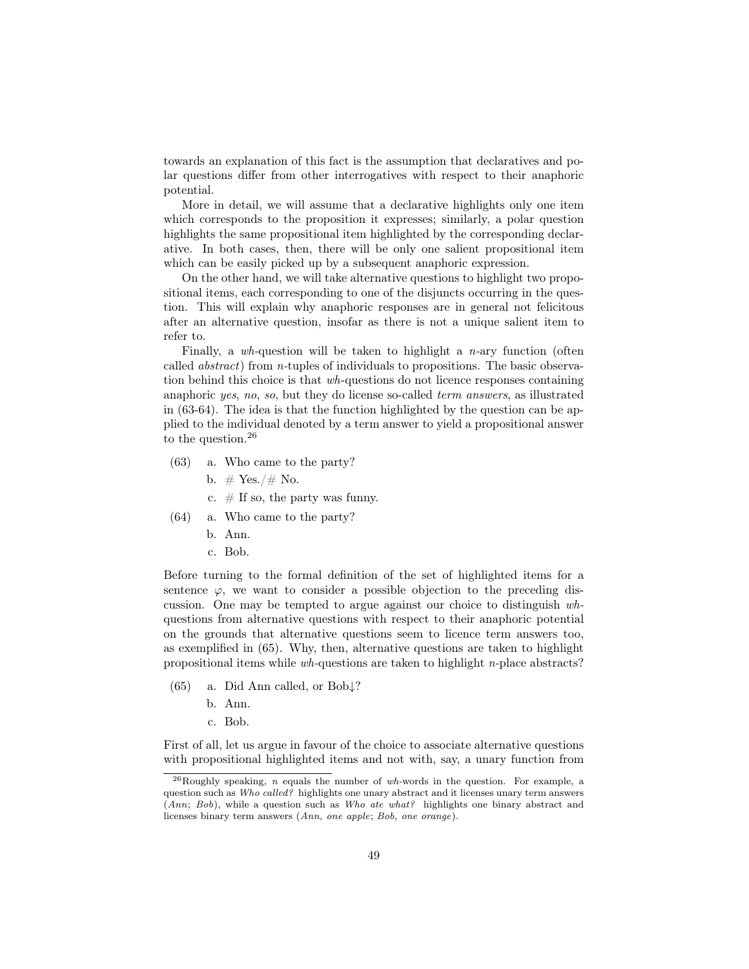towards an explanation of this fact is the assumption that declaratives and polar questions differ from other interrogatives with respect to their anaphoric potential.

More in detail, we will assume that a declarative highlights only one item which corresponds to the proposition it expresses; similarly, a polar question highlights the same propositional item highlighted by the corresponding declarative. In both cases, then, there will be only one salient propositional item which can be easily picked up by a subsequent anaphoric expression.

On the other hand, we will take alternative questions to highlight two propositional items, each corresponding to one of the disjuncts occurring in the question. This will explain why anaphoric responses are in general not felicitous after an alternative question, insofar as there is not a unique salient item to refer to.

Finally, a wh-question will be taken to highlight a n-ary function (often called abstract) from n-tuples of individuals to propositions. The basic observation behind this choice is that wh-questions do not licence responses containing anaphoric yes, no, so, but they do license so-called term answers, as illustrated in (63-64). The idea is that the function highlighted by the question can be applied to the individual denoted by a term answer to yield a propositional answer to the question.<sup>26</sup>

- (63) a. Who came to the party?
	- b.  $# Yes./# No.$
	- c.  $\#$  If so, the party was funny.
- (64) a. Who came to the party?
	- b. Ann.
	- c. Bob.

Before turning to the formal definition of the set of highlighted items for a sentence  $\varphi$ , we want to consider a possible objection to the preceding discussion. One may be tempted to argue against our choice to distinguish whquestions from alternative questions with respect to their anaphoric potential on the grounds that alternative questions seem to licence term answers too, as exemplified in (65). Why, then, alternative questions are taken to highlight propositional items while wh-questions are taken to highlight n-place abstracts?

- (65) a. Did Ann called, or Bob↓?
	- b. Ann.
	- c. Bob.

First of all, let us argue in favour of the choice to associate alternative questions with propositional highlighted items and not with, say, a unary function from

 $^{26}$ Roughly speaking, *n* equals the number of wh-words in the question. For example, a question such as Who called? highlights one unary abstract and it licenses unary term answers (Ann; Bob), while a question such as Who ate what? highlights one binary abstract and licenses binary term answers (Ann, one apple; Bob, one orange).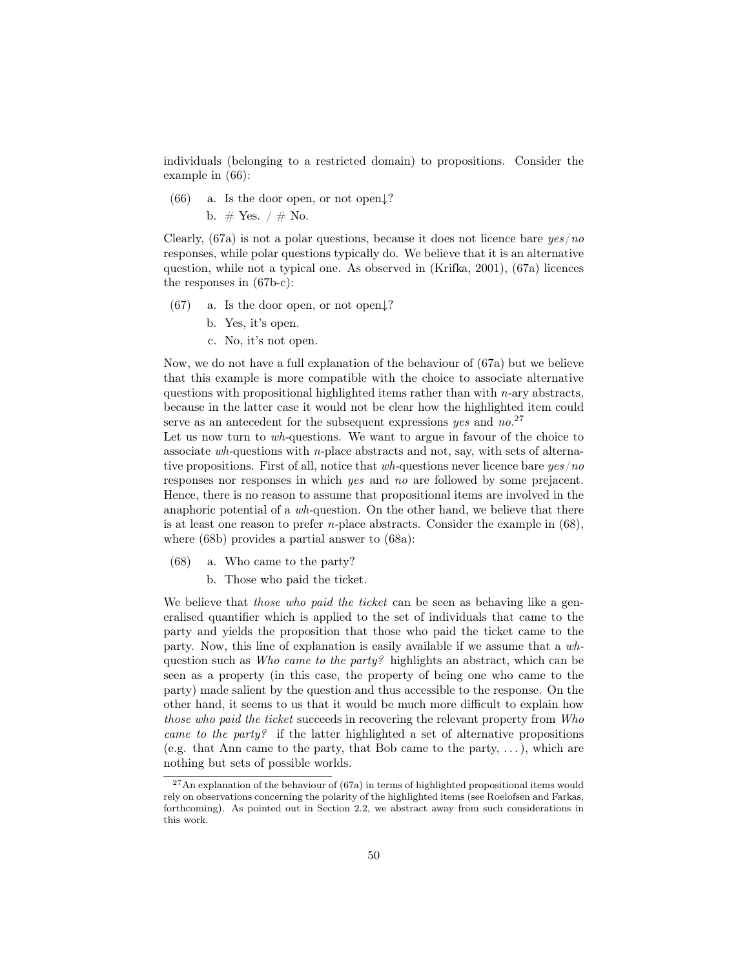individuals (belonging to a restricted domain) to propositions. Consider the example in (66):

(66) a. Is the door open, or not open $\downarrow$ ?

b.  $\#$  Yes.  $/ \#$  No.

Clearly, (67a) is not a polar questions, because it does not licence bare  $\eta \epsilon$  /no responses, while polar questions typically do. We believe that it is an alternative question, while not a typical one. As observed in (Krifka, 2001), (67a) licences the responses in (67b-c):

- (67) a. Is the door open, or not open $\downarrow$ ?
	- b. Yes, it's open.
	- c. No, it's not open.

Now, we do not have a full explanation of the behaviour of (67a) but we believe that this example is more compatible with the choice to associate alternative questions with propositional highlighted items rather than with  $n$ -ary abstracts, because in the latter case it would not be clear how the highlighted item could serve as an antecedent for the subsequent expressions  $yes$  and  $no.^{27}$ 

Let us now turn to wh-questions. We want to argue in favour of the choice to associate wh-questions with n-place abstracts and not, say, with sets of alternative propositions. First of all, notice that  $wh$ -questions never licence bare  $yes/no$ responses nor responses in which yes and no are followed by some prejacent. Hence, there is no reason to assume that propositional items are involved in the anaphoric potential of a  $wh$ -question. On the other hand, we believe that there is at least one reason to prefer *n*-place abstracts. Consider the example in  $(68)$ , where (68b) provides a partial answer to (68a):

- (68) a. Who came to the party?
	- b. Those who paid the ticket.

We believe that those who paid the ticket can be seen as behaving like a generalised quantifier which is applied to the set of individuals that came to the party and yields the proposition that those who paid the ticket came to the party. Now, this line of explanation is easily available if we assume that a whquestion such as Who came to the party? highlights an abstract, which can be seen as a property (in this case, the property of being one who came to the party) made salient by the question and thus accessible to the response. On the other hand, it seems to us that it would be much more difficult to explain how those who paid the ticket succeeds in recovering the relevant property from Who came to the party? if the latter highlighted a set of alternative propositions (e.g. that Ann came to the party, that Bob came to the party, . . .), which are nothing but sets of possible worlds.

 $^{27}$ An explanation of the behaviour of (67a) in terms of highlighted propositional items would rely on observations concerning the polarity of the highlighted items (see Roelofsen and Farkas, forthcoming). As pointed out in Section 2.2, we abstract away from such considerations in this work.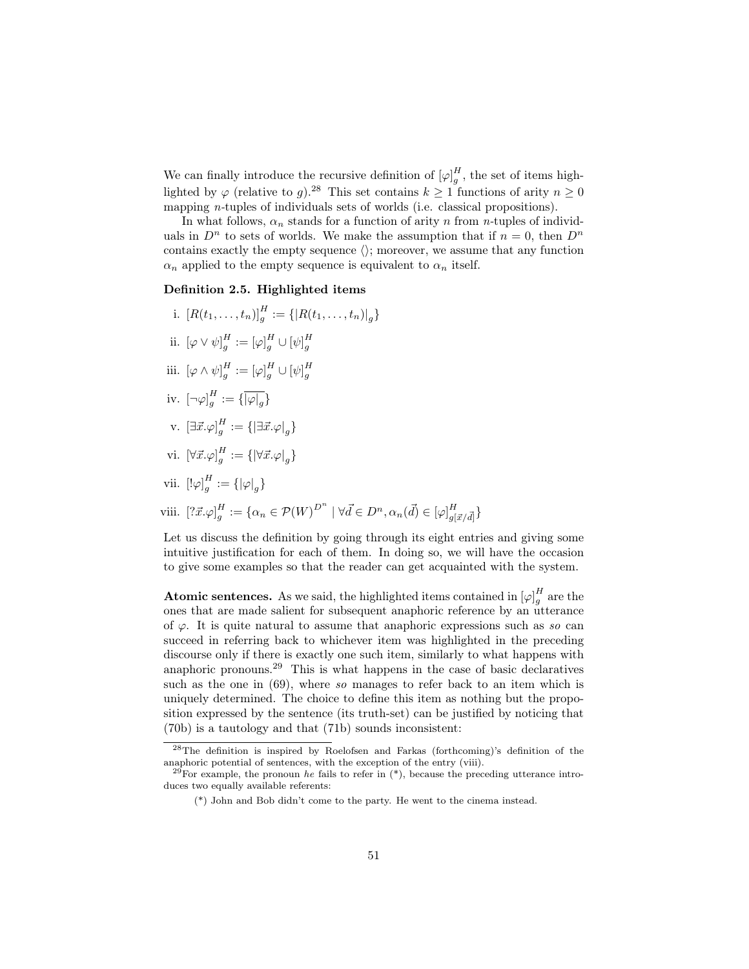We can finally introduce the recursive definition of  $[\varphi]_g^H$ , the set of items highlighted by  $\varphi$  (relative to g).<sup>28</sup> This set contains  $k \ge 1$  functions of arity  $n \ge 0$ mapping *n*-tuples of individuals sets of worlds (i.e. classical propositions).

In what follows,  $\alpha_n$  stands for a function of arity n from n-tuples of individuals in  $D^n$  to sets of worlds. We make the assumption that if  $n = 0$ , then  $D^n$ contains exactly the empty sequence  $\langle \rangle$ ; moreover, we assume that any function  $\alpha_n$  applied to the empty sequence is equivalent to  $\alpha_n$  itself.

#### Definition 2.5. Highlighted items

- i.  $[R(t_1, ..., t_n)]_g^H := \{ |R(t_1, ..., t_n)|_g \}$
- ii.  $\left[\varphi \vee \psi\right]^H_g := \left[\varphi\right]^H_g \cup \left[\psi\right]^H_g$
- iii.  $\left[\varphi\wedge\psi\right]_g^H:=\left[\varphi\right]_g^H\cup\left[\psi\right]_g^H$
- iv.  $\left[\neg\varphi\right]_g^H := \{\overline{|\varphi|_g}\}$
- v.  $\left[\exists \vec{x}.\varphi \right]^H_g := \left\{\left|\exists \vec{x}.\varphi\right|_g\right\}$
- vi.  $\left[\forall \vec{x}.\varphi\right]^H_g := \{ \left|\forall \vec{x}.\varphi\right|_g \}$
- vii.  $\left[\left|\varphi\right]_g^H := \left\{\left|\varphi\right|_g\right\}$
- viii.  $[? \vec{x} \cdot \varphi]_g^H := \{ \alpha_n \in \mathcal{P}(W)^{D^n} \mid \forall \vec{d} \in D^n, \alpha_n(\vec{d}) \in [\varphi]_{g[\vec{x}/\vec{d}]}^H \}$

Let us discuss the definition by going through its eight entries and giving some intuitive justification for each of them. In doing so, we will have the occasion to give some examples so that the reader can get acquainted with the system.

**Atomic sentences.** As we said, the highlighted items contained in  $[\varphi]_g^H$  are the ones that are made salient for subsequent anaphoric reference by an utterance of  $\varphi$ . It is quite natural to assume that anaphoric expressions such as so can succeed in referring back to whichever item was highlighted in the preceding discourse only if there is exactly one such item, similarly to what happens with anaphoric pronouns.<sup>29</sup> This is what happens in the case of basic declaratives such as the one in (69), where so manages to refer back to an item which is uniquely determined. The choice to define this item as nothing but the proposition expressed by the sentence (its truth-set) can be justified by noticing that (70b) is a tautology and that (71b) sounds inconsistent:

<sup>28</sup>The definition is inspired by Roelofsen and Farkas (forthcoming)'s definition of the anaphoric potential of sentences, with the exception of the entry (viii).

<sup>&</sup>lt;sup>29</sup>For example, the pronoun he fails to refer in  $(*)$ , because the preceding utterance introduces two equally available referents:

<sup>(\*)</sup> John and Bob didn't come to the party. He went to the cinema instead.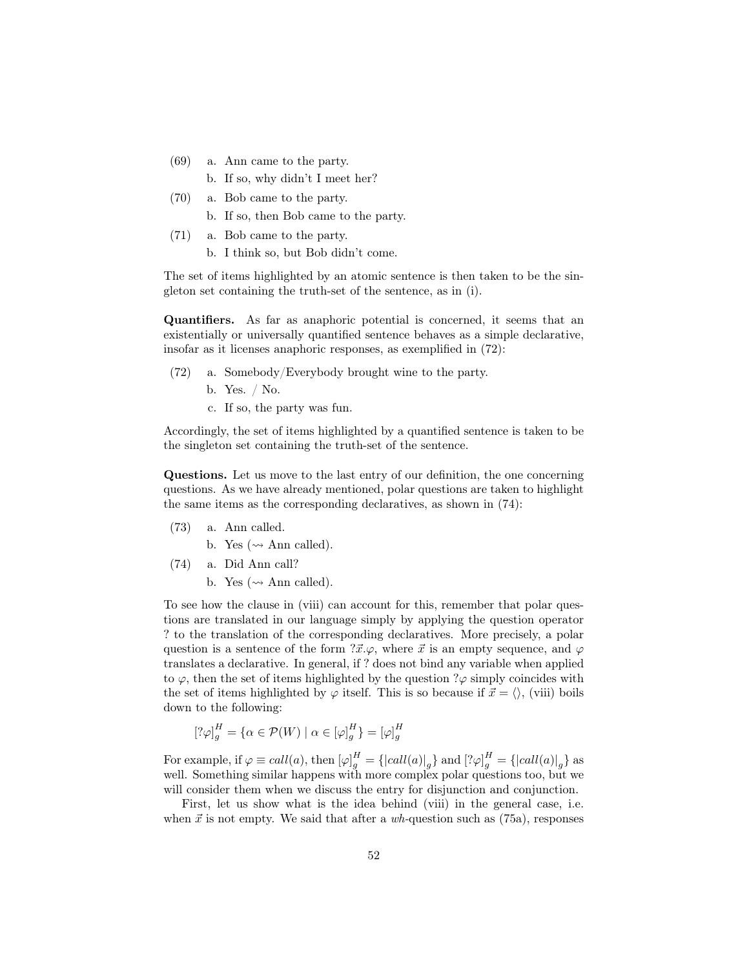- (69) a. Ann came to the party.
	- b. If so, why didn't I meet her?
- (70) a. Bob came to the party.
	- b. If so, then Bob came to the party.
- (71) a. Bob came to the party.
	- b. I think so, but Bob didn't come.

The set of items highlighted by an atomic sentence is then taken to be the singleton set containing the truth-set of the sentence, as in (i).

Quantifiers. As far as anaphoric potential is concerned, it seems that an existentially or universally quantified sentence behaves as a simple declarative, insofar as it licenses anaphoric responses, as exemplified in (72):

- (72) a. Somebody/Everybody brought wine to the party.
	- b. Yes. / No.
	- c. If so, the party was fun.

Accordingly, the set of items highlighted by a quantified sentence is taken to be the singleton set containing the truth-set of the sentence.

Questions. Let us move to the last entry of our definition, the one concerning questions. As we have already mentioned, polar questions are taken to highlight the same items as the corresponding declaratives, as shown in (74):

(73) a. Ann called.

b. Yes ( $\rightsquigarrow$  Ann called).

- (74) a. Did Ann call?
	- b. Yes ( $\rightsquigarrow$  Ann called).

To see how the clause in (viii) can account for this, remember that polar questions are translated in our language simply by applying the question operator ? to the translation of the corresponding declaratives. More precisely, a polar question is a sentence of the form  $\vec{x} \cdot \varphi$ , where  $\vec{x}$  is an empty sequence, and  $\varphi$ translates a declarative. In general, if ? does not bind any variable when applied to  $\varphi$ , then the set of items highlighted by the question  $\partial \varphi$  simply coincides with the set of items highlighted by  $\varphi$  itself. This is so because if  $\vec{x} = \langle \rangle$ , (viii) boils down to the following:

$$
\left[?\varphi\right]_g^H = \{ \alpha \in \mathcal{P}(W) \mid \alpha \in [\varphi]_g^H \} = [\varphi]_g^H
$$

For example, if  $\varphi \equiv \text{call}(a)$ , then  $[\varphi]_g^H = {\{\vert \text{call}(a) \vert}_g\}$  and  $[\varphi]_g^H = {\{\vert \text{call}(a) \vert}_g\}$  as well. Something similar happens with more complex polar questions too, but we will consider them when we discuss the entry for disjunction and conjunction.

First, let us show what is the idea behind (viii) in the general case, i.e. when  $\vec{x}$  is not empty. We said that after a wh-question such as (75a), responses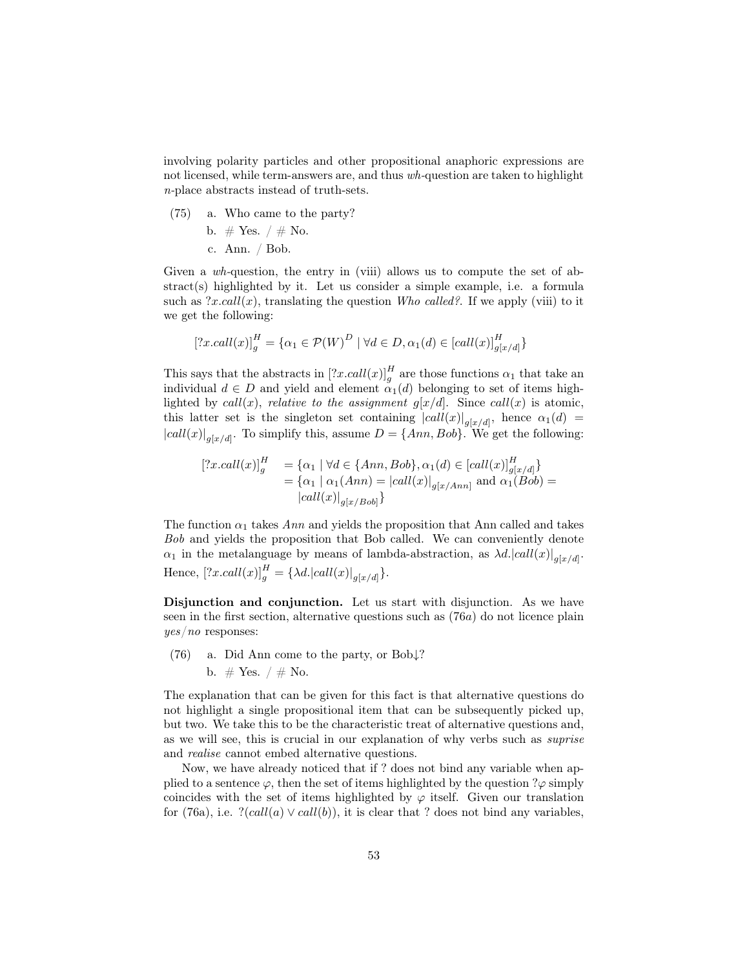involving polarity particles and other propositional anaphoric expressions are not licensed, while term-answers are, and thus wh-question are taken to highlight n-place abstracts instead of truth-sets.

(75) a. Who came to the party?

b. # Yes. 
$$
/ \#
$$
 No.  
c. Ann.  $/$  Bob.

Given a wh-question, the entry in (viii) allows us to compute the set of abstract(s) highlighted by it. Let us consider a simple example, i.e. a formula such as  $?x.call(x)$ , translating the question Who called?. If we apply (viii) to it we get the following:

$$
[?x. call(x)]_g^H = {\alpha_1 \in \mathcal{P}(W)}^D \mid \forall d \in D, \alpha_1(d) \in [call(x)]_{g[x/d]}^H
$$

This says that the abstracts in  $[?x.call(x)]_g^H$  are those functions  $\alpha_1$  that take an individual  $d \in D$  and yield and element  $\alpha_1(d)$  belonging to set of items highlighted by call(x), relative to the assignment  $g[x/d]$ . Since call(x) is atomic, this latter set is the singleton set containing  $|call(x)|_{g[x/d]}$ , hence  $\alpha_1(d)$  =  $|call(x)|_{g[x/d]}$ . To simplify this, assume  $D = \{Ann, Bob\}$ . We get the following:

$$
[?x. call(x)]_g^H = {\alpha_1 \mid \forall d \in \{Ann, Bob\}, \alpha_1(d) \in [call(x)]_{g[x/d]}^H\}= {\alpha_1 \mid \alpha_1(Ann) = |call(x)|_{g[x/Ann]} \text{ and } \alpha_1(Bob) = |call(x)|_{g[x/Bob]}\}
$$

The function  $\alpha_1$  takes Ann and yields the proposition that Ann called and takes Bob and yields the proposition that Bob called. We can conveniently denote  $\alpha_1$  in the metalanguage by means of lambda-abstraction, as  $\lambda d. |call(x)|_{g[x/d]}$ . Hence,  $[?x.call(x)]_g^H = \{\lambda d. |call(x)|_{g[x/d]}\}.$ 

Disjunction and conjunction. Let us start with disjunction. As we have seen in the first section, alternative questions such as  $(76a)$  do not licence plain yes/no responses:

(76) a. Did Ann come to the party, or Bob↓? b.  $\#$  Yes.  $/ \#$  No.

The explanation that can be given for this fact is that alternative questions do not highlight a single propositional item that can be subsequently picked up, but two. We take this to be the characteristic treat of alternative questions and, as we will see, this is crucial in our explanation of why verbs such as suprise and realise cannot embed alternative questions.

Now, we have already noticed that if ? does not bind any variable when applied to a sentence  $\varphi$ , then the set of items highlighted by the question ? $\varphi$  simply coincides with the set of items highlighted by  $\varphi$  itself. Given our translation for (76a), i.e.  $?(call(a) \vee call(b))$ , it is clear that ? does not bind any variables,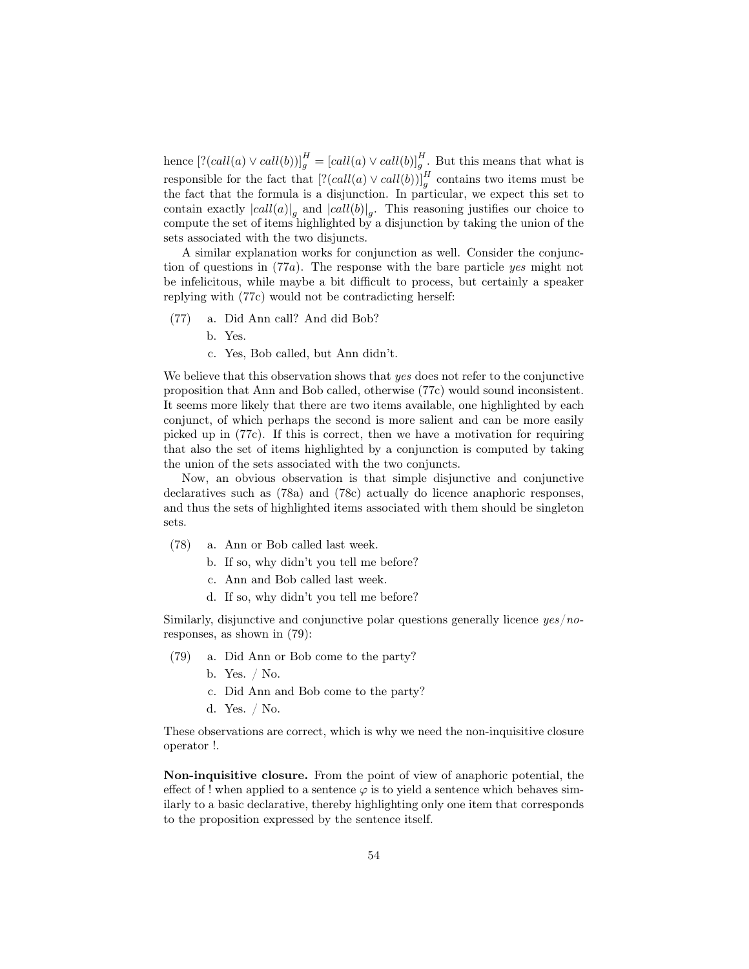hence  $[?(call(a) \vee call(b))]_g^H = [call(a) \vee call(b)]_g^H$ . But this means that what is responsible for the fact that  $\left[ ?(call(a) \vee call(b))]_{g}^{H}$  contains two items must be the fact that the formula is a disjunction. In particular, we expect this set to contain exactly  $|call(a)|_g$  and  $|call(b)|_g$ . This reasoning justifies our choice to compute the set of items highlighted by a disjunction by taking the union of the sets associated with the two disjuncts.

A similar explanation works for conjunction as well. Consider the conjunction of questions in (77a). The response with the bare particle yes might not be infelicitous, while maybe a bit difficult to process, but certainly a speaker replying with (77c) would not be contradicting herself:

- (77) a. Did Ann call? And did Bob?
	- b. Yes.
	- c. Yes, Bob called, but Ann didn't.

We believe that this observation shows that yes does not refer to the conjunctive proposition that Ann and Bob called, otherwise (77c) would sound inconsistent. It seems more likely that there are two items available, one highlighted by each conjunct, of which perhaps the second is more salient and can be more easily picked up in (77c). If this is correct, then we have a motivation for requiring that also the set of items highlighted by a conjunction is computed by taking the union of the sets associated with the two conjuncts.

Now, an obvious observation is that simple disjunctive and conjunctive declaratives such as (78a) and (78c) actually do licence anaphoric responses, and thus the sets of highlighted items associated with them should be singleton sets.

- (78) a. Ann or Bob called last week.
	- b. If so, why didn't you tell me before?
		- c. Ann and Bob called last week.
	- d. If so, why didn't you tell me before?

Similarly, disjunctive and conjunctive polar questions generally licence  $yes/no$ responses, as shown in (79):

- (79) a. Did Ann or Bob come to the party?
	- b. Yes. / No.
	- c. Did Ann and Bob come to the party?
	- d. Yes. / No.

These observations are correct, which is why we need the non-inquisitive closure operator !.

Non-inquisitive closure. From the point of view of anaphoric potential, the effect of ! when applied to a sentence  $\varphi$  is to yield a sentence which behaves similarly to a basic declarative, thereby highlighting only one item that corresponds to the proposition expressed by the sentence itself.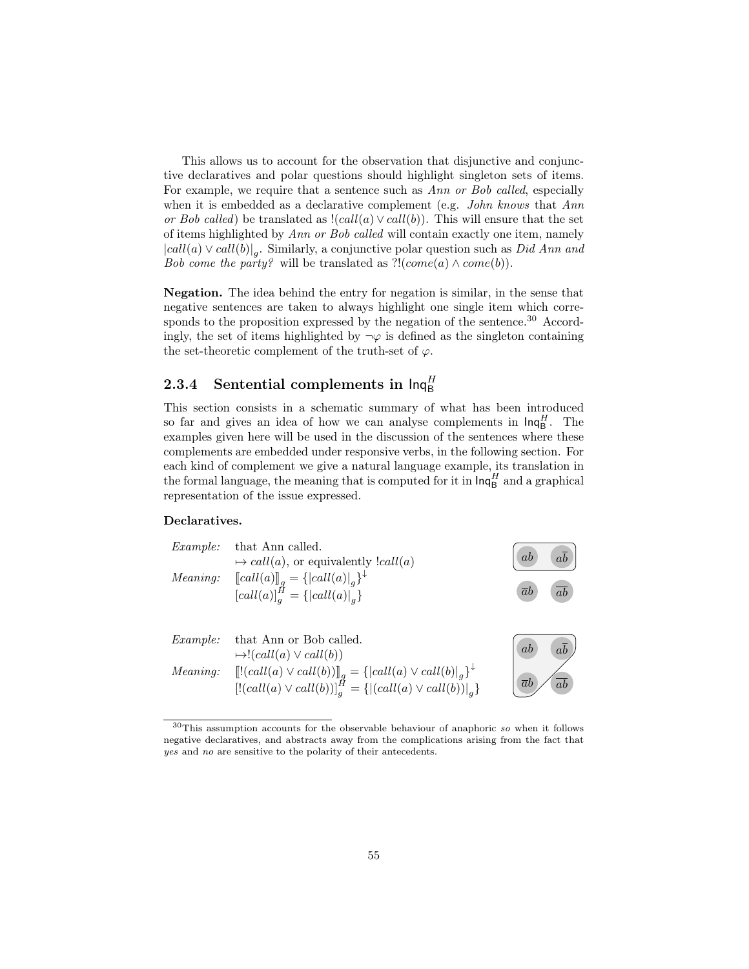This allows us to account for the observation that disjunctive and conjunctive declaratives and polar questions should highlight singleton sets of items. For example, we require that a sentence such as Ann or Bob called, especially when it is embedded as a declarative complement (e.g. *John knows* that Ann or Bob called) be translated as  $!(call(a) \vee call(b)).$  This will ensure that the set of items highlighted by Ann or Bob called will contain exactly one item, namely  $|call(a) \vee call(b)|_g$ . Similarly, a conjunctive polar question such as *Did Ann and* Bob come the party? will be translated as  $?!(come(a) \wedge come(b)).$ 

Negation. The idea behind the entry for negation is similar, in the sense that negative sentences are taken to always highlight one single item which corresponds to the proposition expressed by the negation of the sentence.<sup>30</sup> Accordingly, the set of items highlighted by  $\neg \varphi$  is defined as the singleton containing the set-theoretic complement of the truth-set of  $\varphi$ .

# 2.3.4 Sentential complements in  $\mathsf{Inq}_{\mathsf{B}}^H$

This section consists in a schematic summary of what has been introduced so far and gives an idea of how we can analyse complements in  $\text{Inq}_{\text{B}}^H$ . The examples given here will be used in the discussion of the sentences where these complements are embedded under responsive verbs, in the following section. For each kind of complement we give a natural language example, its translation in the formal language, the meaning that is computed for it in  $\mathsf{Inq}^H_\mathsf{B}$  and a graphical representation of the issue expressed.

#### Declaratives.



 $30$ This assumption accounts for the observable behaviour of anaphoric so when it follows negative declaratives, and abstracts away from the complications arising from the fact that yes and no are sensitive to the polarity of their antecedents.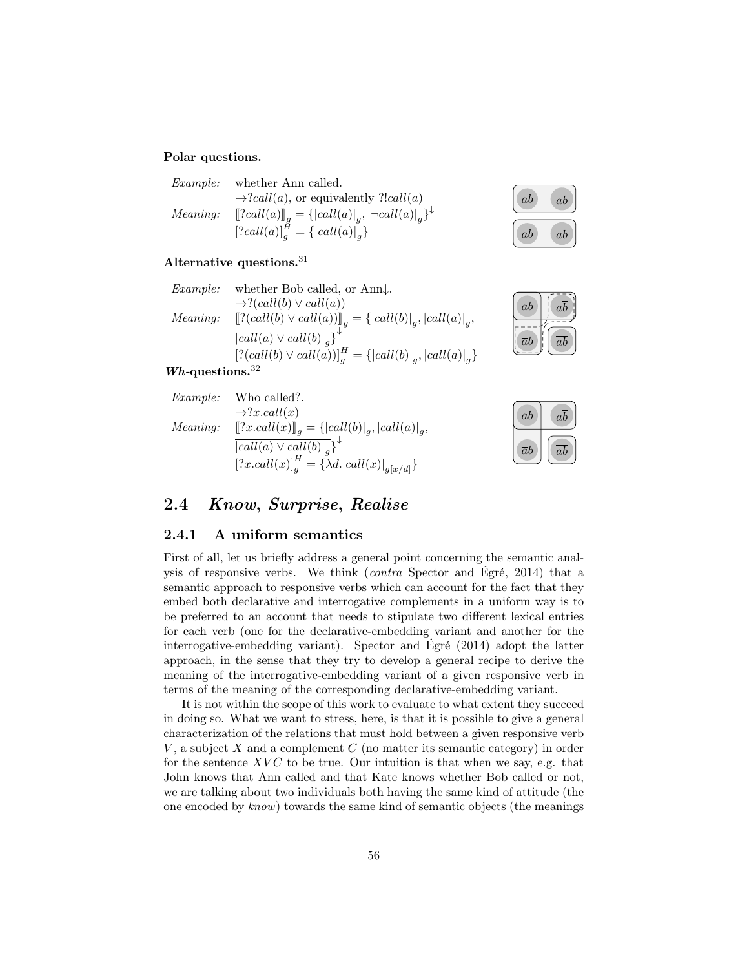#### Polar questions.

| Example: | whether Ann called.                                            |
|----------|----------------------------------------------------------------|
|          | $\mapsto$ ? <i>call(a)</i> , or equivalently ?! <i>call(a)</i> |
| Meaning: | $[[?call(a)]]_q = {  call(a) _q,  ¬call(a) _q }^{\downarrow}$  |
|          | $[2cal(a)]_a^H = \{  call(a) _a \}$                            |

#### Alternative questions. $31$

| Example:        | whether Bob called, or $Ann\downarrow$ .                       |
|-----------------|----------------------------------------------------------------|
|                 | $\mapsto$ ?(call(b) $\vee$ call(a))                            |
| <i>Meaning:</i> | $[[? (call(b) \vee call(a))]_q = {  call(b) _q,  call(a) _q,$  |
|                 | $\overline{ call(a) \vee call(b) _q}$ <sup>*</sup>             |
|                 | $[?(call(b) \vee call(a))]_q^H = {  call(b) _q,  call(a) _q }$ |
|                 |                                                                |

#### $Wh$ -questions.<sup>32</sup>

| Example:        | Who called?.                                                          |
|-----------------|-----------------------------------------------------------------------|
|                 | $\mapsto ?x.call(x)$                                                  |
| <i>Meaning:</i> | $[[?x. call(x)]_q = { call(b) _q,  call(a) _q},$                      |
|                 | $\overline{ call(a) \vee call(b) _a}$ <sup>*</sup>                    |
|                 | $[?x. \text{call}(x)]_a^H = \{\lambda d.  \text{call}(x) _{g[x/d]}\}$ |



| ab         | ab |
|------------|----|
| $\bar{a}b$ | ab |

| ab              | ab |
|-----------------|----|
| $\overline{a}b$ | ab |

## 2.4 Know, Surprise, Realise

#### 2.4.1 A uniform semantics

First of all, let us briefly address a general point concerning the semantic analysis of responsive verbs. We think (contra Spector and Égré, 2014) that a semantic approach to responsive verbs which can account for the fact that they embed both declarative and interrogative complements in a uniform way is to be preferred to an account that needs to stipulate two different lexical entries for each verb (one for the declarative-embedding variant and another for the interrogative-embedding variant). Spector and Égré (2014) adopt the latter approach, in the sense that they try to develop a general recipe to derive the meaning of the interrogative-embedding variant of a given responsive verb in terms of the meaning of the corresponding declarative-embedding variant.

It is not within the scope of this work to evaluate to what extent they succeed in doing so. What we want to stress, here, is that it is possible to give a general characterization of the relations that must hold between a given responsive verb  $V$ , a subject  $X$  and a complement  $C$  (no matter its semantic category) in order for the sentence  $XVC$  to be true. Our intuition is that when we say, e.g. that John knows that Ann called and that Kate knows whether Bob called or not, we are talking about two individuals both having the same kind of attitude (the one encoded by know) towards the same kind of semantic objects (the meanings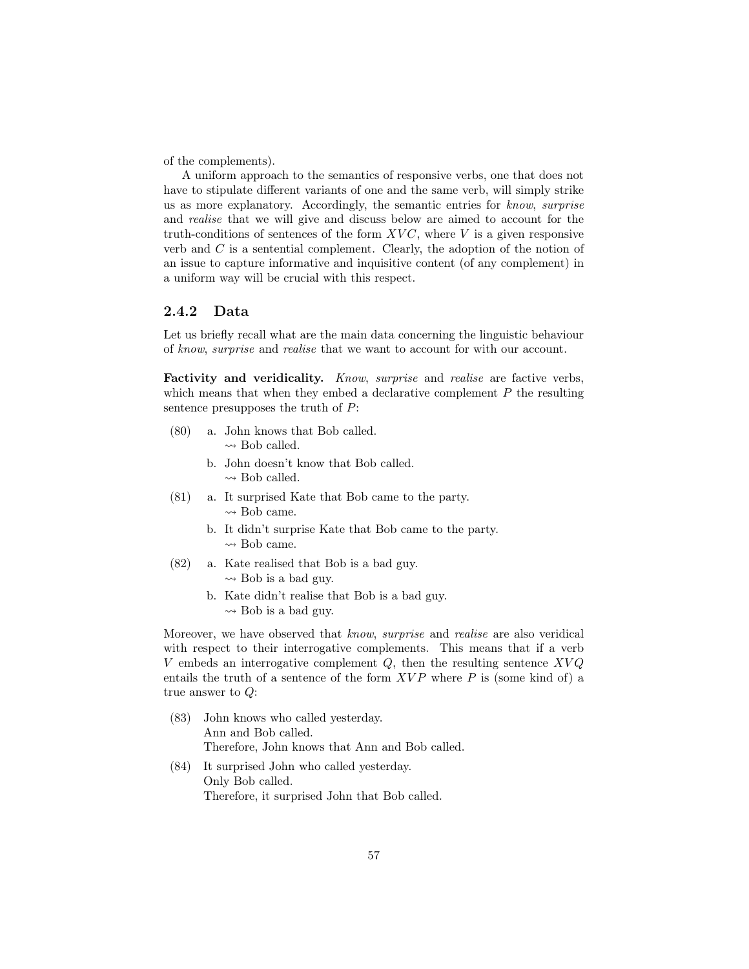of the complements).

A uniform approach to the semantics of responsive verbs, one that does not have to stipulate different variants of one and the same verb, will simply strike us as more explanatory. Accordingly, the semantic entries for know, surprise and realise that we will give and discuss below are aimed to account for the truth-conditions of sentences of the form  $XVC$ , where V is a given responsive verb and C is a sentential complement. Clearly, the adoption of the notion of an issue to capture informative and inquisitive content (of any complement) in a uniform way will be crucial with this respect.

#### 2.4.2 Data

Let us briefly recall what are the main data concerning the linguistic behaviour of know, surprise and realise that we want to account for with our account.

Factivity and veridicality. Know, surprise and realise are factive verbs, which means that when they embed a declarative complement  $P$  the resulting sentence presupposes the truth of P:

- (80) a. John knows that Bob called.  $\rightsquigarrow$  Bob called.
	- b. John doesn't know that Bob called.  $\rightsquigarrow$  Bob called.
- (81) a. It surprised Kate that Bob came to the party.  $\rightsquigarrow$  Bob came.
	- b. It didn't surprise Kate that Bob came to the party.  $\rightarrow$  Bob came.
- (82) a. Kate realised that Bob is a bad guy.  $\rightsquigarrow$  Bob is a bad guy.
	- b. Kate didn't realise that Bob is a bad guy.  $\rightsquigarrow$  Bob is a bad guy.

Moreover, we have observed that know, surprise and realise are also veridical with respect to their interrogative complements. This means that if a verb V embeds an interrogative complement  $Q$ , then the resulting sentence  $XVQ$ entails the truth of a sentence of the form  $XVP$  where P is (some kind of) a true answer to Q:

- (83) John knows who called yesterday. Ann and Bob called. Therefore, John knows that Ann and Bob called.
- (84) It surprised John who called yesterday. Only Bob called. Therefore, it surprised John that Bob called.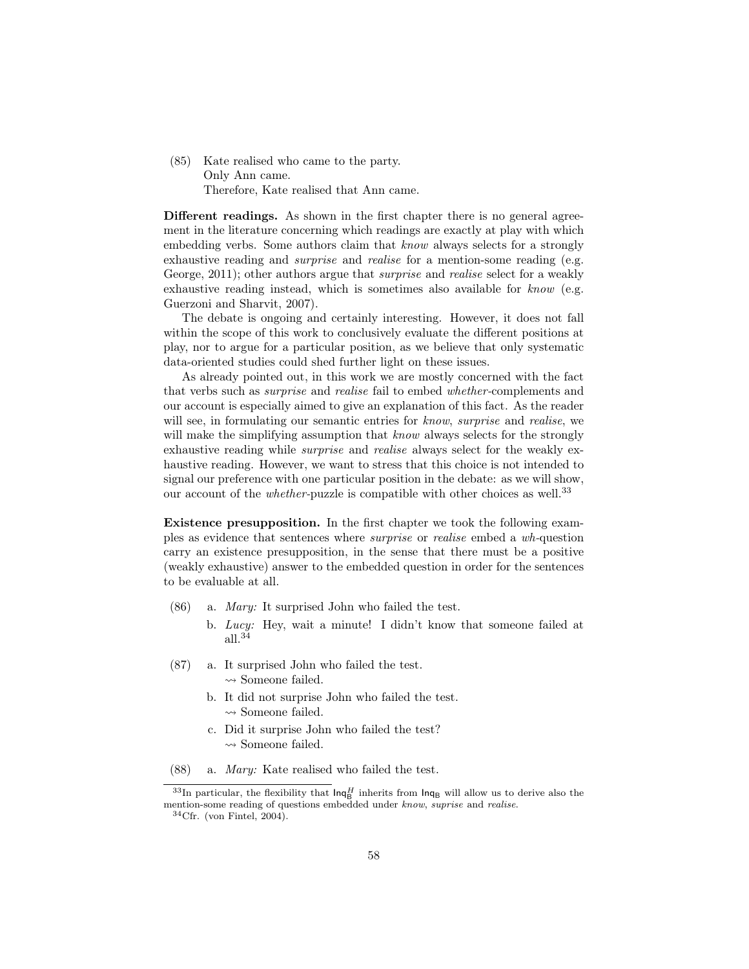(85) Kate realised who came to the party. Only Ann came. Therefore, Kate realised that Ann came.

Different readings. As shown in the first chapter there is no general agreement in the literature concerning which readings are exactly at play with which embedding verbs. Some authors claim that know always selects for a strongly exhaustive reading and *surprise* and *realise* for a mention-some reading (e.g. George, 2011); other authors argue that *surprise* and *realise* select for a weakly exhaustive reading instead, which is sometimes also available for know (e.g. Guerzoni and Sharvit, 2007).

The debate is ongoing and certainly interesting. However, it does not fall within the scope of this work to conclusively evaluate the different positions at play, nor to argue for a particular position, as we believe that only systematic data-oriented studies could shed further light on these issues.

As already pointed out, in this work we are mostly concerned with the fact that verbs such as surprise and realise fail to embed whether-complements and our account is especially aimed to give an explanation of this fact. As the reader will see, in formulating our semantic entries for know, surprise and realise, we will make the simplifying assumption that know always selects for the strongly exhaustive reading while surprise and realise always select for the weakly exhaustive reading. However, we want to stress that this choice is not intended to signal our preference with one particular position in the debate: as we will show, our account of the *whether*-puzzle is compatible with other choices as well.<sup>33</sup>

Existence presupposition. In the first chapter we took the following examples as evidence that sentences where surprise or realise embed a wh-question carry an existence presupposition, in the sense that there must be a positive (weakly exhaustive) answer to the embedded question in order for the sentences to be evaluable at all.

- (86) a. Mary: It surprised John who failed the test.
	- b. Lucy: Hey, wait a minute! I didn't know that someone failed at all.<sup>34</sup>
- (87) a. It surprised John who failed the test.  $\leadsto$  Someone failed.
	- b. It did not surprise John who failed the test.  $\rightsquigarrow$  Someone failed.
	- c. Did it surprise John who failed the test?  $\rightarrow$  Someone failed.
- (88) a. Mary: Kate realised who failed the test.

 $33$ In particular, the flexibility that  $\text{Inq}_{\text{B}}^H$  inherits from  $\text{Inq}_{\text{B}}$  will allow us to derive also the mention-some reading of questions embedded under know, suprise and realise.

 $34$ Cfr. (von Fintel, 2004).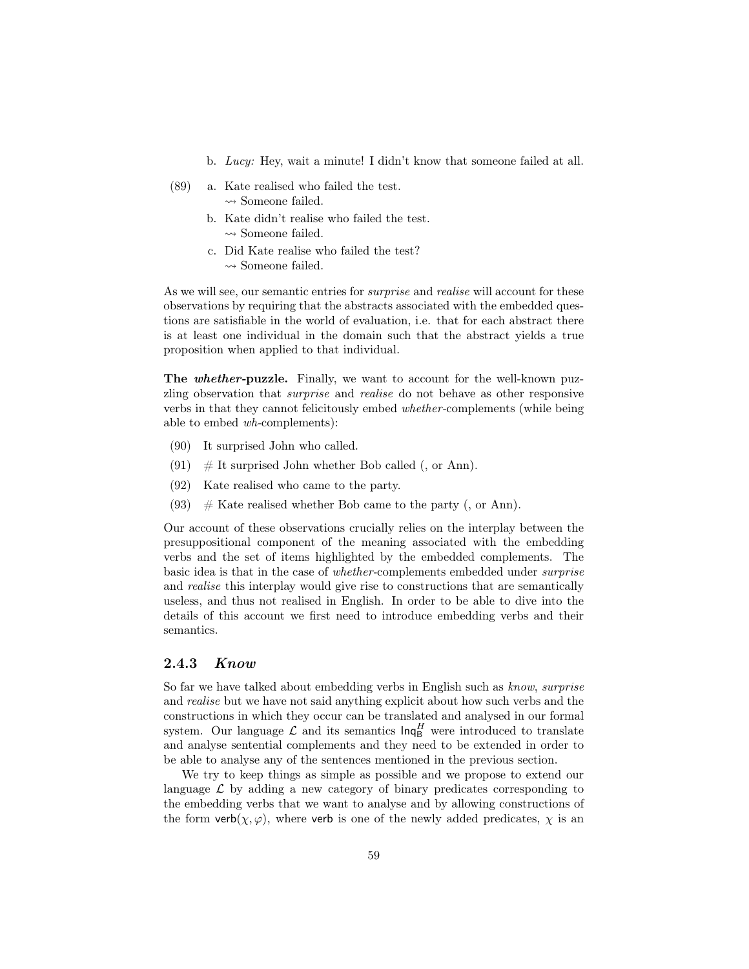- b. Lucy: Hey, wait a minute! I didn't know that someone failed at all.
- (89) a. Kate realised who failed the test.  $\leadsto$  Someone failed.
	- b. Kate didn't realise who failed the test.  $\rightsquigarrow$  Someone failed.
	- c. Did Kate realise who failed the test?  $\rightsquigarrow$  Someone failed.

As we will see, our semantic entries for *surprise* and *realise* will account for these observations by requiring that the abstracts associated with the embedded questions are satisfiable in the world of evaluation, i.e. that for each abstract there is at least one individual in the domain such that the abstract yields a true proposition when applied to that individual.

The *whether-puzzle*. Finally, we want to account for the well-known puzzling observation that surprise and realise do not behave as other responsive verbs in that they cannot felicitously embed whether-complements (while being able to embed wh-complements):

- (90) It surprised John who called.
- $(91)$  # It surprised John whether Bob called (, or Ann).
- (92) Kate realised who came to the party.
- (93)  $\#$  Kate realised whether Bob came to the party (, or Ann).

Our account of these observations crucially relies on the interplay between the presuppositional component of the meaning associated with the embedding verbs and the set of items highlighted by the embedded complements. The basic idea is that in the case of whether-complements embedded under surprise and realise this interplay would give rise to constructions that are semantically useless, and thus not realised in English. In order to be able to dive into the details of this account we first need to introduce embedding verbs and their semantics.

#### 2.4.3 Know

So far we have talked about embedding verbs in English such as know, surprise and realise but we have not said anything explicit about how such verbs and the constructions in which they occur can be translated and analysed in our formal system. Our language  $\mathcal{L}$  and its semantics  $\text{Inq}_{\text{B}}^H$  were introduced to translate and analyse sentential complements and they need to be extended in order to be able to analyse any of the sentences mentioned in the previous section.

We try to keep things as simple as possible and we propose to extend our language  $\mathcal L$  by adding a new category of binary predicates corresponding to the embedding verbs that we want to analyse and by allowing constructions of the form verb( $\chi, \varphi$ ), where verb is one of the newly added predicates,  $\chi$  is an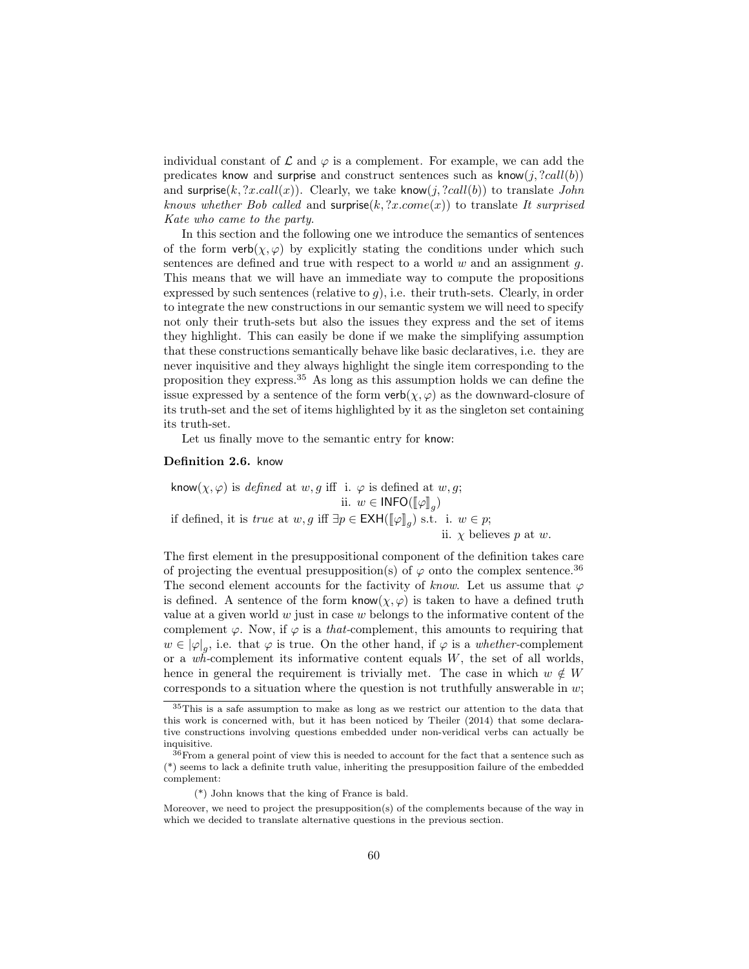individual constant of  $\mathcal L$  and  $\varphi$  is a complement. For example, we can add the predicates know and surprise and construct sentences such as know $(j, ?call(b))$ and surprise(k, ?x.call(x)). Clearly, we take know(j, ?call(b)) to translate John knows whether Bob called and surprise $(k, ?x$ .come $(x)$ ) to translate It surprised Kate who came to the party.

In this section and the following one we introduce the semantics of sentences of the form  $verb(x, \varphi)$  by explicitly stating the conditions under which such sentences are defined and true with respect to a world  $w$  and an assignment  $q$ . This means that we will have an immediate way to compute the propositions expressed by such sentences (relative to  $g$ ), i.e. their truth-sets. Clearly, in order to integrate the new constructions in our semantic system we will need to specify not only their truth-sets but also the issues they express and the set of items they highlight. This can easily be done if we make the simplifying assumption that these constructions semantically behave like basic declaratives, i.e. they are never inquisitive and they always highlight the single item corresponding to the proposition they express.<sup>35</sup> As long as this assumption holds we can define the issue expressed by a sentence of the form  $verb(\chi, \varphi)$  as the downward-closure of its truth-set and the set of items highlighted by it as the singleton set containing its truth-set.

Let us finally move to the semantic entry for know:

#### Definition 2.6. know

know $(\chi, \varphi)$  is defined at w, g iff i.  $\varphi$  is defined at w, g; ii.  $w \in \mathsf{INFO}(\llbracket \varphi \rrbracket_g)$ if defined, it is *true* at  $w, g$  iff  $\exists p \in \text{EXH}([\![\varphi]\!]_g)$  s.t. i.  $w \in p$ ; ii.  $\chi$  believes p at w.

The first element in the presuppositional component of the definition takes care of projecting the eventual presupposition(s) of  $\varphi$  onto the complex sentence.<sup>36</sup> The second element accounts for the factivity of know. Let us assume that  $\varphi$ is defined. A sentence of the form know $(\chi, \varphi)$  is taken to have a defined truth value at a given world  $w$  just in case  $w$  belongs to the informative content of the complement  $\varphi$ . Now, if  $\varphi$  is a *that*-complement, this amounts to requiring that  $w \in |\varphi|_g$ , i.e. that  $\varphi$  is true. On the other hand, if  $\varphi$  is a *whether*-complement or a  $w\ddot{h}$ -complement its informative content equals W, the set of all worlds, hence in general the requirement is trivially met. The case in which  $w \notin W$ corresponds to a situation where the question is not truthfully answerable in  $w$ ;

<sup>35</sup>This is a safe assumption to make as long as we restrict our attention to the data that this work is concerned with, but it has been noticed by Theiler (2014) that some declarative constructions involving questions embedded under non-veridical verbs can actually be inquisitive.

 $36\text{From a general point of view this is needed to account for the fact that a sentence such as}$ (\*) seems to lack a definite truth value, inheriting the presupposition failure of the embedded complement:

<sup>(\*)</sup> John knows that the king of France is bald.

Moreover, we need to project the presupposition(s) of the complements because of the way in which we decided to translate alternative questions in the previous section.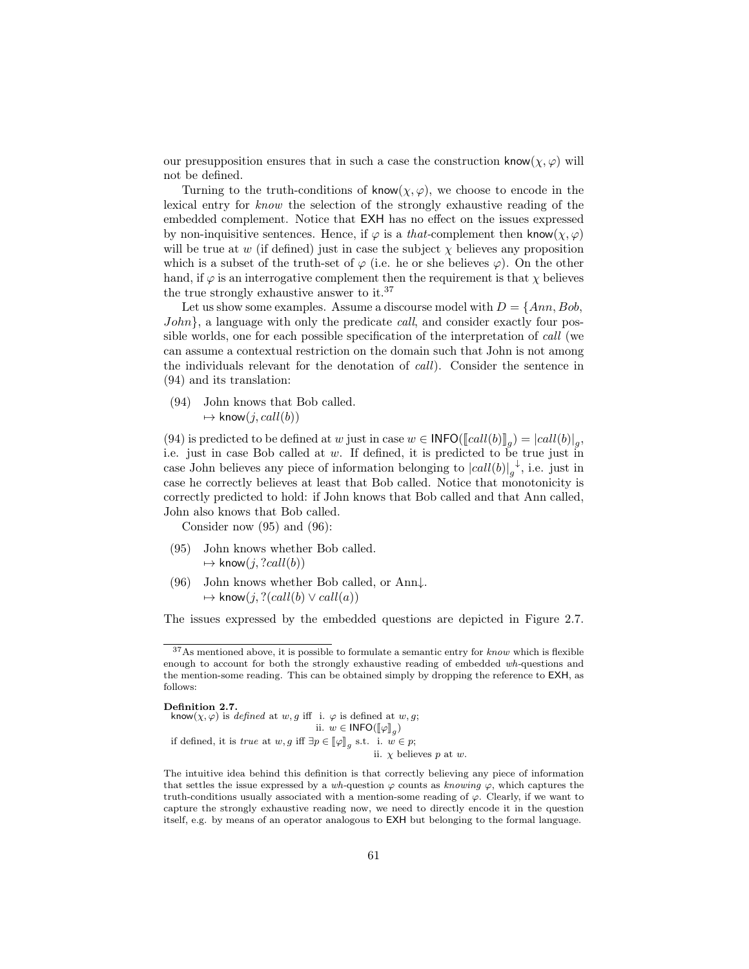our presupposition ensures that in such a case the construction know $(\chi, \varphi)$  will not be defined.

Turning to the truth-conditions of know $(\chi, \varphi)$ , we choose to encode in the lexical entry for know the selection of the strongly exhaustive reading of the embedded complement. Notice that EXH has no effect on the issues expressed by non-inquisitive sentences. Hence, if  $\varphi$  is a *that*-complement then know $(\chi, \varphi)$ will be true at w (if defined) just in case the subject  $\chi$  believes any proposition which is a subset of the truth-set of  $\varphi$  (i.e. he or she believes  $\varphi$ ). On the other hand, if  $\varphi$  is an interrogative complement then the requirement is that  $\chi$  believes the true strongly exhaustive answer to it.<sup>37</sup>

Let us show some examples. Assume a discourse model with  $D = \{Ann, Bob,$ John, a language with only the predicate *call*, and consider exactly four possible worlds, one for each possible specification of the interpretation of call (we can assume a contextual restriction on the domain such that John is not among the individuals relevant for the denotation of call). Consider the sentence in (94) and its translation:

(94) John knows that Bob called.  $\mapsto$  know $(j, call(b))$ 

(94) is predicted to be defined at w just in case  $w \in \text{INFO}([\text{call}(b)]_g) = |call(b)|_g$ ,<br>i.e. just in case Bob called at w. If defined it is predicted to be true just in i.e. just in case Bob called at  $w$ . If defined, it is predicted to be true just in case John believes any piece of information belonging to  $|call(b)|_g$  $\downarrow$ , i.e. just in case he correctly believes at least that Bob called. Notice that monotonicity is correctly predicted to hold: if John knows that Bob called and that Ann called, John also knows that Bob called.

Consider now (95) and (96):

- (95) John knows whether Bob called.  $\mapsto$  know $(j, ?call(b))$
- (96) John knows whether Bob called, or Ann↓.  $\mapsto$  know $(j, ?(call(b) \vee call(a))$

The issues expressed by the embedded questions are depicted in Figure 2.7.

Definition 2.7. know $(\chi, \varphi)$  is defined at w, g iff i.  $\varphi$  is defined at w, g; ii.  $w \in \mathsf{INFO}(\llbracket \varphi \rrbracket_g)$ if defined, it is *true* at  $w, g$  iff  $\exists p \in [\![\varphi]\!]_g$  s.t. i.  $w \in p$ ; ii.  $\chi$  believes p at w.

 $37$ As mentioned above, it is possible to formulate a semantic entry for *know* which is flexible enough to account for both the strongly exhaustive reading of embedded wh-questions and the mention-some reading. This can be obtained simply by dropping the reference to EXH, as follows:

The intuitive idea behind this definition is that correctly believing any piece of information that settles the issue expressed by a wh-question  $\varphi$  counts as knowing  $\varphi$ , which captures the truth-conditions usually associated with a mention-some reading of  $\varphi$ . Clearly, if we want to capture the strongly exhaustive reading now, we need to directly encode it in the question itself, e.g. by means of an operator analogous to EXH but belonging to the formal language.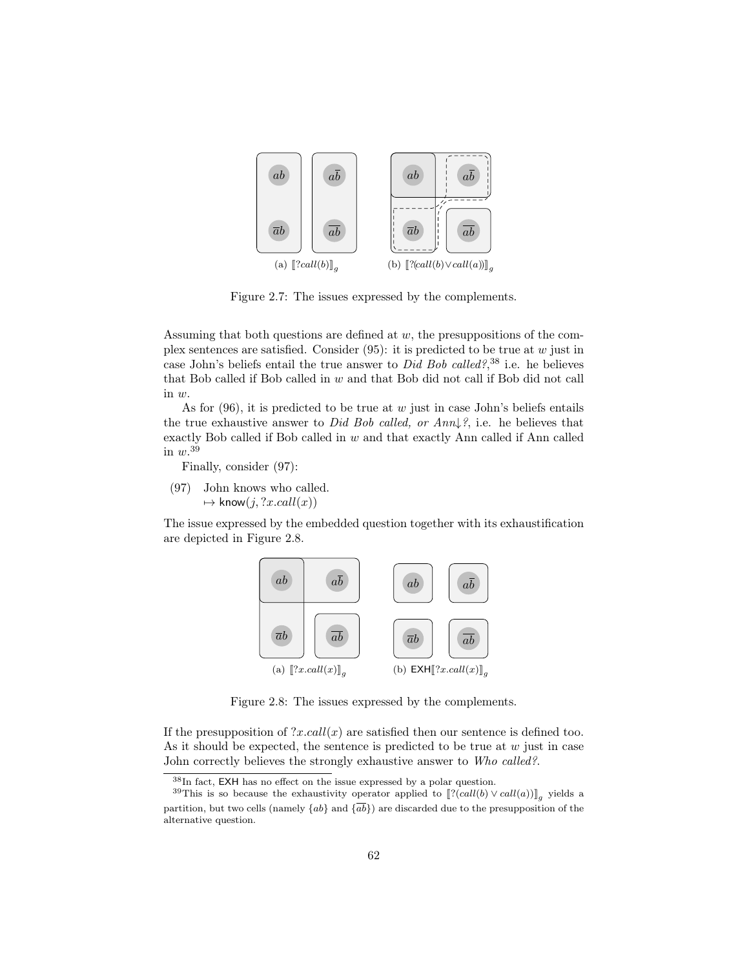

Figure 2.7: The issues expressed by the complements.

Assuming that both questions are defined at  $w$ , the presuppositions of the complex sentences are satisfied. Consider  $(95)$ : it is predicted to be true at w just in case John's beliefs entail the true answer to *Did Bob called?*,<sup>38</sup> i.e. he believes that Bob called if Bob called in w and that Bob did not call if Bob did not call in w.

As for  $(96)$ , it is predicted to be true at w just in case John's beliefs entails the true exhaustive answer to Did Bob called, or  $Ann \downarrow ?$ , i.e. he believes that exactly Bob called if Bob called in  $w$  and that exactly Ann called if Ann called in  $w.^{39}$ 

Finally, consider (97):

(97) John knows who called.  $\mapsto$  know $(j, ?x.call(x))$ 

The issue expressed by the embedded question together with its exhaustification are depicted in Figure 2.8.



Figure 2.8: The issues expressed by the complements.

If the presupposition of  $?x.call(x)$  are satisfied then our sentence is defined too. As it should be expected, the sentence is predicted to be true at  $w$  just in case John correctly believes the strongly exhaustive answer to Who called?.

<sup>38</sup>In fact, EXH has no effect on the issue expressed by a polar question.

<sup>&</sup>lt;sup>39</sup>This is so because the exhaustivity operator applied to  $[[?(\text{call}(b) \vee \text{call}(a))]_g$  yields a partition, but two cells (namely  $\{ab\}$  and  $\{\overline{ab}\}$ ) are discarded due to the presupposition of the alternative question.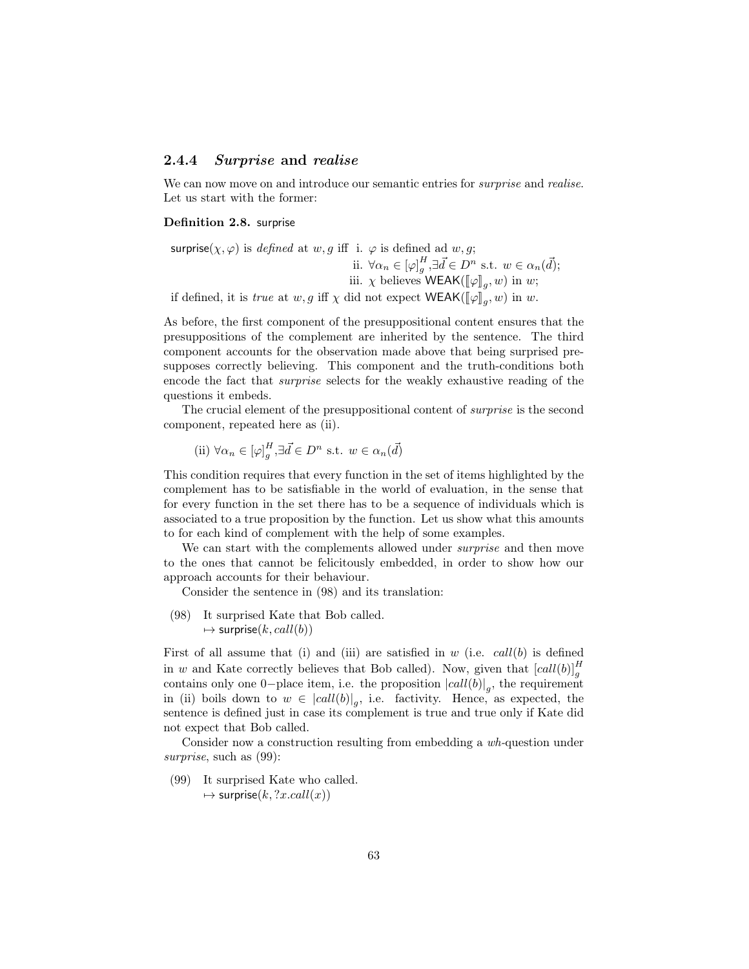#### 2.4.4 Surprise and realise

We can now move on and introduce our semantic entries for *surprise* and *realise*. Let us start with the former:

#### Definition 2.8. surprise

surprise( $\chi, \varphi$ ) is *defined* at w, g iff i.  $\varphi$  is defined ad w, g; ii.  $\forall \alpha_n \in [\varphi]_g^H, \exists \vec{d} \in D^n \text{ s.t. } w \in \alpha_n(\vec{d});$ iii.  $\chi$  believes WEAK( $\llbracket \varphi \rrbracket_g, w$ ) in w; if defined, it is *true* at  $w, g$  iff  $\chi$  did not expect  $\mathsf{WEAK}(\llbracket \varphi \rrbracket_g, w)$  in  $w$ .

As before, the first component of the presuppositional content ensures that the presuppositions of the complement are inherited by the sentence. The third component accounts for the observation made above that being surprised presupposes correctly believing. This component and the truth-conditions both encode the fact that surprise selects for the weakly exhaustive reading of the questions it embeds.

The crucial element of the presuppositional content of surprise is the second component, repeated here as (ii).

(ii) 
$$
\forall \alpha_n \in [\varphi]_g^H, \exists \vec{d} \in D^n \text{ s.t. } w \in \alpha_n(\vec{d})
$$

This condition requires that every function in the set of items highlighted by the complement has to be satisfiable in the world of evaluation, in the sense that for every function in the set there has to be a sequence of individuals which is associated to a true proposition by the function. Let us show what this amounts to for each kind of complement with the help of some examples.

We can start with the complements allowed under *surprise* and then move to the ones that cannot be felicitously embedded, in order to show how our approach accounts for their behaviour.

Consider the sentence in (98) and its translation:

(98) It surprised Kate that Bob called.  $\mapsto$  surprise $(k, call(b))$ 

First of all assume that (i) and (iii) are satisfied in  $w$  (i.e.  $call(b)$  is defined in w and Kate correctly believes that Bob called). Now, given that  $\left[ \text{call}(b) \right]_g^H$ contains only one 0-place item, i.e. the proposition  $\left| \text{call}(b) \right|_g$ , the requirement in (ii) boils down to  $w \in |call(b)|_g$ , i.e. factivity. Hence, as expected, the sentence is defined just in case its complement is true and true only if Kate did not expect that Bob called.

Consider now a construction resulting from embedding a wh-question under surprise, such as  $(99)$ :

(99) It surprised Kate who called.  $\mapsto$  surprise $(k, ?x.call(x))$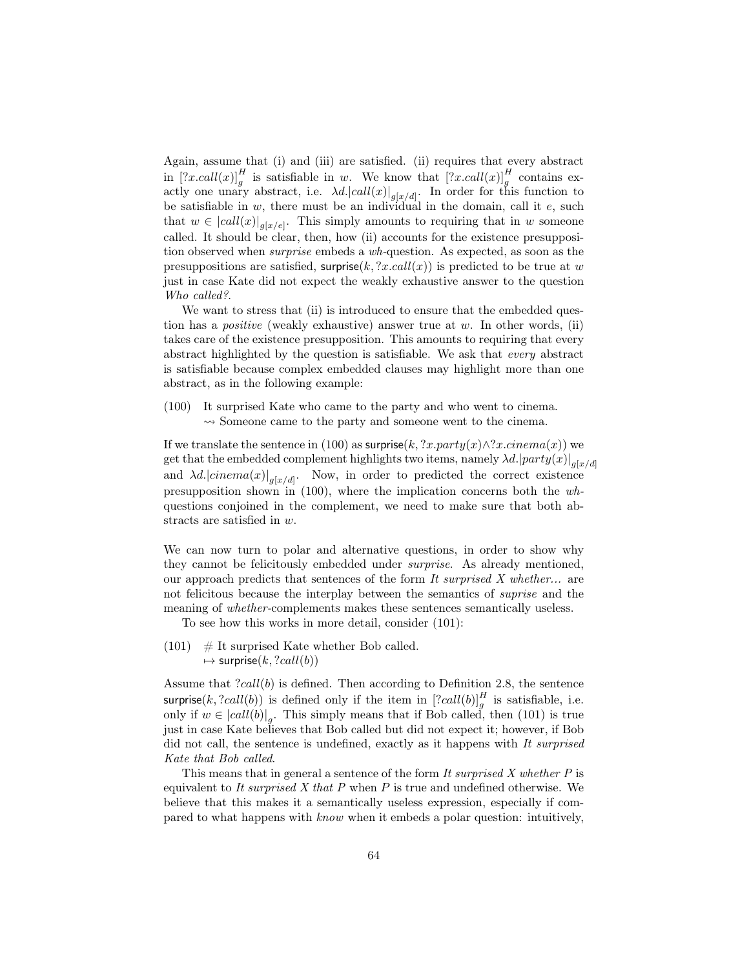Again, assume that (i) and (iii) are satisfied. (ii) requires that every abstract in  $[?x, call(x)]_g^H$  is satisfiable in w. We know that  $[?x, call(x)]_g^H$  contains exactly one unary abstract, i.e.  $\lambda d$ .  $|call(x)|_{g[x/d]}$ . In order for this function to be satisfiable in  $w$ , there must be an individual in the domain, call it  $e$ , such that  $w \in |call(x)|_{g[x/e]}$ . This simply amounts to requiring that in w someone called. It should be clear, then, how (ii) accounts for the existence presupposition observed when surprise embeds a wh-question. As expected, as soon as the presuppositions are satisfied, surprise $(k, ?x.call(x))$  is predicted to be true at w just in case Kate did not expect the weakly exhaustive answer to the question Who called?.

We want to stress that (ii) is introduced to ensure that the embedded question has a *positive* (weakly exhaustive) answer true at w. In other words, (ii) takes care of the existence presupposition. This amounts to requiring that every abstract highlighted by the question is satisfiable. We ask that every abstract is satisfiable because complex embedded clauses may highlight more than one abstract, as in the following example:

(100) It surprised Kate who came to the party and who went to cinema.  $\rightsquigarrow$  Someone came to the party and someone went to the cinema.

If we translate the sentence in (100) as surprise(k, ?x.party(x)∧?x.cinema(x)) we get that the embedded complement highlights two items, namely  $\lambda d. |party(x)|_{g[x/d]}$ and  $\lambda d$ .  $|circma(x)|_{g[x/d]}$ . Now, in order to predicted the correct existence presupposition shown in (100), where the implication concerns both the whquestions conjoined in the complement, we need to make sure that both abstracts are satisfied in w.

We can now turn to polar and alternative questions, in order to show why they cannot be felicitously embedded under surprise. As already mentioned, our approach predicts that sentences of the form  $It$  surprised  $X$  whether... are not felicitous because the interplay between the semantics of suprise and the meaning of whether-complements makes these sentences semantically useless.

To see how this works in more detail, consider (101):

 $(101)$  # It surprised Kate whether Bob called.  $\mapsto$  surprise $(k, ?call(b))$ 

Assume that  $?call(b)$  is defined. Then according to Definition 2.8, the sentence surprise(k, ?call(b)) is defined only if the item in  $[?call(b)]_g^H$  is satisfiable, i.e. only if  $w \in |call(b)|_g$ . This simply means that if Bob called, then (101) is true just in case Kate believes that Bob called but did not expect it; however, if Bob did not call, the sentence is undefined, exactly as it happens with It surprised Kate that Bob called.

This means that in general a sentence of the form  $It$  surprised  $X$  whether  $P$  is equivalent to It surprised  $X$  that  $P$  when  $P$  is true and undefined otherwise. We believe that this makes it a semantically useless expression, especially if compared to what happens with know when it embeds a polar question: intuitively,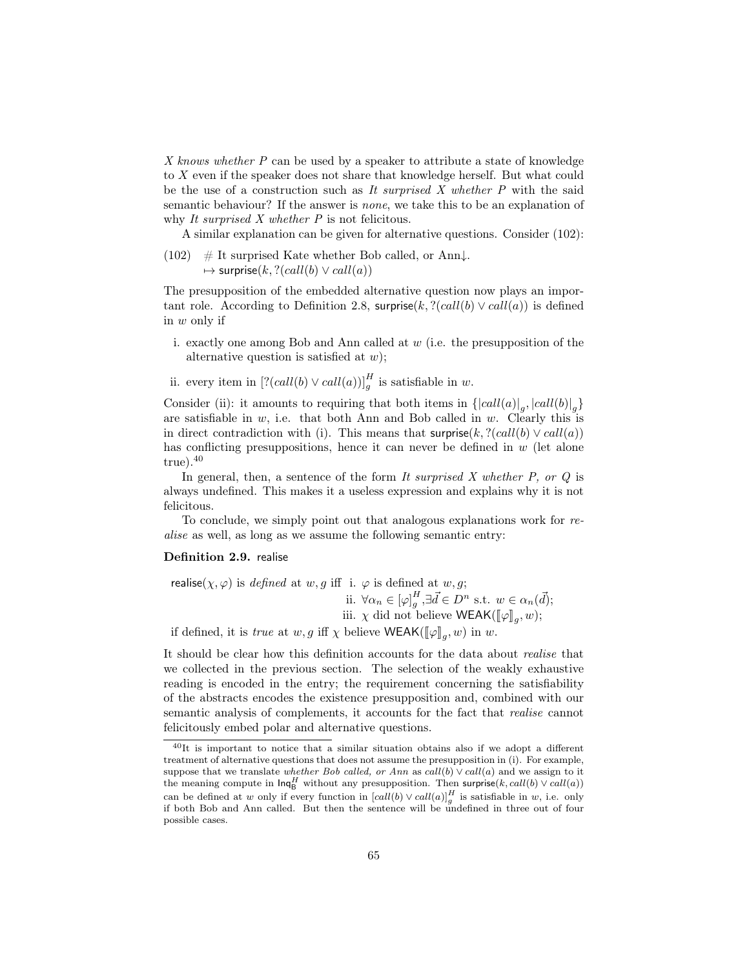X knows whether P can be used by a speaker to attribute a state of knowledge to X even if the speaker does not share that knowledge herself. But what could be the use of a construction such as It surprised X whether  $P$  with the said semantic behaviour? If the answer is none, we take this to be an explanation of why It surprised X whether P is not felicitous.

A similar explanation can be given for alternative questions. Consider (102):

(102) # It surprised Kate whether Bob called, or Ann $\downarrow$ .  $\mapsto$  surprise(k, ?(call(b)  $\vee$  call(a))

The presupposition of the embedded alternative question now plays an important role. According to Definition 2.8, surprise(k,  $?(call(b) \vee call(a))$ ) is defined in w only if

- i. exactly one among Bob and Ann called at  $w$  (i.e. the presupposition of the alternative question is satisfied at  $w$ ;
- ii. every item in  $[?(call(b) \vee call(a))]$ <sup>H</sup> is satisfiable in w.

Consider (ii): it amounts to requiring that both items in  $\{ |call(a)|_g, |call(b)|_g \}$ are satisfiable in  $w$ , i.e. that both Ann and Bob called in  $w$ . Clearly this is in direct contradiction with (i). This means that surprise(k,  $?(call(b) \vee call(a))$ has conflicting presuppositions, hence it can never be defined in  $w$  (let alone  $true$ ).  $40$ 

In general, then, a sentence of the form It surprised  $X$  whether  $P$ , or  $Q$  is always undefined. This makes it a useless expression and explains why it is not felicitous.

To conclude, we simply point out that analogous explanations work for realise as well, as long as we assume the following semantic entry:

#### Definition 2.9. realise

realise( $\chi, \varphi$ ) is *defined* at w, g iff i.  $\varphi$  is defined at w, g; ii.  $\forall \alpha_n \in [\varphi]_g^H, \exists \vec{d} \in D^n \text{ s.t. } w \in \alpha_n(\vec{d});$ iii.  $\chi$  did not believe WEAK( $[\![\varphi]\!]_g, w$ ); if defined, it is *true* at  $w, g$  iff  $\chi$  believe WEAK( $[\![\varphi]\!]_g, w$ ) in  $w$ .

It should be clear how this definition accounts for the data about realise that we collected in the previous section. The selection of the weakly exhaustive reading is encoded in the entry; the requirement concerning the satisfiability of the abstracts encodes the existence presupposition and, combined with our semantic analysis of complements, it accounts for the fact that realise cannot felicitously embed polar and alternative questions.

<sup>40</sup>It is important to notice that a similar situation obtains also if we adopt a different treatment of alternative questions that does not assume the presupposition in (i). For example, suppose that we translate whether Bob called, or Ann as call(b)  $\vee$  call(a) and we assign to it the meaning compute in  $\textsf{Inq}_B^H$  without any presupposition. Then surprise $(k, \text{call}(b) \vee \text{call}(a))$ can be defined at w only if every function in  $\left[ \text{call}(b) \vee \text{call}(a) \right]_g^H$  is satisfiable in w, i.e. only if both Bob and Ann called. But then the sentence will be undefined in three out of four possible cases.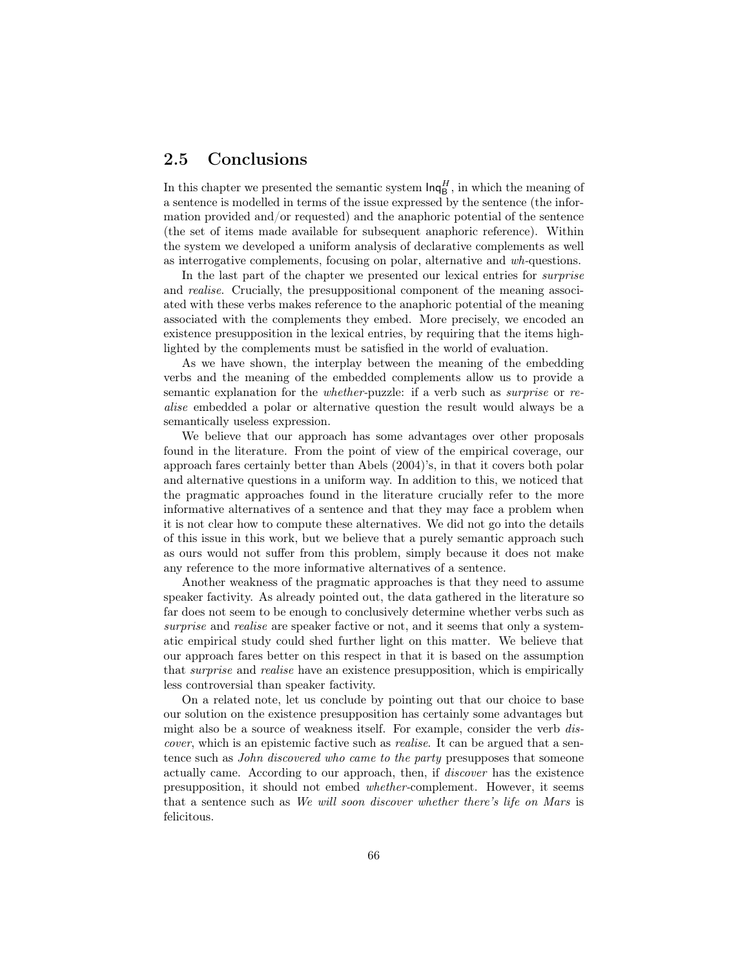### 2.5 Conclusions

In this chapter we presented the semantic system  $\text{Inq}_{\text{B}}^H$ , in which the meaning of a sentence is modelled in terms of the issue expressed by the sentence (the information provided and/or requested) and the anaphoric potential of the sentence (the set of items made available for subsequent anaphoric reference). Within the system we developed a uniform analysis of declarative complements as well as interrogative complements, focusing on polar, alternative and wh-questions.

In the last part of the chapter we presented our lexical entries for surprise and realise. Crucially, the presuppositional component of the meaning associated with these verbs makes reference to the anaphoric potential of the meaning associated with the complements they embed. More precisely, we encoded an existence presupposition in the lexical entries, by requiring that the items highlighted by the complements must be satisfied in the world of evaluation.

As we have shown, the interplay between the meaning of the embedding verbs and the meaning of the embedded complements allow us to provide a semantic explanation for the whether-puzzle: if a verb such as surprise or realise embedded a polar or alternative question the result would always be a semantically useless expression.

We believe that our approach has some advantages over other proposals found in the literature. From the point of view of the empirical coverage, our approach fares certainly better than Abels (2004)'s, in that it covers both polar and alternative questions in a uniform way. In addition to this, we noticed that the pragmatic approaches found in the literature crucially refer to the more informative alternatives of a sentence and that they may face a problem when it is not clear how to compute these alternatives. We did not go into the details of this issue in this work, but we believe that a purely semantic approach such as ours would not suffer from this problem, simply because it does not make any reference to the more informative alternatives of a sentence.

Another weakness of the pragmatic approaches is that they need to assume speaker factivity. As already pointed out, the data gathered in the literature so far does not seem to be enough to conclusively determine whether verbs such as surprise and realise are speaker factive or not, and it seems that only a systematic empirical study could shed further light on this matter. We believe that our approach fares better on this respect in that it is based on the assumption that surprise and realise have an existence presupposition, which is empirically less controversial than speaker factivity.

On a related note, let us conclude by pointing out that our choice to base our solution on the existence presupposition has certainly some advantages but might also be a source of weakness itself. For example, consider the verb discover, which is an epistemic factive such as realise. It can be argued that a sentence such as *John discovered who came to the party* presupposes that someone actually came. According to our approach, then, if discover has the existence presupposition, it should not embed whether-complement. However, it seems that a sentence such as We will soon discover whether there's life on Mars is felicitous.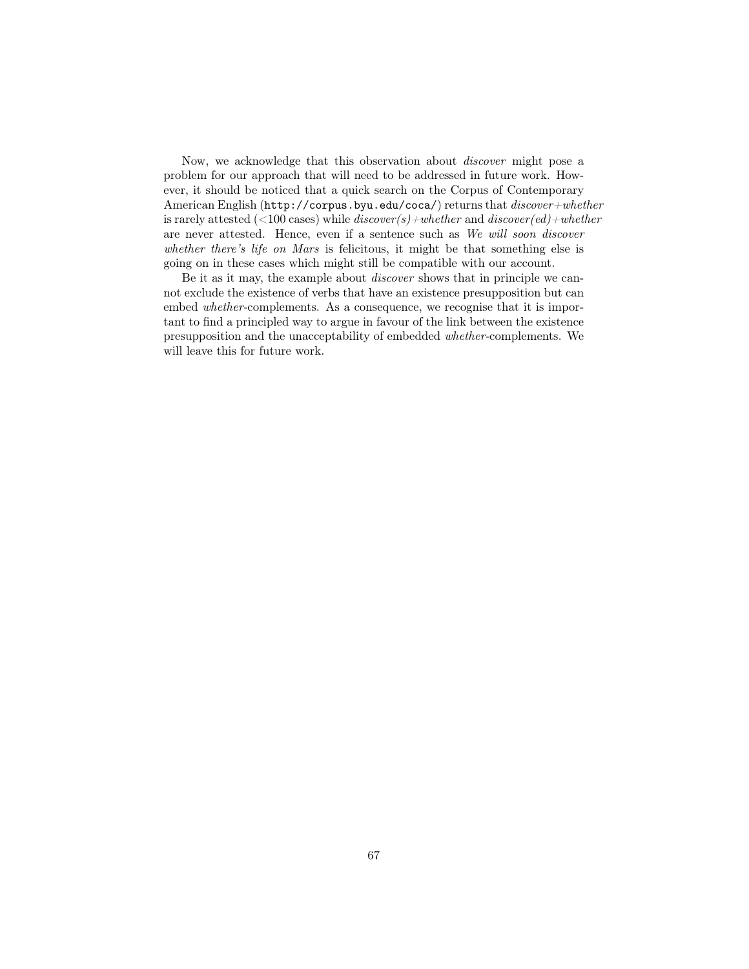Now, we acknowledge that this observation about discover might pose a problem for our approach that will need to be addressed in future work. However, it should be noticed that a quick search on the Corpus of Contemporary American English (http://corpus.byu.edu/coca/) returns that  $discover + whether$ is rarely attested (<100 cases) while  $discover(s)+whether$  and  $discover(ed)+whether$ are never attested. Hence, even if a sentence such as We will soon discover whether there's life on Mars is felicitous, it might be that something else is going on in these cases which might still be compatible with our account.

Be it as it may, the example about discover shows that in principle we cannot exclude the existence of verbs that have an existence presupposition but can embed *whether*-complements. As a consequence, we recognise that it is important to find a principled way to argue in favour of the link between the existence presupposition and the unacceptability of embedded whether-complements. We will leave this for future work.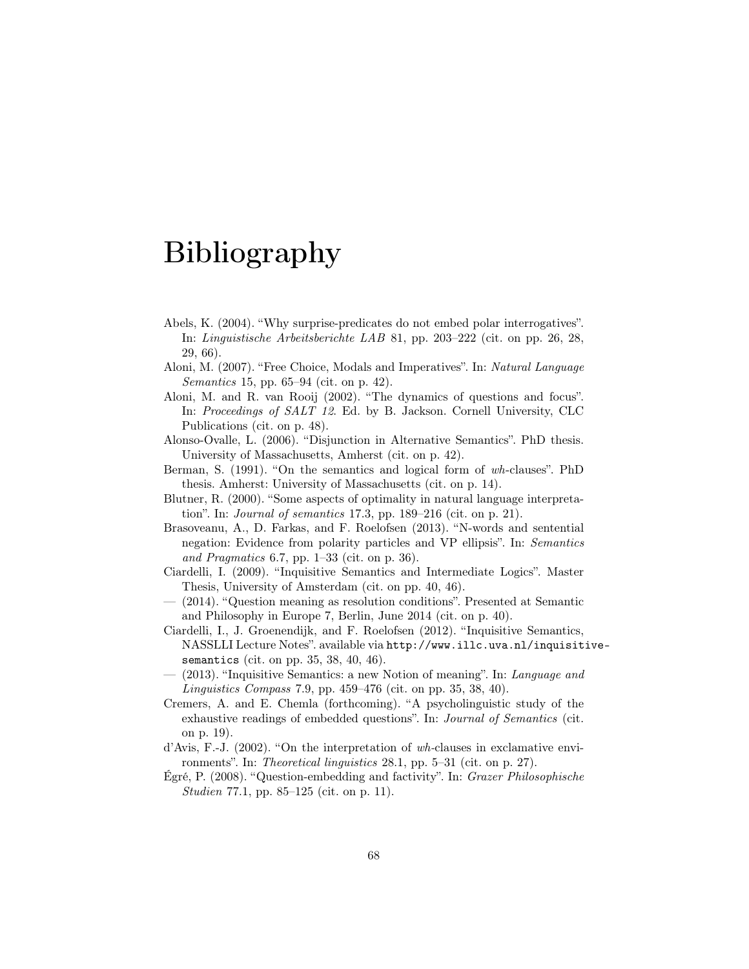# Bibliography

- Abels, K. (2004). "Why surprise-predicates do not embed polar interrogatives". In: Linguistische Arbeitsberichte LAB 81, pp. 203–222 (cit. on pp. 26, 28, 29, 66).
- Aloni, M. (2007). "Free Choice, Modals and Imperatives". In: Natural Language Semantics 15, pp. 65–94 (cit. on p. 42).
- Aloni, M. and R. van Rooij (2002). "The dynamics of questions and focus". In: Proceedings of SALT 12. Ed. by B. Jackson. Cornell University, CLC Publications (cit. on p. 48).
- Alonso-Ovalle, L. (2006). "Disjunction in Alternative Semantics". PhD thesis. University of Massachusetts, Amherst (cit. on p. 42).
- Berman, S. (1991). "On the semantics and logical form of wh-clauses". PhD thesis. Amherst: University of Massachusetts (cit. on p. 14).
- Blutner, R. (2000). "Some aspects of optimality in natural language interpretation". In: Journal of semantics 17.3, pp. 189–216 (cit. on p. 21).
- Brasoveanu, A., D. Farkas, and F. Roelofsen (2013). "N-words and sentential negation: Evidence from polarity particles and VP ellipsis". In: Semantics and Pragmatics 6.7, pp. 1–33 (cit. on p. 36).
- Ciardelli, I. (2009). "Inquisitive Semantics and Intermediate Logics". Master Thesis, University of Amsterdam (cit. on pp. 40, 46).
- (2014). "Question meaning as resolution conditions". Presented at Semantic and Philosophy in Europe 7, Berlin, June 2014 (cit. on p. 40).
- Ciardelli, I., J. Groenendijk, and F. Roelofsen (2012). "Inquisitive Semantics, NASSLLI Lecture Notes". available via http://www.illc.uva.nl/inquisitivesemantics (cit. on pp. 35, 38, 40, 46).
- (2013). "Inquisitive Semantics: a new Notion of meaning". In: Language and Linguistics Compass 7.9, pp. 459–476 (cit. on pp. 35, 38, 40).
- Cremers, A. and E. Chemla (forthcoming). "A psycholinguistic study of the exhaustive readings of embedded questions". In: Journal of Semantics (cit. on p. 19).
- d'Avis, F.-J. (2002). "On the interpretation of wh-clauses in exclamative environments". In: Theoretical linguistics 28.1, pp. 5–31 (cit. on p. 27).
- Égré, P. (2008). "Question-embedding and factivity". In: Grazer Philosophische Studien 77.1, pp. 85–125 (cit. on p. 11).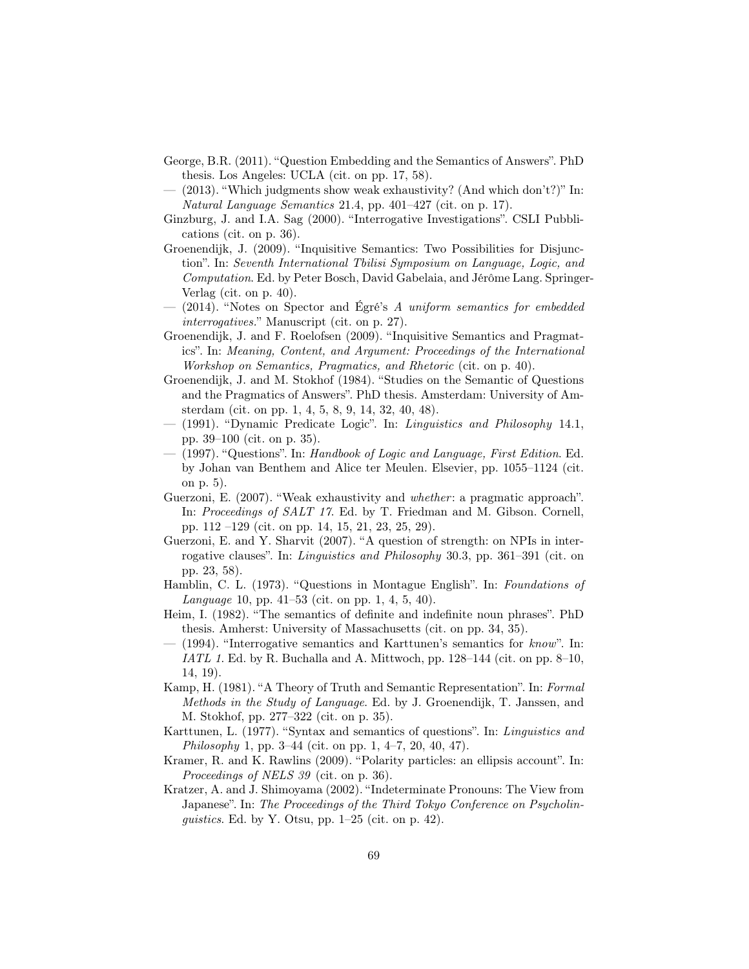- George, B.R. (2011). "Question Embedding and the Semantics of Answers". PhD thesis. Los Angeles: UCLA (cit. on pp. 17, 58).
- $(2013)$ . "Which judgments show weak exhaustivity? (And which don't?)" In: Natural Language Semantics 21.4, pp. 401–427 (cit. on p. 17).
- Ginzburg, J. and I.A. Sag (2000). "Interrogative Investigations". CSLI Pubblications (cit. on p. 36).
- Groenendijk, J. (2009). "Inquisitive Semantics: Two Possibilities for Disjunction". In: Seventh International Tbilisi Symposium on Language, Logic, and Computation. Ed. by Peter Bosch, David Gabelaia, and Jérôme Lang. Springer-Verlag (cit. on p. 40).
- (2014). "Notes on Spector and Égré's A uniform semantics for embedded interrogatives." Manuscript (cit. on p. 27).
- Groenendijk, J. and F. Roelofsen (2009). "Inquisitive Semantics and Pragmatics". In: Meaning, Content, and Argument: Proceedings of the International Workshop on Semantics, Pragmatics, and Rhetoric (cit. on p. 40).
- Groenendijk, J. and M. Stokhof (1984). "Studies on the Semantic of Questions and the Pragmatics of Answers". PhD thesis. Amsterdam: University of Amsterdam (cit. on pp. 1, 4, 5, 8, 9, 14, 32, 40, 48).
- (1991). "Dynamic Predicate Logic". In: Linguistics and Philosophy 14.1, pp. 39–100 (cit. on p. 35).
- (1997). "Questions". In: Handbook of Logic and Language, First Edition. Ed. by Johan van Benthem and Alice ter Meulen. Elsevier, pp. 1055–1124 (cit. on p. 5).
- Guerzoni, E. (2007). "Weak exhaustivity and *whether*: a pragmatic approach". In: Proceedings of SALT 17. Ed. by T. Friedman and M. Gibson. Cornell, pp. 112 –129 (cit. on pp. 14, 15, 21, 23, 25, 29).
- Guerzoni, E. and Y. Sharvit (2007). "A question of strength: on NPIs in interrogative clauses". In: Linguistics and Philosophy 30.3, pp. 361–391 (cit. on pp. 23, 58).
- Hamblin, C. L. (1973). "Questions in Montague English". In: Foundations of Language 10, pp. 41–53 (cit. on pp. 1, 4, 5, 40).
- Heim, I. (1982). "The semantics of definite and indefinite noun phrases". PhD thesis. Amherst: University of Massachusetts (cit. on pp. 34, 35).
- (1994). "Interrogative semantics and Karttunen's semantics for  $known$ ". In: IATL 1. Ed. by R. Buchalla and A. Mittwoch, pp.  $128-144$  (cit. on pp.  $8-10$ , 14, 19).
- Kamp, H. (1981). "A Theory of Truth and Semantic Representation". In: Formal Methods in the Study of Language. Ed. by J. Groenendijk, T. Janssen, and M. Stokhof, pp. 277–322 (cit. on p. 35).
- Karttunen, L. (1977). "Syntax and semantics of questions". In: Linguistics and Philosophy 1, pp. 3–44 (cit. on pp. 1, 4–7, 20, 40, 47).
- Kramer, R. and K. Rawlins (2009). "Polarity particles: an ellipsis account". In: Proceedings of NELS 39 (cit. on p. 36).
- Kratzer, A. and J. Shimoyama (2002). "Indeterminate Pronouns: The View from Japanese". In: The Proceedings of the Third Tokyo Conference on Psycholinguistics. Ed. by Y. Otsu, pp.  $1-25$  (cit. on p. 42).